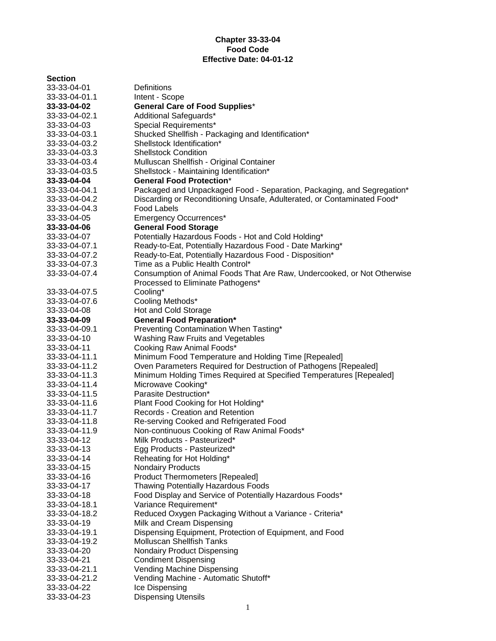### **Chapter 33-33-04 Food Code Effective Date: 04-01-12**

# **Section**

| Section       |                                                                         |
|---------------|-------------------------------------------------------------------------|
| 33-33-04-01   | Definitions                                                             |
| 33-33-04-01.1 | Intent - Scope                                                          |
| 33-33-04-02   | <b>General Care of Food Supplies*</b>                                   |
| 33-33-04-02.1 | Additional Safeguards*                                                  |
| 33-33-04-03   | Special Requirements*                                                   |
| 33-33-04-03.1 | Shucked Shellfish - Packaging and Identification*                       |
| 33-33-04-03.2 | Shellstock Identification*                                              |
| 33-33-04-03.3 | <b>Shellstock Condition</b>                                             |
| 33-33-04-03.4 | Mulluscan Shellfish - Original Container                                |
| 33-33-04-03.5 | Shellstock - Maintaining Identification*                                |
| 33-33-04-04   | <b>General Food Protection*</b>                                         |
| 33-33-04-04.1 | Packaged and Unpackaged Food - Separation, Packaging, and Segregation*  |
| 33-33-04-04.2 | Discarding or Reconditioning Unsafe, Adulterated, or Contaminated Food* |
| 33-33-04-04.3 | <b>Food Labels</b>                                                      |
| 33-33-04-05   | <b>Emergency Occurrences*</b>                                           |
| 33-33-04-06   | <b>General Food Storage</b>                                             |
| 33-33-04-07   | Potentially Hazardous Foods - Hot and Cold Holding*                     |
| 33-33-04-07.1 | Ready-to-Eat, Potentially Hazardous Food - Date Marking*                |
| 33-33-04-07.2 | Ready-to-Eat, Potentially Hazardous Food - Disposition*                 |
| 33-33-04-07.3 | Time as a Public Health Control*                                        |
| 33-33-04-07.4 | Consumption of Animal Foods That Are Raw, Undercooked, or Not Otherwise |
|               | Processed to Eliminate Pathogens*                                       |
| 33-33-04-07.5 | Cooling*                                                                |
| 33-33-04-07.6 | Cooling Methods*                                                        |
| 33-33-04-08   | Hot and Cold Storage                                                    |
| 33-33-04-09   | <b>General Food Preparation*</b>                                        |
| 33-33-04-09.1 | Preventing Contamination When Tasting*                                  |
| 33-33-04-10   | Washing Raw Fruits and Vegetables                                       |
| 33-33-04-11   | Cooking Raw Animal Foods*                                               |
| 33-33-04-11.1 | Minimum Food Temperature and Holding Time [Repealed]                    |
| 33-33-04-11.2 | Oven Parameters Required for Destruction of Pathogens [Repealed]        |
| 33-33-04-11.3 | Minimum Holding Times Required at Specified Temperatures [Repealed]     |
| 33-33-04-11.4 | Microwave Cooking*                                                      |
| 33-33-04-11.5 | Parasite Destruction*                                                   |
| 33-33-04-11.6 | Plant Food Cooking for Hot Holding*                                     |
| 33-33-04-11.7 | Records - Creation and Retention                                        |
| 33-33-04-11.8 | Re-serving Cooked and Refrigerated Food                                 |
| 33-33-04-11.9 | Non-continuous Cooking of Raw Animal Foods*                             |
| 33-33-04-12   | Milk Products - Pasteurized*                                            |
| 33-33-04-13   | Egg Products - Pasteurized*                                             |
| 33-33-04-14   | Reheating for Hot Holding*                                              |
| 33-33-04-15   | <b>Nondairy Products</b>                                                |
| 33-33-04-16   | <b>Product Thermometers [Repealed]</b>                                  |
| 33-33-04-17   | Thawing Potentially Hazardous Foods                                     |
| 33-33-04-18   | Food Display and Service of Potentially Hazardous Foods*                |
| 33-33-04-18.1 | Variance Requirement*                                                   |
| 33-33-04-18.2 | Reduced Oxygen Packaging Without a Variance - Criteria*                 |
| 33-33-04-19   | Milk and Cream Dispensing                                               |
| 33-33-04-19.1 | Dispensing Equipment, Protection of Equipment, and Food                 |
| 33-33-04-19.2 | <b>Molluscan Shellfish Tanks</b>                                        |
| 33-33-04-20   | Nondairy Product Dispensing                                             |
| 33-33-04-21   | <b>Condiment Dispensing</b>                                             |
| 33-33-04-21.1 | Vending Machine Dispensing                                              |
| 33-33-04-21.2 | Vending Machine - Automatic Shutoff*                                    |
| 33-33-04-22   | Ice Dispensing                                                          |
| 33-33-04-23   | <b>Dispensing Utensils</b>                                              |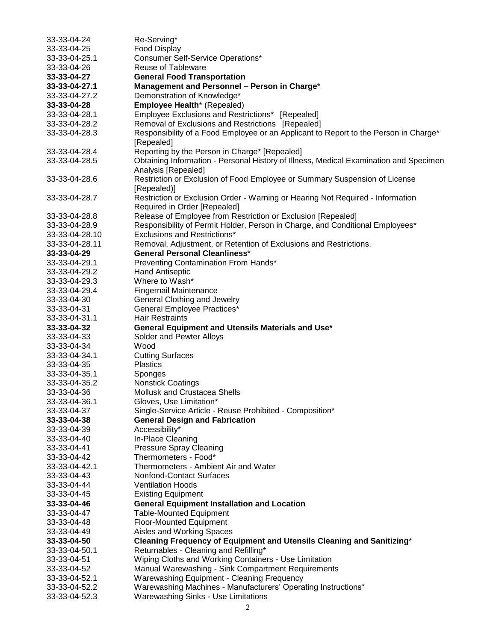| 33-33-04-24    | Re-Serving*                                                                           |
|----------------|---------------------------------------------------------------------------------------|
| 33-33-04-25    | <b>Food Display</b>                                                                   |
| 33-33-04-25.1  | <b>Consumer Self-Service Operations*</b>                                              |
| 33-33-04-26    | <b>Reuse of Tableware</b>                                                             |
| 33-33-04-27    | <b>General Food Transportation</b>                                                    |
| 33-33-04-27.1  | Management and Personnel - Person in Charge*                                          |
| 33-33-04-27.2  | Demonstration of Knowledge*                                                           |
| 33-33-04-28    | Employee Health* (Repealed)                                                           |
| 33-33-04-28.1  | Employee Exclusions and Restrictions* [Repealed]                                      |
| 33-33-04-28.2  | Removal of Exclusions and Restrictions [Repealed]                                     |
|                |                                                                                       |
| 33-33-04-28.3  | Responsibility of a Food Employee or an Applicant to Report to the Person in Charge*  |
|                | [Repealed]                                                                            |
| 33-33-04-28.4  | Reporting by the Person in Charge* [Repealed]                                         |
| 33-33-04-28.5  | Obtaining Information - Personal History of Illness, Medical Examination and Specimen |
|                | Analysis [Repealed]                                                                   |
| 33-33-04-28.6  | Restriction or Exclusion of Food Employee or Summary Suspension of License            |
|                | [Repealed]                                                                            |
| 33-33-04-28.7  | Restriction or Exclusion Order - Warning or Hearing Not Required - Information        |
|                | Required in Order [Repealed]                                                          |
| 33-33-04-28.8  | Release of Employee from Restriction or Exclusion [Repealed]                          |
| 33-33-04-28.9  | Responsibility of Permit Holder, Person in Charge, and Conditional Employees*         |
| 33-33-04-28.10 | <b>Exclusions and Restrictions*</b>                                                   |
| 33-33-04-28.11 | Removal, Adjustment, or Retention of Exclusions and Restrictions.                     |
| 33-33-04-29    | <b>General Personal Cleanliness*</b>                                                  |
| 33-33-04-29.1  | Preventing Contamination From Hands*                                                  |
| 33-33-04-29.2  | <b>Hand Antiseptic</b>                                                                |
| 33-33-04-29.3  | Where to Wash*                                                                        |
| 33-33-04-29.4  | <b>Fingernail Maintenance</b>                                                         |
| 33-33-04-30    | General Clothing and Jewelry                                                          |
| 33-33-04-31    | <b>General Employee Practices*</b>                                                    |
|                | <b>Hair Restraints</b>                                                                |
|                |                                                                                       |
| 33-33-04-31.1  |                                                                                       |
| 33-33-04-32    | General Equipment and Utensils Materials and Use*                                     |
| 33-33-04-33    | Solder and Pewter Alloys                                                              |
| 33-33-04-34    | Wood                                                                                  |
| 33-33-04-34.1  | <b>Cutting Surfaces</b>                                                               |
| 33-33-04-35    | <b>Plastics</b>                                                                       |
| 33-33-04-35.1  | Sponges                                                                               |
| 33-33-04-35.2  | <b>Nonstick Coatings</b>                                                              |
| 33-33-04-36    | Mollusk and Crustacea Shells                                                          |
| 33-33-04-36.1  | Gloves, Use Limitation*                                                               |
| 33-33-04-37    | Single-Service Article - Reuse Prohibited - Composition*                              |
| 33-33-04-38    | <b>General Design and Fabrication</b>                                                 |
| 33-33-04-39    | Accessibility*                                                                        |
| 33-33-04-40    | In-Place Cleaning                                                                     |
| 33-33-04-41    | <b>Pressure Spray Cleaning</b>                                                        |
| 33-33-04-42    | Thermometers - Food*                                                                  |
| 33-33-04-42.1  | Thermometers - Ambient Air and Water                                                  |
| 33-33-04-43    | Nonfood-Contact Surfaces                                                              |
| 33-33-04-44    | <b>Ventilation Hoods</b>                                                              |
| 33-33-04-45    | <b>Existing Equipment</b>                                                             |
| 33-33-04-46    | <b>General Equipment Installation and Location</b>                                    |
| 33-33-04-47    | <b>Table-Mounted Equipment</b>                                                        |
| 33-33-04-48    | Floor-Mounted Equipment                                                               |
| 33-33-04-49    | Aisles and Working Spaces                                                             |
| 33-33-04-50    | Cleaning Frequency of Equipment and Utensils Cleaning and Sanitizing*                 |
| 33-33-04-50.1  | Returnables - Cleaning and Refilling*                                                 |
| 33-33-04-51    | Wiping Cloths and Working Containers - Use Limitation                                 |
| 33-33-04-52    | Manual Warewashing - Sink Compartment Requirements                                    |
| 33-33-04-52.1  | <b>Warewashing Equipment - Cleaning Frequency</b>                                     |
| 33-33-04-52.2  | Warewashing Machines - Manufacturers' Operating Instructions*                         |
| 33-33-04-52.3  | <b>Warewashing Sinks - Use Limitations</b>                                            |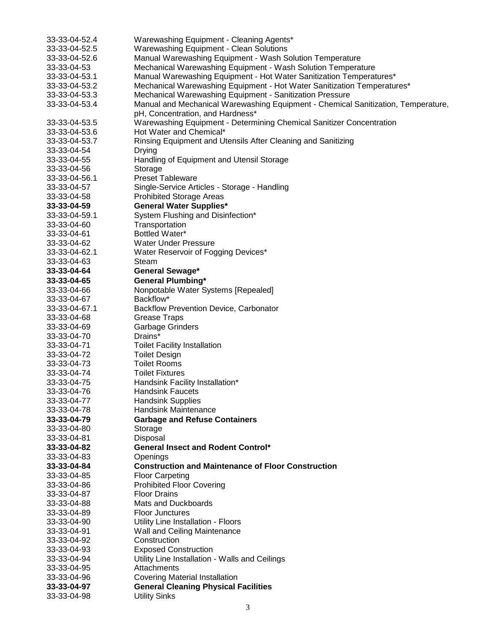| 33-33-04-52.4 | Warewashing Equipment - Cleaning Agents*                                          |
|---------------|-----------------------------------------------------------------------------------|
| 33-33-04-52.5 | <b>Warewashing Equipment - Clean Solutions</b>                                    |
| 33-33-04-52.6 | Manual Warewashing Equipment - Wash Solution Temperature                          |
| 33-33-04-53   | Mechanical Warewashing Equipment - Wash Solution Temperature                      |
| 33-33-04-53.1 | Manual Warewashing Equipment - Hot Water Sanitization Temperatures*               |
| 33-33-04-53.2 | Mechanical Warewashing Equipment - Hot Water Sanitization Temperatures*           |
| 33-33-04-53.3 | Mechanical Warewashing Equipment - Sanitization Pressure                          |
| 33-33-04-53.4 | Manual and Mechanical Warewashing Equipment - Chemical Sanitization, Temperature, |
|               | pH, Concentration, and Hardness*                                                  |
| 33-33-04-53.5 | Warewashing Equipment - Determining Chemical Sanitizer Concentration              |
| 33-33-04-53.6 | Hot Water and Chemical*                                                           |
| 33-33-04-53.7 | Rinsing Equipment and Utensils After Cleaning and Sanitizing                      |
| 33-33-04-54   | Drying                                                                            |
| 33-33-04-55   | Handling of Equipment and Utensil Storage                                         |
| 33-33-04-56   | Storage                                                                           |
| 33-33-04-56.1 | <b>Preset Tableware</b>                                                           |
|               |                                                                                   |
| 33-33-04-57   | Single-Service Articles - Storage - Handling                                      |
| 33-33-04-58   | <b>Prohibited Storage Areas</b>                                                   |
| 33-33-04-59   | <b>General Water Supplies*</b>                                                    |
| 33-33-04-59.1 | System Flushing and Disinfection*                                                 |
| 33-33-04-60   | Transportation                                                                    |
| 33-33-04-61   | Bottled Water*                                                                    |
| 33-33-04-62   | <b>Water Under Pressure</b>                                                       |
| 33-33-04-62.1 | Water Reservoir of Fogging Devices*                                               |
| 33-33-04-63   | Steam                                                                             |
| 33-33-04-64   | <b>General Sewage*</b>                                                            |
| 33-33-04-65   | <b>General Plumbing*</b>                                                          |
| 33-33-04-66   | Nonpotable Water Systems [Repealed]                                               |
| 33-33-04-67   | Backflow*                                                                         |
| 33-33-04-67.1 | <b>Backflow Prevention Device, Carbonator</b>                                     |
| 33-33-04-68   | <b>Grease Traps</b>                                                               |
| 33-33-04-69   | <b>Garbage Grinders</b>                                                           |
| 33-33-04-70   | Drains*                                                                           |
| 33-33-04-71   | <b>Toilet Facility Installation</b>                                               |
| 33-33-04-72   | <b>Toilet Design</b>                                                              |
| 33-33-04-73   | <b>Toilet Rooms</b>                                                               |
| 33-33-04-74   | <b>Toilet Fixtures</b>                                                            |
| 33-33-04-75   |                                                                                   |
|               | Handsink Facility Installation*                                                   |
| 33-33-04-76   | <b>Handsink Faucets</b>                                                           |
| 33-33-04-77   | <b>Handsink Supplies</b>                                                          |
| 33-33-04-78   | <b>Handsink Maintenance</b>                                                       |
| 33-33-04-79   | <b>Garbage and Refuse Containers</b>                                              |
| 33-33-04-80   | Storage                                                                           |
| 33-33-04-81   | Disposal                                                                          |
| 33-33-04-82   | <b>General Insect and Rodent Control*</b>                                         |
| 33-33-04-83   | Openings                                                                          |
| 33-33-04-84   | <b>Construction and Maintenance of Floor Construction</b>                         |
| 33-33-04-85   | <b>Floor Carpeting</b>                                                            |
| 33-33-04-86   | <b>Prohibited Floor Covering</b>                                                  |
| 33-33-04-87   | <b>Floor Drains</b>                                                               |
| 33-33-04-88   | Mats and Duckboards                                                               |
| 33-33-04-89   | <b>Floor Junctures</b>                                                            |
| 33-33-04-90   | Utility Line Installation - Floors                                                |
| 33-33-04-91   | Wall and Ceiling Maintenance                                                      |
| 33-33-04-92   | Construction                                                                      |
| 33-33-04-93   | <b>Exposed Construction</b>                                                       |
| 33-33-04-94   | Utility Line Installation - Walls and Ceilings                                    |
|               | Attachments                                                                       |
| 33-33-04-95   |                                                                                   |
| 33-33-04-96   | <b>Covering Material Installation</b>                                             |
| 33-33-04-97   | <b>General Cleaning Physical Facilities</b>                                       |
| 33-33-04-98   | <b>Utility Sinks</b>                                                              |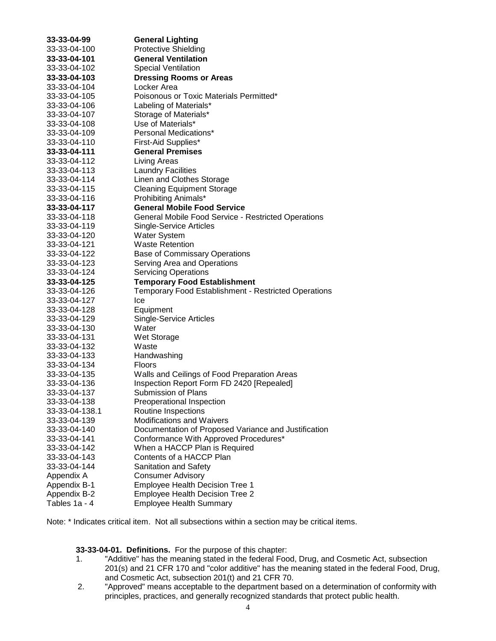| 33-33-04-99    | <b>General Lighting</b>                                     |
|----------------|-------------------------------------------------------------|
| 33-33-04-100   | <b>Protective Shielding</b>                                 |
| 33-33-04-101   | <b>General Ventilation</b>                                  |
| 33-33-04-102   | <b>Special Ventilation</b>                                  |
| 33-33-04-103   | <b>Dressing Rooms or Areas</b>                              |
| 33-33-04-104   | Locker Area                                                 |
| 33-33-04-105   | Poisonous or Toxic Materials Permitted*                     |
| 33-33-04-106   | Labeling of Materials*                                      |
| 33-33-04-107   | Storage of Materials*                                       |
| 33-33-04-108   | Use of Materials*                                           |
| 33-33-04-109   | Personal Medications*                                       |
| 33-33-04-110   | First-Aid Supplies*                                         |
| 33-33-04-111   | <b>General Premises</b>                                     |
| 33-33-04-112   | Living Areas                                                |
| 33-33-04-113   | <b>Laundry Facilities</b>                                   |
| 33-33-04-114   | Linen and Clothes Storage                                   |
| 33-33-04-115   | <b>Cleaning Equipment Storage</b>                           |
| 33-33-04-116   | Prohibiting Animals*                                        |
| 33-33-04-117   | <b>General Mobile Food Service</b>                          |
| 33-33-04-118   | General Mobile Food Service - Restricted Operations         |
| 33-33-04-119   | Single-Service Articles                                     |
| 33-33-04-120   | <b>Water System</b>                                         |
| 33-33-04-121   | <b>Waste Retention</b>                                      |
| 33-33-04-122   | <b>Base of Commissary Operations</b>                        |
| 33-33-04-123   | Serving Area and Operations                                 |
| 33-33-04-124   | <b>Servicing Operations</b>                                 |
| 33-33-04-125   | <b>Temporary Food Establishment</b>                         |
| 33-33-04-126   | <b>Temporary Food Establishment - Restricted Operations</b> |
| 33-33-04-127   | Ice                                                         |
| 33-33-04-128   | Equipment                                                   |
| 33-33-04-129   | <b>Single-Service Articles</b>                              |
| 33-33-04-130   | Water                                                       |
| 33-33-04-131   | Wet Storage                                                 |
| 33-33-04-132   | Waste                                                       |
| 33-33-04-133   | Handwashing                                                 |
| 33-33-04-134   | <b>Floors</b>                                               |
| 33-33-04-135   | Walls and Ceilings of Food Preparation Areas                |
| 33-33-04-136   | Inspection Report Form FD 2420 [Repealed]                   |
| 33-33-04-137   | Submission of Plans                                         |
| 33-33-04-138   | Preoperational Inspection                                   |
| 33-33-04-138.1 | Routine Inspections                                         |
| 33-33-04-139   | <b>Modifications and Waivers</b>                            |
| 33-33-04-140   | Documentation of Proposed Variance and Justification        |
| 33-33-04-141   | Conformance With Approved Procedures*                       |
| 33-33-04-142   | When a HACCP Plan is Required                               |
| 33-33-04-143   | Contents of a HACCP Plan                                    |
| 33-33-04-144   | <b>Sanitation and Safety</b>                                |
| Appendix A     | <b>Consumer Advisory</b>                                    |
| Appendix B-1   | <b>Employee Health Decision Tree 1</b>                      |
| Appendix B-2   | <b>Employee Health Decision Tree 2</b>                      |
| Tables 1a - 4  | <b>Employee Health Summary</b>                              |

Note: \* Indicates critical item. Not all subsections within a section may be critical items.

**33-33-04-01. Definitions.** For the purpose of this chapter:

- 1. "Additive" has the meaning stated in the federal Food, Drug, and Cosmetic Act, subsection 201(s) and 21 CFR 170 and "color additive" has the meaning stated in the federal Food, Drug, and Cosmetic Act, subsection 201(t) and 21 CFR 70.
- 2. "Approved" means acceptable to the department based on a determination of conformity with principles, practices, and generally recognized standards that protect public health.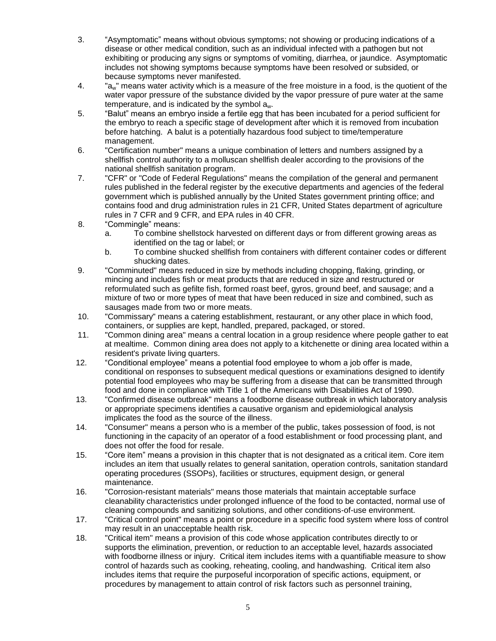- 3. "Asymptomatic" means without obvious symptoms; not showing or producing indications of a disease or other medical condition, such as an individual infected with a pathogen but not exhibiting or producing any signs or symptoms of vomiting, diarrhea, or jaundice. Asymptomatic includes not showing symptoms because symptoms have been resolved or subsided, or because symptoms never manifested.
- 4. "aw" means water activity which is a measure of the free moisture in a food, is the quotient of the water vapor pressure of the substance divided by the vapor pressure of pure water at the same temperature, and is indicated by the symbol aw.
- 5. "Balut" means an embryo inside a fertile egg that has been incubated for a period sufficient for the embryo to reach a specific stage of development after which it is removed from incubation before hatching. A balut is a potentially hazardous food subject to time/temperature management.
- 6. "Certification number" means a unique combination of letters and numbers assigned by a shellfish control authority to a molluscan shellfish dealer according to the provisions of the national shellfish sanitation program.
- 7. "CFR" or "Code of Federal Regulations" means the compilation of the general and permanent rules published in the federal register by the executive departments and agencies of the federal government which is published annually by the United States government printing office; and contains food and drug administration rules in 21 CFR, United States department of agriculture rules in 7 CFR and 9 CFR, and EPA rules in 40 CFR.
- 8. "Commingle" means:
	- a. To combine shellstock harvested on different days or from different growing areas as identified on the tag or label; or
	- b. To combine shucked shellfish from containers with different container codes or different shucking dates.
- 9. "Comminuted" means reduced in size by methods including chopping, flaking, grinding, or mincing and includes fish or meat products that are reduced in size and restructured or reformulated such as gefilte fish, formed roast beef, gyros, ground beef, and sausage; and a mixture of two or more types of meat that have been reduced in size and combined, such as sausages made from two or more meats.
- 10. "Commissary" means a catering establishment, restaurant, or any other place in which food, containers, or supplies are kept, handled, prepared, packaged, or stored.
- 11. "Common dining area" means a central location in a group residence where people gather to eat at mealtime. Common dining area does not apply to a kitchenette or dining area located within a resident's private living quarters.
- 12. "Conditional employee" means a potential food employee to whom a job offer is made, conditional on responses to subsequent medical questions or examinations designed to identify potential food employees who may be suffering from a disease that can be transmitted through food and done in compliance with Title 1 of the Americans with Disabilities Act of 1990.
- 13. "Confirmed disease outbreak" means a foodborne disease outbreak in which laboratory analysis or appropriate specimens identifies a causative organism and epidemiological analysis implicates the food as the source of the illness.
- 14. "Consumer" means a person who is a member of the public, takes possession of food, is not functioning in the capacity of an operator of a food establishment or food processing plant, and does not offer the food for resale.
- 15. "Core item" means a provision in this chapter that is not designated as a critical item. Core item includes an item that usually relates to general sanitation, operation controls, sanitation standard operating procedures (SSOPs), facilities or structures, equipment design, or general maintenance.
- 16. "Corrosion-resistant materials" means those materials that maintain acceptable surface cleanability characteristics under prolonged influence of the food to be contacted, normal use of cleaning compounds and sanitizing solutions, and other conditions-of-use environment.
- 17. "Critical control point" means a point or procedure in a specific food system where loss of control may result in an unacceptable health risk.
- 18. "Critical item" means a provision of this code whose application contributes directly to or supports the elimination, prevention, or reduction to an acceptable level, hazards associated with foodborne illness or injury. Critical item includes items with a quantifiable measure to show control of hazards such as cooking, reheating, cooling, and handwashing. Critical item also includes items that require the purposeful incorporation of specific actions, equipment, or procedures by management to attain control of risk factors such as personnel training,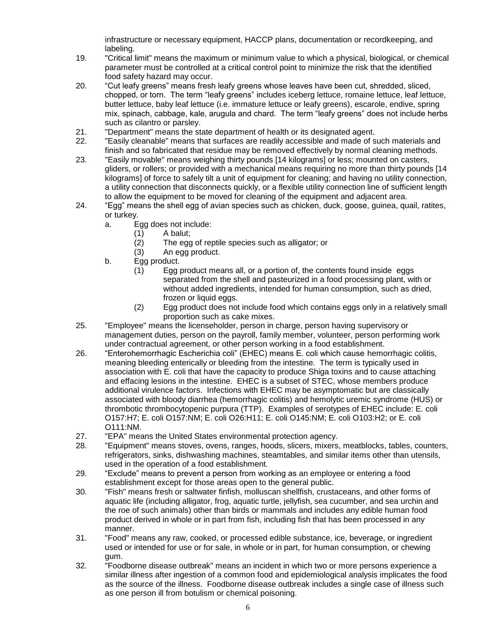infrastructure or necessary equipment, HACCP plans, documentation or recordkeeping, and labeling.

- 19. "Critical limit" means the maximum or minimum value to which a physical, biological, or chemical parameter must be controlled at a critical control point to minimize the risk that the identified food safety hazard may occur.
- 20. "Cut leafy greens" means fresh leafy greens whose leaves have been cut, shredded, sliced, chopped, or torn. The term "leafy greens" includes iceberg lettuce, romaine lettuce, leaf lettuce, butter lettuce, baby leaf lettuce (i.e. immature lettuce or leafy greens), escarole, endive, spring mix, spinach, cabbage, kale, arugula and chard. The term "leafy greens" does not include herbs such as cilantro or parsley.
- 21. "Department" means the state department of health or its designated agent.
- 22. "Easily cleanable" means that surfaces are readily accessible and made of such materials and finish and so fabricated that residue may be removed effectively by normal cleaning methods.
- 23. "Easily movable" means weighing thirty pounds [14 kilograms] or less; mounted on casters, gliders, or rollers; or provided with a mechanical means requiring no more than thirty pounds [14 kilograms] of force to safely tilt a unit of equipment for cleaning; and having no utility connection, a utility connection that disconnects quickly, or a flexible utility connection line of sufficient length to allow the equipment to be moved for cleaning of the equipment and adjacent area.
- 24. "Egg" means the shell egg of avian species such as chicken, duck, goose, guinea, quail, ratites, or turkey.
	- a. Egg does not include:
		- (1)  $\overline{A}$  balut;<br>(2) The egg
			- The egg of reptile species such as alligator; or
		- (3) An egg product.
	- b. Egg product.
		- (1) Egg product means all, or a portion of, the contents found inside eggs separated from the shell and pasteurized in a food processing plant, with or without added ingredients, intended for human consumption, such as dried, frozen or liquid eggs.
		- (2) Egg product does not include food which contains eggs only in a relatively small proportion such as cake mixes.
- 25. "Employee" means the licenseholder, person in charge, person having supervisory or management duties, person on the payroll, family member, volunteer, person performing work under contractual agreement, or other person working in a food establishment.
- 26. "Enterohemorrhagic Escherichia coli" (EHEC) means E. coli which cause hemorrhagic colitis, meaning bleeding enterically or bleeding from the intestine. The term is typically used in association with E. coli that have the capacity to produce Shiga toxins and to cause attaching and effacing lesions in the intestine. EHEC is a subset of STEC, whose members produce additional virulence factors. Infections with EHEC may be asymptomatic but are classically associated with bloody diarrhea (hemorrhagic colitis) and hemolytic uremic syndrome (HUS) or thrombotic thrombocytopenic purpura (TTP). Examples of serotypes of EHEC include: E. coli O157:H7; E. coli O157:NM; E. coli O26:H11; E. coli O145:NM; E. coli O103:H2; or E. coli O111:NM.
- 27. "EPA" means the United States environmental protection agency.
- 28. "Equipment" means stoves, ovens, ranges, hoods, slicers, mixers, meatblocks, tables, counters, refrigerators, sinks, dishwashing machines, steamtables, and similar items other than utensils, used in the operation of a food establishment.
- 29. "Exclude" means to prevent a person from working as an employee or entering a food establishment except for those areas open to the general public.
- 30. "Fish" means fresh or saltwater finfish, molluscan shellfish, crustaceans, and other forms of aquatic life (including alligator, frog, aquatic turtle, jellyfish, sea cucumber, and sea urchin and the roe of such animals) other than birds or mammals and includes any edible human food product derived in whole or in part from fish, including fish that has been processed in any manner.
- 31. "Food" means any raw, cooked, or processed edible substance, ice, beverage, or ingredient used or intended for use or for sale, in whole or in part, for human consumption, or chewing gum.
- 32. "Foodborne disease outbreak" means an incident in which two or more persons experience a similar illness after ingestion of a common food and epidemiological analysis implicates the food as the source of the illness. Foodborne disease outbreak includes a single case of illness such as one person ill from botulism or chemical poisoning.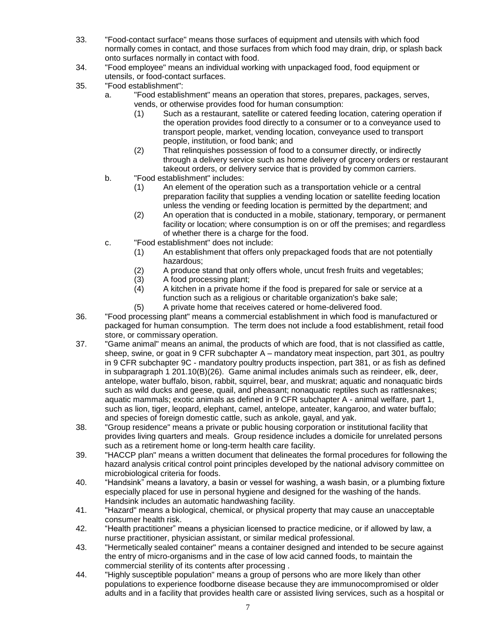- 33. "Food-contact surface" means those surfaces of equipment and utensils with which food normally comes in contact, and those surfaces from which food may drain, drip, or splash back onto surfaces normally in contact with food.
- 34. "Food employee" means an individual working with unpackaged food, food equipment or utensils, or food-contact surfaces.
- 35. "Food establishment":
	- a. "Food establishment" means an operation that stores, prepares, packages, serves, vends, or otherwise provides food for human consumption:
		- (1) Such as a restaurant, satellite or catered feeding location, catering operation if the operation provides food directly to a consumer or to a conveyance used to transport people, market, vending location, conveyance used to transport people, institution, or food bank; and
		- (2) That relinquishes possession of food to a consumer directly, or indirectly through a delivery service such as home delivery of grocery orders or restaurant takeout orders, or delivery service that is provided by common carriers.
	- b. "Food establishment" includes:
		- (1) An element of the operation such as a transportation vehicle or a central preparation facility that supplies a vending location or satellite feeding location unless the vending or feeding location is permitted by the department; and
		- (2) An operation that is conducted in a mobile, stationary, temporary, or permanent facility or location; where consumption is on or off the premises; and regardless of whether there is a charge for the food.
	- c. "Food establishment" does not include:
		- (1) An establishment that offers only prepackaged foods that are not potentially hazardous;
		- (2) A produce stand that only offers whole, uncut fresh fruits and vegetables;
		- (3) A food processing plant;
		- (4) A kitchen in a private home if the food is prepared for sale or service at a function such as a religious or charitable organization's bake sale;
		- (5) A private home that receives catered or home-delivered food.
- 36. "Food processing plant" means a commercial establishment in which food is manufactured or packaged for human consumption. The term does not include a food establishment, retail food store, or commissary operation.
- 37. "Game animal" means an animal, the products of which are food, that is not classified as cattle, sheep, swine, or goat in 9 CFR subchapter A – mandatory meat inspection, part 301, as poultry in 9 CFR subchapter 9C - mandatory poultry products inspection, part 381, or as fish as defined in subparagraph 1 201.10(B)(26). Game animal includes animals such as reindeer, elk, deer, antelope, water buffalo, bison, rabbit, squirrel, bear, and muskrat; aquatic and nonaquatic birds such as wild ducks and geese, quail, and pheasant; nonaquatic reptiles such as rattlesnakes; aquatic mammals; exotic animals as defined in 9 CFR subchapter A - animal welfare, part 1, such as lion, tiger, leopard, elephant, camel, antelope, anteater, kangaroo, and water buffalo; and species of foreign domestic cattle, such as ankole, gayal, and yak.
- 38. "Group residence" means a private or public housing corporation or institutional facility that provides living quarters and meals. Group residence includes a domicile for unrelated persons such as a retirement home or long-term health care facility.
- 39. "HACCP plan" means a written document that delineates the formal procedures for following the hazard analysis critical control point principles developed by the national advisory committee on microbiological criteria for foods.
- 40. "Handsink" means a lavatory, a basin or vessel for washing, a wash basin, or a plumbing fixture especially placed for use in personal hygiene and designed for the washing of the hands. Handsink includes an automatic handwashing facility.
- 41. "Hazard" means a biological, chemical, or physical property that may cause an unacceptable consumer health risk.
- 42. "Health practitioner" means a physician licensed to practice medicine, or if allowed by law, a nurse practitioner, physician assistant, or similar medical professional.
- 43. "Hermetically sealed container" means a container designed and intended to be secure against the entry of micro-organisms and in the case of low acid canned foods, to maintain the commercial sterility of its contents after processing .
- 44. "Highly susceptible population" means a group of persons who are more likely than other populations to experience foodborne disease because they are immunocompromised or older adults and in a facility that provides health care or assisted living services, such as a hospital or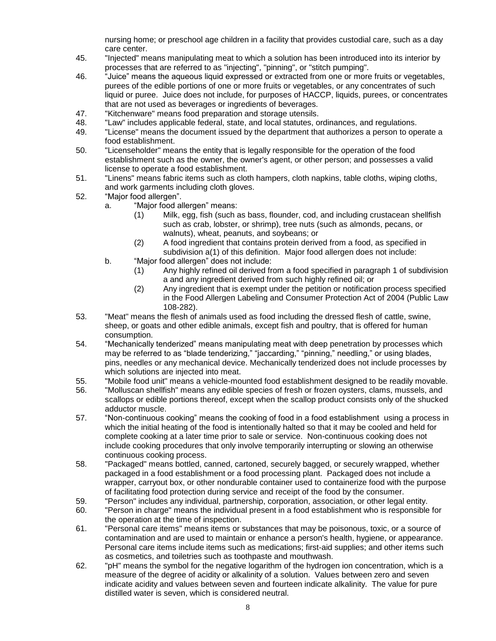nursing home; or preschool age children in a facility that provides custodial care, such as a day care center.

- 45. "Injected" means manipulating meat to which a solution has been introduced into its interior by processes that are referred to as "injecting", "pinning", or "stitch pumping".
- 46. "Juice" means the aqueous liquid expressed or extracted from one or more fruits or vegetables, purees of the edible portions of one or more fruits or vegetables, or any concentrates of such liquid or puree. Juice does not include, for purposes of HACCP, liquids, purees, or concentrates that are not used as beverages or ingredients of beverages.
- 47. "Kitchenware" means food preparation and storage utensils.
- 48. "Law" includes applicable federal, state, and local statutes, ordinances, and regulations.
- 49. "License" means the document issued by the department that authorizes a person to operate a food establishment.
- 50. "Licenseholder" means the entity that is legally responsible for the operation of the food establishment such as the owner, the owner's agent, or other person; and possesses a valid license to operate a food establishment.
- 51. "Linens" means fabric items such as cloth hampers, cloth napkins, table cloths, wiping cloths, and work garments including cloth gloves.
- 52. "Major food allergen".
	- a. "Major food allergen" means:
		- (1) Milk, egg, fish (such as bass, flounder, cod, and including crustacean shellfish such as crab, lobster, or shrimp), tree nuts (such as almonds, pecans, or walnuts), wheat, peanuts, and soybeans; or
		- (2) A food ingredient that contains protein derived from a food, as specified in subdivision a(1) of this definition. Major food allergen does not include:
	- b. "Major food allergen" does not include:
		- (1) Any highly refined oil derived from a food specified in paragraph 1 of subdivision a and any ingredient derived from such highly refined oil; or
		- (2) Any ingredient that is exempt under the petition or notification process specified in the Food Allergen Labeling and Consumer Protection Act of 2004 (Public Law 108-282).
- 53. "Meat" means the flesh of animals used as food including the dressed flesh of cattle, swine, sheep, or goats and other edible animals, except fish and poultry, that is offered for human consumption.
- 54. "Mechanically tenderized" means manipulating meat with deep penetration by processes which may be referred to as "blade tenderizing," "jaccarding," "pinning," needling," or using blades, pins, needles or any mechanical device. Mechanically tenderized does not include processes by which solutions are injected into meat.
- 55. "Mobile food unit" means a vehicle-mounted food establishment designed to be readily movable.
- 56. "Molluscan shellfish" means any edible species of fresh or frozen oysters, clams, mussels, and scallops or edible portions thereof, except when the scallop product consists only of the shucked adductor muscle.
- 57. "Non-continuous cooking" means the cooking of food in a food establishment using a process in which the initial heating of the food is intentionally halted so that it may be cooled and held for complete cooking at a later time prior to sale or service. Non-continuous cooking does not include cooking procedures that only involve temporarily interrupting or slowing an otherwise continuous cooking process.
- 58. "Packaged" means bottled, canned, cartoned, securely bagged, or securely wrapped, whether packaged in a food establishment or a food processing plant. Packaged does not include a wrapper, carryout box, or other nondurable container used to containerize food with the purpose of facilitating food protection during service and receipt of the food by the consumer.
- 59. "Person" includes any individual, partnership, corporation, association, or other legal entity.
- 60. "Person in charge" means the individual present in a food establishment who is responsible for the operation at the time of inspection.
- 61. "Personal care items" means items or substances that may be poisonous, toxic, or a source of contamination and are used to maintain or enhance a person's health, hygiene, or appearance. Personal care items include items such as medications; first-aid supplies; and other items such as cosmetics, and toiletries such as toothpaste and mouthwash.
- 62. "pH" means the symbol for the negative logarithm of the hydrogen ion concentration, which is a measure of the degree of acidity or alkalinity of a solution. Values between zero and seven indicate acidity and values between seven and fourteen indicate alkalinity. The value for pure distilled water is seven, which is considered neutral.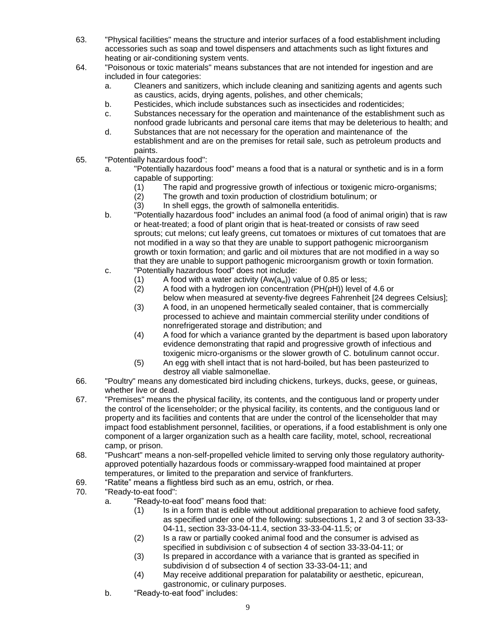- 63. "Physical facilities" means the structure and interior surfaces of a food establishment including accessories such as soap and towel dispensers and attachments such as light fixtures and heating or air-conditioning system vents.
- 64. "Poisonous or toxic materials" means substances that are not intended for ingestion and are included in four categories:
	- a. Cleaners and sanitizers, which include cleaning and sanitizing agents and agents such as caustics, acids, drying agents, polishes, and other chemicals;
	- b. Pesticides, which include substances such as insecticides and rodenticides;
	- c. Substances necessary for the operation and maintenance of the establishment such as nonfood grade lubricants and personal care items that may be deleterious to health; and
	- d. Substances that are not necessary for the operation and maintenance of the establishment and are on the premises for retail sale, such as petroleum products and paints.
- 65. "Potentially hazardous food":
	- a. "Potentially hazardous food" means a food that is a natural or synthetic and is in a form capable of supporting:
		- (1) The rapid and progressive growth of infectious or toxigenic micro-organisms;<br>(2) The growth and toxin production of clostridium botulinum; or
		- The growth and toxin production of clostridium botulinum; or
		- (3) In shell eggs, the growth of salmonella enteritidis.
	- b. "Potentially hazardous food" includes an animal food (a food of animal origin) that is raw or heat-treated; a food of plant origin that is heat-treated or consists of raw seed sprouts; cut melons; cut leafy greens, cut tomatoes or mixtures of cut tomatoes that are not modified in a way so that they are unable to support pathogenic microorganism growth or toxin formation; and garlic and oil mixtures that are not modified in a way so that they are unable to support pathogenic microorganism growth or toxin formation.
	- c. "Potentially hazardous food" does not include:
		- (1) A food with a water activity  $(Aw(a_w))$  value of 0.85 or less;<br>(2) A food with a hydrogen ion concentration (PH(pH)) level o (2) A food with a hydrogen ion concentration (PH(pH)) level of 4.6 or
		- below when measured at seventy-five degrees Fahrenheit [24 degrees Celsius]; (3) A food, in an unopened hermetically sealed container, that is commercially processed to achieve and maintain commercial sterility under conditions of
		- nonrefrigerated storage and distribution; and (4) A food for which a variance granted by the department is based upon laboratory evidence demonstrating that rapid and progressive growth of infectious and
		- toxigenic micro-organisms or the slower growth of C. botulinum cannot occur. (5) An egg with shell intact that is not hard-boiled, but has been pasteurized to destroy all viable salmonellae.
- 66. "Poultry" means any domesticated bird including chickens, turkeys, ducks, geese, or guineas, whether live or dead.
- 67. "Premises" means the physical facility, its contents, and the contiguous land or property under the control of the licenseholder; or the physical facility, its contents, and the contiguous land or property and its facilities and contents that are under the control of the licenseholder that may impact food establishment personnel, facilities, or operations, if a food establishment is only one component of a larger organization such as a health care facility, motel, school, recreational camp, or prison.
- 68. "Pushcart" means a non-self-propelled vehicle limited to serving only those regulatory authorityapproved potentially hazardous foods or commissary-wrapped food maintained at proper temperatures, or limited to the preparation and service of frankfurters.
- 69. "Ratite" means a flightless bird such as an emu, ostrich, or rhea.
- 70. "Ready-to-eat food":
	- a. "Ready-to-eat food" means food that:
		- (1) Is in a form that is edible without additional preparation to achieve food safety, as specified under one of the following: subsections 1, 2 and 3 of section 33-33- 04-11, section 33-33-04-11.4, section 33-33-04-11.5; or
		- (2) Is a raw or partially cooked animal food and the consumer is advised as specified in subdivision c of subsection 4 of section 33-33-04-11; or
		- (3) Is prepared in accordance with a variance that is granted as specified in subdivision d of subsection 4 of section 33-33-04-11; and
		- (4) May receive additional preparation for palatability or aesthetic, epicurean, gastronomic, or culinary purposes.
	- b. "Ready-to-eat food" includes: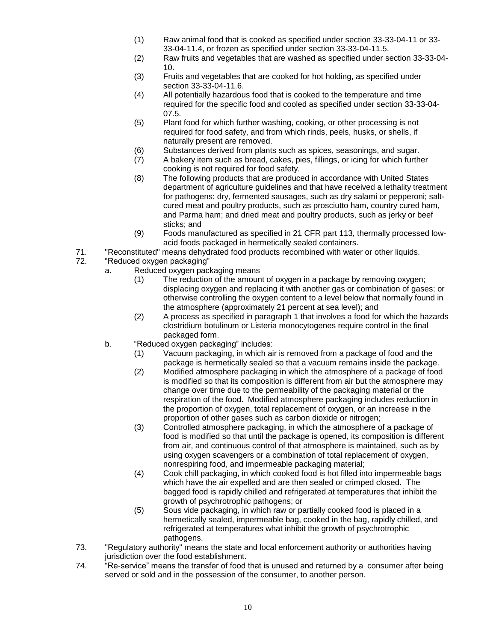- (1) Raw animal food that is cooked as specified under section 33-33-04-11 or 33- 33-04-11.4, or frozen as specified under section 33-33-04-11.5.
- (2) Raw fruits and vegetables that are washed as specified under section 33-33-04- 10.
- (3) Fruits and vegetables that are cooked for hot holding, as specified under section 33-33-04-11.6.
- (4) All potentially hazardous food that is cooked to the temperature and time required for the specific food and cooled as specified under section 33-33-04- 07.5.
- (5) Plant food for which further washing, cooking, or other processing is not required for food safety, and from which rinds, peels, husks, or shells, if naturally present are removed.
- (6) Substances derived from plants such as spices, seasonings, and sugar.
- (7) A bakery item such as bread, cakes, pies, fillings, or icing for which further cooking is not required for food safety.
- (8) The following products that are produced in accordance with United States department of agriculture guidelines and that have received a lethality treatment for pathogens: dry, fermented sausages, such as dry salami or pepperoni; saltcured meat and poultry products, such as prosciutto ham, country cured ham, and Parma ham; and dried meat and poultry products, such as jerky or beef sticks; and
- (9) Foods manufactured as specified in 21 CFR part 113, thermally processed lowacid foods packaged in hermetically sealed containers.
- 71. "Reconstituted" means dehydrated food products recombined with water or other liquids.
- 72. "Reduced oxygen packaging"
	- a. Reduced oxygen packaging means
		- (1) The reduction of the amount of oxygen in a package by removing oxygen; displacing oxygen and replacing it with another gas or combination of gases; or otherwise controlling the oxygen content to a level below that normally found in the atmosphere (approximately 21 percent at sea level); and
		- (2) A process as specified in paragraph 1 that involves a food for which the hazards clostridium botulinum or Listeria monocytogenes require control in the final packaged form.
	- b. "Reduced oxygen packaging" includes:
		- (1) Vacuum packaging, in which air is removed from a package of food and the package is hermetically sealed so that a vacuum remains inside the package.
		- (2) Modified atmosphere packaging in which the atmosphere of a package of food is modified so that its composition is different from air but the atmosphere may change over time due to the permeability of the packaging material or the respiration of the food. Modified atmosphere packaging includes reduction in the proportion of oxygen, total replacement of oxygen, or an increase in the proportion of other gases such as carbon dioxide or nitrogen;
		- (3) Controlled atmosphere packaging, in which the atmosphere of a package of food is modified so that until the package is opened, its composition is different from air, and continuous control of that atmosphere is maintained, such as by using oxygen scavengers or a combination of total replacement of oxygen, nonrespiring food, and impermeable packaging material;
		- (4) Cook chill packaging, in which cooked food is hot filled into impermeable bags which have the air expelled and are then sealed or crimped closed. The bagged food is rapidly chilled and refrigerated at temperatures that inhibit the growth of psychrotrophic pathogens; or
		- (5) Sous vide packaging, in which raw or partially cooked food is placed in a hermetically sealed, impermeable bag, cooked in the bag, rapidly chilled, and refrigerated at temperatures what inhibit the growth of psychrotrophic pathogens.
- 73. "Regulatory authority" means the state and local enforcement authority or authorities having jurisdiction over the food establishment.
- 74. "Re-service" means the transfer of food that is unused and returned by a consumer after being served or sold and in the possession of the consumer, to another person.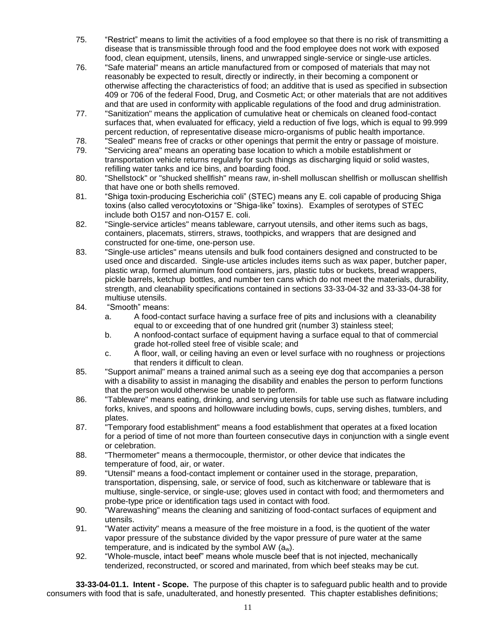- 75. "Restrict" means to limit the activities of a food employee so that there is no risk of transmitting a disease that is transmissible through food and the food employee does not work with exposed food, clean equipment, utensils, linens, and unwrapped single-service or single-use articles.
- 76. "Safe material" means an article manufactured from or composed of materials that may not reasonably be expected to result, directly or indirectly, in their becoming a component or otherwise affecting the characteristics of food; an additive that is used as specified in subsection 409 or 706 of the federal Food, Drug, and Cosmetic Act; or other materials that are not additives and that are used in conformity with applicable regulations of the food and drug administration.
- 77. "Sanitization" means the application of cumulative heat or chemicals on cleaned food-contact surfaces that, when evaluated for efficacy, yield a reduction of five logs, which is equal to 99.999 percent reduction, of representative disease micro-organisms of public health importance.
- 78. "Sealed" means free of cracks or other openings that permit the entry or passage of moisture.
- 79. "Servicing area" means an operating base location to which a mobile establishment or transportation vehicle returns regularly for such things as discharging liquid or solid wastes, refilling water tanks and ice bins, and boarding food.
- 80. "Shellstock" or "shucked shellfish" means raw, in-shell molluscan shellfish or molluscan shellfish that have one or both shells removed.
- 81. "Shiga toxin-producing Escherichia coli" (STEC) means any E. coli capable of producing Shiga toxins (also called verocytotoxins or "Shiga-like" toxins). Examples of serotypes of STEC include both O157 and non-O157 E. coli.
- 82. "Single-service articles" means tableware, carryout utensils, and other items such as bags, containers, placemats, stirrers, straws, toothpicks, and wrappers that are designed and constructed for one-time, one-person use.
- 83. "Single-use articles" means utensils and bulk food containers designed and constructed to be used once and discarded. Single-use articles includes items such as wax paper, butcher paper, plastic wrap, formed aluminum food containers, jars, plastic tubs or buckets, bread wrappers, pickle barrels, ketchup bottles, and number ten cans which do not meet the materials, durability, strength, and cleanability specifications contained in sections 33-33-04-32 and 33-33-04-38 for multiuse utensils.
- 84. "Smooth" means:
	- a. A food-contact surface having a surface free of pits and inclusions with a cleanability equal to or exceeding that of one hundred grit (number 3) stainless steel;
	- b. A nonfood-contact surface of equipment having a surface equal to that of commercial grade hot-rolled steel free of visible scale; and
	- c. A floor, wall, or ceiling having an even or level surface with no roughness or projections that renders it difficult to clean.
- 85. "Support animal" means a trained animal such as a seeing eye dog that accompanies a person with a disability to assist in managing the disability and enables the person to perform functions that the person would otherwise be unable to perform.
- 86. "Tableware" means eating, drinking, and serving utensils for table use such as flatware including forks, knives, and spoons and hollowware including bowls, cups, serving dishes, tumblers, and plates.
- 87. "Temporary food establishment" means a food establishment that operates at a fixed location for a period of time of not more than fourteen consecutive days in conjunction with a single event or celebration.
- 88. "Thermometer" means a thermocouple, thermistor, or other device that indicates the temperature of food, air, or water.
- 89. "Utensil" means a food-contact implement or container used in the storage, preparation, transportation, dispensing, sale, or service of food, such as kitchenware or tableware that is multiuse, single-service, or single-use; gloves used in contact with food; and thermometers and probe-type price or identification tags used in contact with food.
- 90. "Warewashing" means the cleaning and sanitizing of food-contact surfaces of equipment and utensils.
- 91. "Water activity" means a measure of the free moisture in a food, is the quotient of the water vapor pressure of the substance divided by the vapor pressure of pure water at the same temperature, and is indicated by the symbol AW  $(a_w)$ .
- 92. "Whole-muscle, intact beef" means whole muscle beef that is not injected, mechanically tenderized, reconstructed, or scored and marinated, from which beef steaks may be cut.

**33-33-04-01.1. Intent - Scope.** The purpose of this chapter is to safeguard public health and to provide consumers with food that is safe, unadulterated, and honestly presented. This chapter establishes definitions;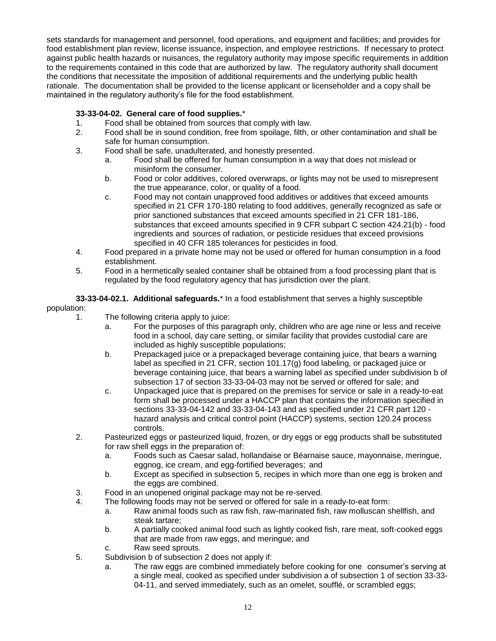sets standards for management and personnel, food operations, and equipment and facilities; and provides for food establishment plan review, license issuance, inspection, and employee restrictions. If necessary to protect against public health hazards or nuisances, the regulatory authority may impose specific requirements in addition to the requirements contained in this code that are authorized by law. The regulatory authority shall document the conditions that necessitate the imposition of additional requirements and the underlying public health rationale. The documentation shall be provided to the license applicant or licenseholder and a copy shall be maintained in the regulatory authority's file for the food establishment.

# **33-33-04-02. General care of food supplies.**\*

- 1. Food shall be obtained from sources that comply with law.
- 2. Food shall be in sound condition, free from spoilage, filth, or other contamination and shall be safe for human consumption.
- 3. Food shall be safe, unadulterated, and honestly presented.
	- a. Food shall be offered for human consumption in a way that does not mislead or misinform the consumer.
	- b. Food or color additives, colored overwraps, or lights may not be used to misrepresent the true appearance, color, or quality of a food.
	- c. Food may not contain unapproved food additives or additives that exceed amounts specified in 21 CFR 170-180 relating to food additives, generally recognized as safe or prior sanctioned substances that exceed amounts specified in 21 CFR 181-186, substances that exceed amounts specified in 9 CFR subpart C section 424.21(b) - food ingredients and sources of radiation, or pesticide residues that exceed provisions specified in 40 CFR 185 tolerances for pesticides in food.
- 4. Food prepared in a private home may not be used or offered for human consumption in a food establishment.
- 5. Food in a hermetically sealed container shall be obtained from a food processing plant that is regulated by the food regulatory agency that has jurisdiction over the plant.

**33-33-04-02.1. Additional safeguards.**\* In a food establishment that serves a highly susceptible population:

- - 1. The following criteria apply to juice:
		- a. For the purposes of this paragraph only, children who are age nine or less and receive food in a school, day care setting, or similar facility that provides custodial care are included as highly susceptible populations;
		- b. Prepackaged juice or a prepackaged beverage containing juice, that bears a warning label as specified in 21 CFR, section 101.17(g) food labeling, or packaged juice or beverage containing juice, that bears a warning label as specified under subdivision b of subsection 17 of section 33-33-04-03 may not be served or offered for sale; and
		- c. Unpackaged juice that is prepared on the premises for service or sale in a ready-to-eat form shall be processed under a HACCP plan that contains the information specified in sections 33-33-04-142 and 33-33-04-143 and as specified under 21 CFR part 120 hazard analysis and critical control point (HACCP) systems, section 120.24 process controls.
	- 2. Pasteurized eggs or pasteurized liquid, frozen, or dry eggs or egg products shall be substituted for raw shell eggs in the preparation of:
		- a. Foods such as Caesar salad, hollandaise or Béarnaise sauce, mayonnaise, meringue, eggnog, ice cream, and egg-fortified beverages; and
		- b. Except as specified in subsection 5, recipes in which more than one egg is broken and the eggs are combined.
	- 3. Food in an unopened original package may not be re-served.
	- 4. The following foods may not be served or offered for sale in a ready-to-eat form:
		- a. Raw animal foods such as raw fish, raw-marinated fish, raw molluscan shellfish, and steak tartare;
		- b. A partially cooked animal food such as lightly cooked fish, rare meat, soft-cooked eggs that are made from raw eggs, and meringue; and
		- c. Raw seed sprouts.
	- 5. Subdivision b of subsection 2 does not apply if:
		- a. The raw eggs are combined immediately before cooking for one consumer's serving at a single meal, cooked as specified under subdivision a of subsection 1 of section 33-33- 04-11, and served immediately, such as an omelet, soufflé, or scrambled eggs;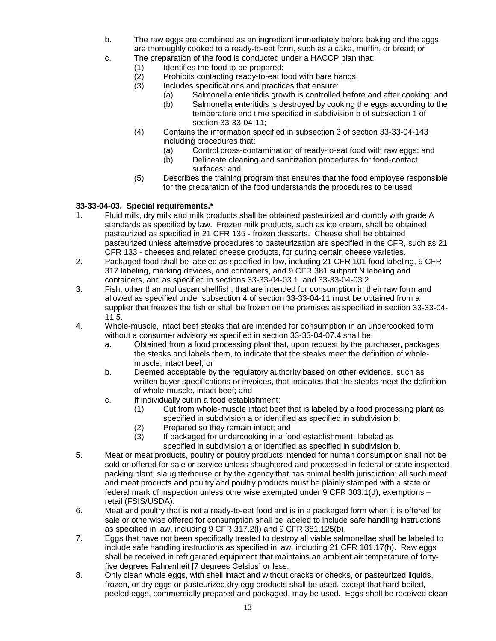- b. The raw eggs are combined as an ingredient immediately before baking and the eggs are thoroughly cooked to a ready-to-eat form, such as a cake, muffin, or bread; or
- c. The preparation of the food is conducted under a HACCP plan that:
	- (1) Identifies the food to be prepared;
	- (2) Prohibits contacting ready-to-eat food with bare hands;
	- (3) Includes specifications and practices that ensure:
		- (a) Salmonella enteritidis growth is controlled before and after cooking; and
		- (b) Salmonella enteritidis is destroyed by cooking the eggs according to the temperature and time specified in subdivision b of subsection 1 of section 33-33-04-11;
	- (4) Contains the information specified in subsection 3 of section 33-33-04-143 including procedures that:
		- (a) Control cross-contamination of ready-to-eat food with raw eggs; and
		- (b) Delineate cleaning and sanitization procedures for food-contact surfaces; and
	- (5) Describes the training program that ensures that the food employee responsible for the preparation of the food understands the procedures to be used.

# **33-33-04-03. Special requirements.\***

- 1. Fluid milk, dry milk and milk products shall be obtained pasteurized and comply with grade A standards as specified by law. Frozen milk products, such as ice cream, shall be obtained pasteurized as specified in 21 CFR 135 - frozen desserts. Cheese shall be obtained pasteurized unless alternative procedures to pasteurization are specified in the CFR, such as 21 CFR 133 - cheeses and related cheese products, for curing certain cheese varieties.
- 2. Packaged food shall be labeled as specified in law, including 21 CFR 101 food labeling, 9 CFR 317 labeling, marking devices, and containers, and 9 CFR 381 subpart N labeling and containers, and as specified in sections 33-33-04-03.1 and 33-33-04-03.2
- 3. Fish, other than molluscan shellfish, that are intended for consumption in their raw form and allowed as specified under subsection 4 of section 33-33-04-11 must be obtained from a supplier that freezes the fish or shall be frozen on the premises as specified in section 33-33-04- 11.5.
- 4. Whole-muscle, intact beef steaks that are intended for consumption in an undercooked form without a consumer advisory as specified in section 33-33-04-07.4 shall be:
	- a. Obtained from a food processing plant that, upon request by the purchaser, packages the steaks and labels them, to indicate that the steaks meet the definition of wholemuscle, intact beef; or
	- b. Deemed acceptable by the regulatory authority based on other evidence, such as written buyer specifications or invoices, that indicates that the steaks meet the definition of whole-muscle, intact beef; and
	- c. If individually cut in a food establishment:
		- (1) Cut from whole-muscle intact beef that is labeled by a food processing plant as specified in subdivision a or identified as specified in subdivision b;
		- (2) Prepared so they remain intact; and<br>(3) If packaged for undercooking in a for
			- If packaged for undercooking in a food establishment, labeled as specified in subdivision a or identified as specified in subdivision b.
- 5. Meat or meat products, poultry or poultry products intended for human consumption shall not be sold or offered for sale or service unless slaughtered and processed in federal or state inspected packing plant, slaughterhouse or by the agency that has animal health jurisdiction; all such meat and meat products and poultry and poultry products must be plainly stamped with a state or federal mark of inspection unless otherwise exempted under 9 CFR 303.1(d), exemptions – retail (FSIS/USDA).
- 6. Meat and poultry that is not a ready-to-eat food and is in a packaged form when it is offered for sale or otherwise offered for consumption shall be labeled to include safe handling instructions as specified in law, including 9 CFR 317.2(l) and 9 CFR 381.125(b).
- 7. Eggs that have not been specifically treated to destroy all viable salmonellae shall be labeled to include safe handling instructions as specified in law, including 21 CFR 101.17(h). Raw eggs shall be received in refrigerated equipment that maintains an ambient air temperature of fortyfive degrees Fahrenheit [7 degrees Celsius] or less.
- 8. Only clean whole eggs, with shell intact and without cracks or checks, or pasteurized liquids, frozen, or dry eggs or pasteurized dry egg products shall be used, except that hard-boiled, peeled eggs, commercially prepared and packaged, may be used. Eggs shall be received clean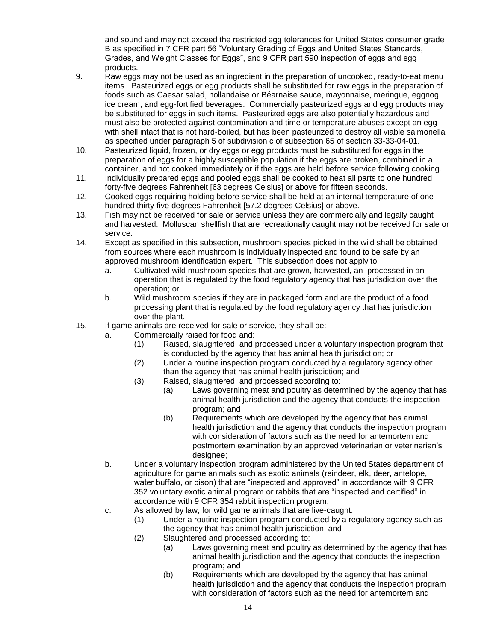and sound and may not exceed the restricted egg tolerances for United States consumer grade B as specified in 7 CFR part 56 "Voluntary Grading of Eggs and United States Standards, Grades, and Weight Classes for Eggs", and 9 CFR part 590 inspection of eggs and egg products.

- 9. Raw eggs may not be used as an ingredient in the preparation of uncooked, ready-to-eat menu items. Pasteurized eggs or egg products shall be substituted for raw eggs in the preparation of foods such as Caesar salad, hollandaise or Béarnaise sauce, mayonnaise, meringue, eggnog, ice cream, and egg-fortified beverages. Commercially pasteurized eggs and egg products may be substituted for eggs in such items. Pasteurized eggs are also potentially hazardous and must also be protected against contamination and time or temperature abuses except an egg with shell intact that is not hard-boiled, but has been pasteurized to destroy all viable salmonella as specified under paragraph 5 of subdivision c of subsection 65 of section 33-33-04-01.
- 10. Pasteurized liquid, frozen, or dry eggs or egg products must be substituted for eggs in the preparation of eggs for a highly susceptible population if the eggs are broken, combined in a container, and not cooked immediately or if the eggs are held before service following cooking.
- 11. Individually prepared eggs and pooled eggs shall be cooked to heat all parts to one hundred forty-five degrees Fahrenheit [63 degrees Celsius] or above for fifteen seconds.
- 12. Cooked eggs requiring holding before service shall be held at an internal temperature of one hundred thirty-five degrees Fahrenheit [57.2 degrees Celsius] or above.
- 13. Fish may not be received for sale or service unless they are commercially and legally caught and harvested. Molluscan shellfish that are recreationally caught may not be received for sale or service.
- 14. Except as specified in this subsection, mushroom species picked in the wild shall be obtained from sources where each mushroom is individually inspected and found to be safe by an approved mushroom identification expert. This subsection does not apply to:
	- a. Cultivated wild mushroom species that are grown, harvested, an processed in an operation that is regulated by the food regulatory agency that has jurisdiction over the operation; or
	- b. Wild mushroom species if they are in packaged form and are the product of a food processing plant that is regulated by the food regulatory agency that has jurisdiction over the plant.
- 15. If game animals are received for sale or service, they shall be:
	- a. Commercially raised for food and:
		- (1) Raised, slaughtered, and processed under a voluntary inspection program that is conducted by the agency that has animal health jurisdiction; or
		- (2) Under a routine inspection program conducted by a regulatory agency other than the agency that has animal health jurisdiction; and
		- (3) Raised, slaughtered, and processed according to:
			- (a) Laws governing meat and poultry as determined by the agency that has animal health jurisdiction and the agency that conducts the inspection program; and
				- (b) Requirements which are developed by the agency that has animal health jurisdiction and the agency that conducts the inspection program with consideration of factors such as the need for antemortem and postmortem examination by an approved veterinarian or veterinarian's designee;
	- b. Under a voluntary inspection program administered by the United States department of agriculture for game animals such as exotic animals (reindeer, elk, deer, antelope, water buffalo, or bison) that are "inspected and approved" in accordance with 9 CFR 352 voluntary exotic animal program or rabbits that are "inspected and certified" in accordance with 9 CFR 354 rabbit inspection program;
	- c. As allowed by law, for wild game animals that are live-caught:
		- (1) Under a routine inspection program conducted by a regulatory agency such as the agency that has animal health jurisdiction; and
		- (2) Slaughtered and processed according to:
			- (a) Laws governing meat and poultry as determined by the agency that has animal health jurisdiction and the agency that conducts the inspection program; and
			- (b) Requirements which are developed by the agency that has animal health jurisdiction and the agency that conducts the inspection program with consideration of factors such as the need for antemortem and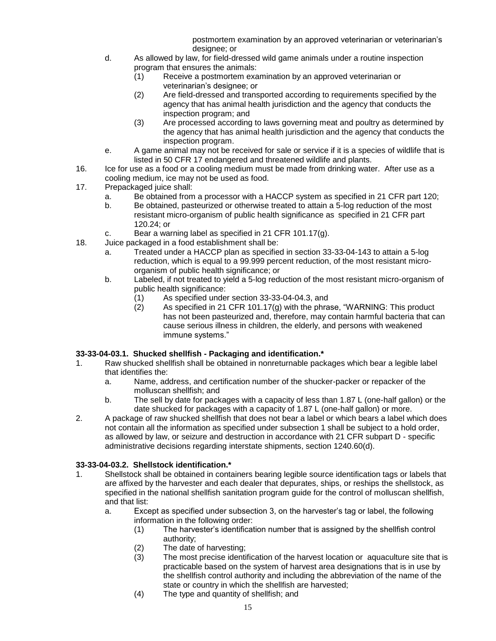postmortem examination by an approved veterinarian or veterinarian's designee; or

- d. As allowed by law, for field-dressed wild game animals under a routine inspection program that ensures the animals:
	- (1) Receive a postmortem examination by an approved veterinarian or veterinarian's designee; or
	- (2) Are field-dressed and transported according to requirements specified by the agency that has animal health jurisdiction and the agency that conducts the inspection program; and
	- (3) Are processed according to laws governing meat and poultry as determined by the agency that has animal health jurisdiction and the agency that conducts the inspection program.
- e. A game animal may not be received for sale or service if it is a species of wildlife that is listed in 50 CFR 17 endangered and threatened wildlife and plants.
- 16. Ice for use as a food or a cooling medium must be made from drinking water. After use as a cooling medium, ice may not be used as food.
- 17. Prepackaged juice shall:
	- a. Be obtained from a processor with a HACCP system as specified in 21 CFR part 120;
	- b. Be obtained, pasteurized or otherwise treated to attain a 5-log reduction of the most resistant micro-organism of public health significance as specified in 21 CFR part 120.24; or
	- c. Bear a warning label as specified in 21 CFR 101.17(g).
- 18. Juice packaged in a food establishment shall be:
	- a. Treated under a HACCP plan as specified in section 33-33-04-143 to attain a 5-log reduction, which is equal to a 99.999 percent reduction, of the most resistant microorganism of public health significance; or
	- b. Labeled, if not treated to yield a 5-log reduction of the most resistant micro-organism of public health significance:
		- (1) As specified under section 33-33-04-04.3, and
		- $(2)$  As specified in 21 CFR 101.17 $(g)$  with the phrase, "WARNING: This product has not been pasteurized and, therefore, may contain harmful bacteria that can cause serious illness in children, the elderly, and persons with weakened immune systems."

# **33-33-04-03.1. Shucked shellfish - Packaging and identification.\***

- 1. Raw shucked shellfish shall be obtained in nonreturnable packages which bear a legible label that identifies the:
	- a. Name, address, and certification number of the shucker-packer or repacker of the molluscan shellfish; and
	- b. The sell by date for packages with a capacity of less than 1.87 L (one-half gallon) or the date shucked for packages with a capacity of 1.87 L (one-half gallon) or more.
- 2. A package of raw shucked shellfish that does not bear a label or which bears a label which does not contain all the information as specified under subsection 1 shall be subject to a hold order, as allowed by law, or seizure and destruction in accordance with 21 CFR subpart D - specific administrative decisions regarding interstate shipments, section 1240.60(d).

# **33-33-04-03.2. Shellstock identification.\***

- 1. Shellstock shall be obtained in containers bearing legible source identification tags or labels that are affixed by the harvester and each dealer that depurates, ships, or reships the shellstock, as specified in the national shellfish sanitation program guide for the control of molluscan shellfish, and that list:
	- a. Except as specified under subsection 3, on the harvester's tag or label, the following information in the following order:
		- (1) The harvester's identification number that is assigned by the shellfish control authority;
		- (2) The date of harvesting;
		- (3) The most precise identification of the harvest location or aquaculture site that is practicable based on the system of harvest area designations that is in use by the shellfish control authority and including the abbreviation of the name of the state or country in which the shellfish are harvested;
		- (4) The type and quantity of shellfish; and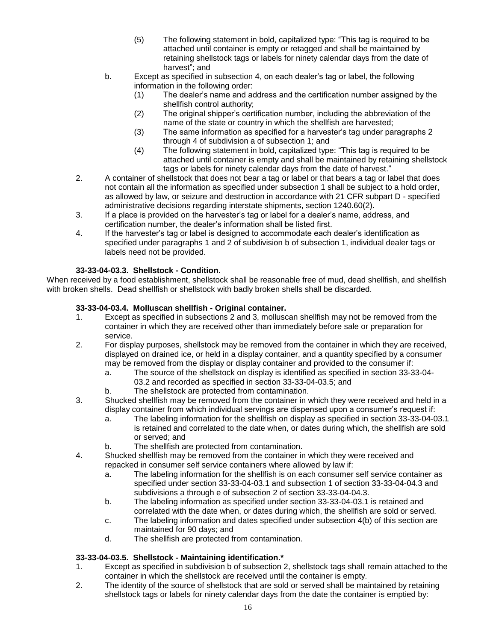- (5) The following statement in bold, capitalized type: "This tag is required to be attached until container is empty or retagged and shall be maintained by retaining shellstock tags or labels for ninety calendar days from the date of harvest"; and
- b. Except as specified in subsection 4, on each dealer's tag or label, the following information in the following order:
	- (1) The dealer's name and address and the certification number assigned by the shellfish control authority;
	- (2) The original shipper's certification number, including the abbreviation of the name of the state or country in which the shellfish are harvested;
	- (3) The same information as specified for a harvester's tag under paragraphs 2 through 4 of subdivision a of subsection 1; and
	- (4) The following statement in bold, capitalized type: "This tag is required to be attached until container is empty and shall be maintained by retaining shellstock tags or labels for ninety calendar days from the date of harvest."
- 2. A container of shellstock that does not bear a tag or label or that bears a tag or label that does not contain all the information as specified under subsection 1 shall be subject to a hold order, as allowed by law, or seizure and destruction in accordance with 21 CFR subpart D - specified administrative decisions regarding interstate shipments, section 1240.60(2).
- 3. If a place is provided on the harvester's tag or label for a dealer's name, address, and certification number, the dealer's information shall be listed first.
- 4. If the harvester's tag or label is designed to accommodate each dealer's identification as specified under paragraphs 1 and 2 of subdivision b of subsection 1, individual dealer tags or labels need not be provided.

# **33-33-04-03.3. Shellstock - Condition.**

When received by a food establishment, shellstock shall be reasonable free of mud, dead shellfish, and shellfish with broken shells. Dead shellfish or shellstock with badly broken shells shall be discarded.

# **33-33-04-03.4. Molluscan shellfish - Original container.**

- 1. Except as specified in subsections 2 and 3, molluscan shellfish may not be removed from the container in which they are received other than immediately before sale or preparation for service.
- 2. For display purposes, shellstock may be removed from the container in which they are received, displayed on drained ice, or held in a display container, and a quantity specified by a consumer may be removed from the display or display container and provided to the consumer if:
	- a. The source of the shellstock on display is identified as specified in section 33-33-04- 03.2 and recorded as specified in section 33-33-04-03.5; and
	- b. The shellstock are protected from contamination.
- 3. Shucked shellfish may be removed from the container in which they were received and held in a display container from which individual servings are dispensed upon a consumer's request if:
	- a. The labeling information for the shellfish on display as specified in section 33-33-04-03.1 is retained and correlated to the date when, or dates during which, the shellfish are sold or served; and
	- b. The shellfish are protected from contamination.
- 4. Shucked shellfish may be removed from the container in which they were received and repacked in consumer self service containers where allowed by law if:
	- a. The labeling information for the shellfish is on each consumer self service container as specified under section 33-33-04-03.1 and subsection 1 of section 33-33-04-04.3 and subdivisions a through e of subsection 2 of section 33-33-04-04.3.
	- b. The labeling information as specified under section 33-33-04-03.1 is retained and correlated with the date when, or dates during which, the shellfish are sold or served.
	- c. The labeling information and dates specified under subsection 4(b) of this section are maintained for 90 days; and
	- d. The shellfish are protected from contamination.

### **33-33-04-03.5. Shellstock - Maintaining identification.\***

- 1. Except as specified in subdivision b of subsection 2, shellstock tags shall remain attached to the container in which the shellstock are received until the container is empty.
- 2. The identity of the source of shellstock that are sold or served shall be maintained by retaining shellstock tags or labels for ninety calendar days from the date the container is emptied by: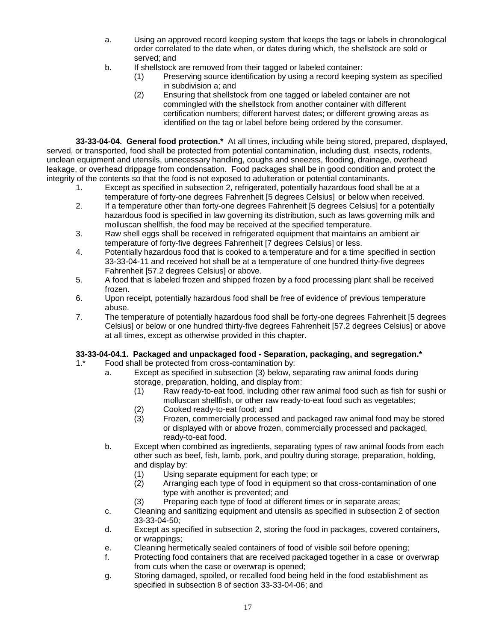- a. Using an approved record keeping system that keeps the tags or labels in chronological order correlated to the date when, or dates during which, the shellstock are sold or served; and
- b. If shellstock are removed from their tagged or labeled container:
	- (1) Preserving source identification by using a record keeping system as specified in subdivision a; and
	- (2) Ensuring that shellstock from one tagged or labeled container are not commingled with the shellstock from another container with different certification numbers; different harvest dates; or different growing areas as identified on the tag or label before being ordered by the consumer.

**33-33-04-04. General food protection.\*** At all times, including while being stored, prepared, displayed, served, or transported, food shall be protected from potential contamination, including dust, insects, rodents, unclean equipment and utensils, unnecessary handling, coughs and sneezes, flooding, drainage, overhead leakage, or overhead drippage from condensation. Food packages shall be in good condition and protect the integrity of the contents so that the food is not exposed to adulteration or potential contaminants.

- 1. Except as specified in subsection 2, refrigerated, potentially hazardous food shall be at a temperature of forty-one degrees Fahrenheit [5 degrees Celsius] or below when received.
- 2. If a temperature other than forty-one degrees Fahrenheit [5 degrees Celsius] for a potentially hazardous food is specified in law governing its distribution, such as laws governing milk and molluscan shellfish, the food may be received at the specified temperature.
- 3. Raw shell eggs shall be received in refrigerated equipment that maintains an ambient air temperature of forty-five degrees Fahrenheit [7 degrees Celsius] or less.
- 4. Potentially hazardous food that is cooked to a temperature and for a time specified in section 33-33-04-11 and received hot shall be at a temperature of one hundred thirty-five degrees Fahrenheit [57.2 degrees Celsius] or above.
- 5. A food that is labeled frozen and shipped frozen by a food processing plant shall be received frozen.
- 6. Upon receipt, potentially hazardous food shall be free of evidence of previous temperature abuse.
- 7. The temperature of potentially hazardous food shall be forty-one degrees Fahrenheit [5 degrees Celsius] or below or one hundred thirty-five degrees Fahrenheit [57.2 degrees Celsius] or above at all times, except as otherwise provided in this chapter.

# **33-33-04-04.1. Packaged and unpackaged food - Separation, packaging, and segregation.\***

- 1.\* Food shall be protected from cross-contamination by:
	- a. Except as specified in subsection (3) below, separating raw animal foods during storage, preparation, holding, and display from:
		- (1) Raw ready-to-eat food, including other raw animal food such as fish for sushi or molluscan shellfish, or other raw ready-to-eat food such as vegetables;
		- (2) Cooked ready-to-eat food; and<br>(3) Frozen, commercially processe
		- Frozen, commercially processed and packaged raw animal food may be stored or displayed with or above frozen, commercially processed and packaged, ready-to-eat food.
	- b. Except when combined as ingredients, separating types of raw animal foods from each other such as beef, fish, lamb, pork, and poultry during storage, preparation, holding, and display by:
		- (1) Using separate equipment for each type; or
		- (2) Arranging each type of food in equipment so that cross-contamination of one type with another is prevented; and
		- (3) Preparing each type of food at different times or in separate areas;
	- c. Cleaning and sanitizing equipment and utensils as specified in subsection 2 of section 33-33-04-50;
	- d. Except as specified in subsection 2, storing the food in packages, covered containers, or wrappings;
	- e. Cleaning hermetically sealed containers of food of visible soil before opening;
	- f. Protecting food containers that are received packaged together in a case or overwrap from cuts when the case or overwrap is opened;
	- g. Storing damaged, spoiled, or recalled food being held in the food establishment as specified in subsection 8 of section 33-33-04-06; and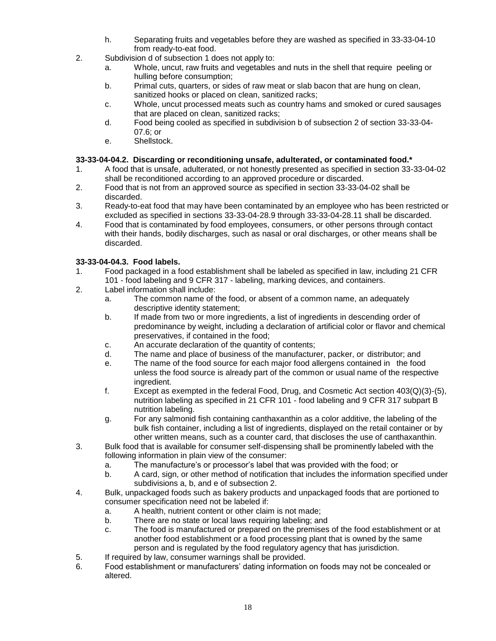- h. Separating fruits and vegetables before they are washed as specified in 33-33-04-10 from ready-to-eat food.
- 2. Subdivision d of subsection 1 does not apply to:
	- a. Whole, uncut, raw fruits and vegetables and nuts in the shell that require peeling or hulling before consumption;
	- b. Primal cuts, quarters, or sides of raw meat or slab bacon that are hung on clean, sanitized hooks or placed on clean, sanitized racks;
	- c. Whole, uncut processed meats such as country hams and smoked or cured sausages that are placed on clean, sanitized racks;
	- d. Food being cooled as specified in subdivision b of subsection 2 of section 33-33-04- 07.6; or
	- e. Shellstock.

### **33-33-04-04.2. Discarding or reconditioning unsafe, adulterated, or contaminated food.\***

- 1. A food that is unsafe, adulterated, or not honestly presented as specified in section 33-33-04-02 shall be reconditioned according to an approved procedure or discarded.
- 2. Food that is not from an approved source as specified in section 33-33-04-02 shall be discarded.
- 3. Ready-to-eat food that may have been contaminated by an employee who has been restricted or excluded as specified in sections 33-33-04-28.9 through 33-33-04-28.11 shall be discarded.
- 4. Food that is contaminated by food employees, consumers, or other persons through contact with their hands, bodily discharges, such as nasal or oral discharges, or other means shall be discarded.

### **33-33-04-04.3. Food labels.**

- 1. Food packaged in a food establishment shall be labeled as specified in law, including 21 CFR 101 - food labeling and 9 CFR 317 - labeling, marking devices, and containers.
- 2. Label information shall include:
	- a. The common name of the food, or absent of a common name, an adequately descriptive identity statement;
	- b. If made from two or more ingredients, a list of ingredients in descending order of predominance by weight, including a declaration of artificial color or flavor and chemical preservatives, if contained in the food;
	- c. An accurate declaration of the quantity of contents;
	- d. The name and place of business of the manufacturer, packer, or distributor; and
	- e. The name of the food source for each major food allergens contained in the food unless the food source is already part of the common or usual name of the respective ingredient.
	- f. Except as exempted in the federal Food, Drug, and Cosmetic Act section 403(Q)(3)-(5), nutrition labeling as specified in 21 CFR 101 - food labeling and 9 CFR 317 subpart B nutrition labeling.
	- g. For any salmonid fish containing canthaxanthin as a color additive, the labeling of the bulk fish container, including a list of ingredients, displayed on the retail container or by other written means, such as a counter card, that discloses the use of canthaxanthin.
- 3. Bulk food that is available for consumer self-dispensing shall be prominently labeled with the following information in plain view of the consumer:
	- a. The manufacture's or processor's label that was provided with the food; or
	- b. A card, sign, or other method of notification that includes the information specified under subdivisions a, b, and e of subsection 2.
- 4. Bulk, unpackaged foods such as bakery products and unpackaged foods that are portioned to consumer specification need not be labeled if:
	- a. A health, nutrient content or other claim is not made;
	- b. There are no state or local laws requiring labeling; and
	- c. The food is manufactured or prepared on the premises of the food establishment or at another food establishment or a food processing plant that is owned by the same person and is regulated by the food regulatory agency that has jurisdiction.
- 5. If required by law, consumer warnings shall be provided.
- 6. Food establishment or manufacturers' dating information on foods may not be concealed or altered.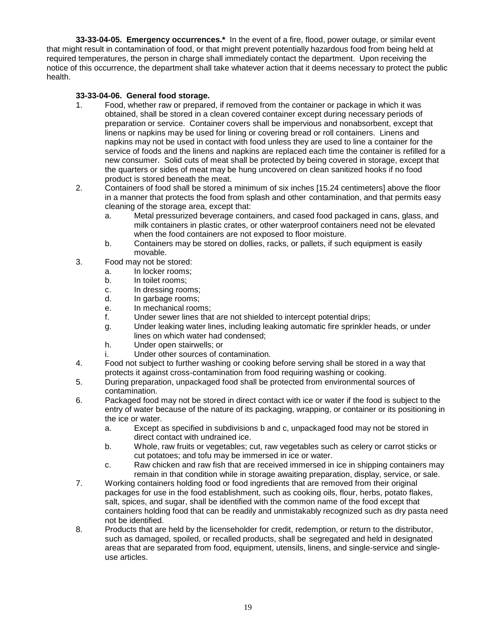**33-33-04-05. Emergency occurrences.\*** In the event of a fire, flood, power outage, or similar event that might result in contamination of food, or that might prevent potentially hazardous food from being held at required temperatures, the person in charge shall immediately contact the department. Upon receiving the notice of this occurrence, the department shall take whatever action that it deems necessary to protect the public health.

### **33-33-04-06. General food storage.**

- 1. Food, whether raw or prepared, if removed from the container or package in which it was obtained, shall be stored in a clean covered container except during necessary periods of preparation or service. Container covers shall be impervious and nonabsorbent, except that linens or napkins may be used for lining or covering bread or roll containers. Linens and napkins may not be used in contact with food unless they are used to line a container for the service of foods and the linens and napkins are replaced each time the container is refilled for a new consumer. Solid cuts of meat shall be protected by being covered in storage, except that the quarters or sides of meat may be hung uncovered on clean sanitized hooks if no food product is stored beneath the meat.
- 2. Containers of food shall be stored a minimum of six inches [15.24 centimeters] above the floor in a manner that protects the food from splash and other contamination, and that permits easy cleaning of the storage area, except that:
	- a. Metal pressurized beverage containers, and cased food packaged in cans, glass, and milk containers in plastic crates, or other waterproof containers need not be elevated when the food containers are not exposed to floor moisture.
	- b. Containers may be stored on dollies, racks, or pallets, if such equipment is easily movable.
- 3. Food may not be stored:
	- a. In locker rooms;
	- b. In toilet rooms;
	- c. In dressing rooms;
	- d. In garbage rooms;
	- e. In mechanical rooms;
	- f. Under sewer lines that are not shielded to intercept potential drips;
	- g. Under leaking water lines, including leaking automatic fire sprinkler heads, or under lines on which water had condensed;
	- h. Under open stairwells; or
	- i. Under other sources of contamination.
- 4. Food not subject to further washing or cooking before serving shall be stored in a way that protects it against cross-contamination from food requiring washing or cooking.
- 5. During preparation, unpackaged food shall be protected from environmental sources of contamination.
- 6. Packaged food may not be stored in direct contact with ice or water if the food is subject to the entry of water because of the nature of its packaging, wrapping, or container or its positioning in the ice or water.
	- a. Except as specified in subdivisions b and c, unpackaged food may not be stored in direct contact with undrained ice.
	- b. Whole, raw fruits or vegetables; cut, raw vegetables such as celery or carrot sticks or cut potatoes; and tofu may be immersed in ice or water.
	- c. Raw chicken and raw fish that are received immersed in ice in shipping containers may remain in that condition while in storage awaiting preparation, display, service, or sale.
- 7. Working containers holding food or food ingredients that are removed from their original packages for use in the food establishment, such as cooking oils, flour, herbs, potato flakes, salt, spices, and sugar, shall be identified with the common name of the food except that containers holding food that can be readily and unmistakably recognized such as dry pasta need not be identified.
- 8. Products that are held by the licenseholder for credit, redemption, or return to the distributor, such as damaged, spoiled, or recalled products, shall be segregated and held in designated areas that are separated from food, equipment, utensils, linens, and single-service and singleuse articles.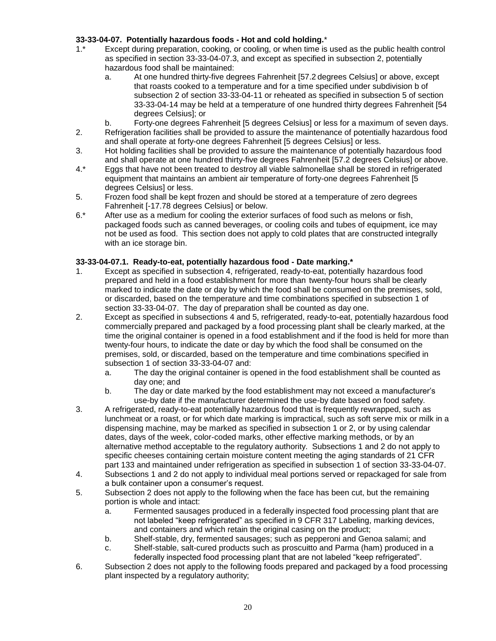### **33-33-04-07. Potentially hazardous foods - Hot and cold holding.**\*

- 1.\* Except during preparation, cooking, or cooling, or when time is used as the public health control as specified in section 33-33-04-07.3, and except as specified in subsection 2, potentially hazardous food shall be maintained:
	- a. At one hundred thirty-five degrees Fahrenheit [57.2 degrees Celsius] or above, except that roasts cooked to a temperature and for a time specified under subdivision b of subsection 2 of section 33-33-04-11 or reheated as specified in subsection 5 of section 33-33-04-14 may be held at a temperature of one hundred thirty degrees Fahrenheit [54 degrees Celsius]; or
	- b. Forty-one degrees Fahrenheit [5 degrees Celsius] or less for a maximum of seven days.
- 2. Refrigeration facilities shall be provided to assure the maintenance of potentially hazardous food and shall operate at forty-one degrees Fahrenheit [5 degrees Celsius] or less.
- 3. Hot holding facilities shall be provided to assure the maintenance of potentially hazardous food and shall operate at one hundred thirty-five degrees Fahrenheit [57.2 degrees Celsius] or above.
- 4.\* Eggs that have not been treated to destroy all viable salmonellae shall be stored in refrigerated equipment that maintains an ambient air temperature of forty-one degrees Fahrenheit [5 degrees Celsius] or less.
- 5. Frozen food shall be kept frozen and should be stored at a temperature of zero degrees Fahrenheit [-17.78 degrees Celsius] or below.
- 6.\* After use as a medium for cooling the exterior surfaces of food such as melons or fish, packaged foods such as canned beverages, or cooling coils and tubes of equipment, ice may not be used as food. This section does not apply to cold plates that are constructed integrally with an ice storage bin.

# **33-33-04-07.1. Ready-to-eat, potentially hazardous food - Date marking.\***

- 1. Except as specified in subsection 4, refrigerated, ready-to-eat, potentially hazardous food prepared and held in a food establishment for more than twenty-four hours shall be clearly marked to indicate the date or day by which the food shall be consumed on the premises, sold, or discarded, based on the temperature and time combinations specified in subsection 1 of section 33-33-04-07. The day of preparation shall be counted as day one.
- 2. Except as specified in subsections 4 and 5, refrigerated, ready-to-eat, potentially hazardous food commercially prepared and packaged by a food processing plant shall be clearly marked, at the time the original container is opened in a food establishment and if the food is held for more than twenty-four hours, to indicate the date or day by which the food shall be consumed on the premises, sold, or discarded, based on the temperature and time combinations specified in subsection 1 of section 33-33-04-07 and:
	- a. The day the original container is opened in the food establishment shall be counted as day one; and
	- b. The day or date marked by the food establishment may not exceed a manufacturer's use-by date if the manufacturer determined the use-by date based on food safety.
- 3. A refrigerated, ready-to-eat potentially hazardous food that is frequently rewrapped, such as lunchmeat or a roast, or for which date marking is impractical, such as soft serve mix or milk in a dispensing machine, may be marked as specified in subsection 1 or 2, or by using calendar dates, days of the week, color-coded marks, other effective marking methods, or by an alternative method acceptable to the regulatory authority. Subsections 1 and 2 do not apply to specific cheeses containing certain moisture content meeting the aging standards of 21 CFR part 133 and maintained under refrigeration as specified in subsection 1 of section 33-33-04-07.
- 4. Subsections 1 and 2 do not apply to individual meal portions served or repackaged for sale from a bulk container upon a consumer's request.
- 5. Subsection 2 does not apply to the following when the face has been cut, but the remaining portion is whole and intact:
	- a. Fermented sausages produced in a federally inspected food processing plant that are not labeled "keep refrigerated" as specified in 9 CFR 317 Labeling, marking devices, and containers and which retain the original casing on the product;
	- b. Shelf-stable, dry, fermented sausages; such as pepperoni and Genoa salami; and
	- c. Shelf-stable, salt-cured products such as proscuitto and Parma (ham) produced in a federally inspected food processing plant that are not labeled "keep refrigerated".
- 6. Subsection 2 does not apply to the following foods prepared and packaged by a food processing plant inspected by a regulatory authority;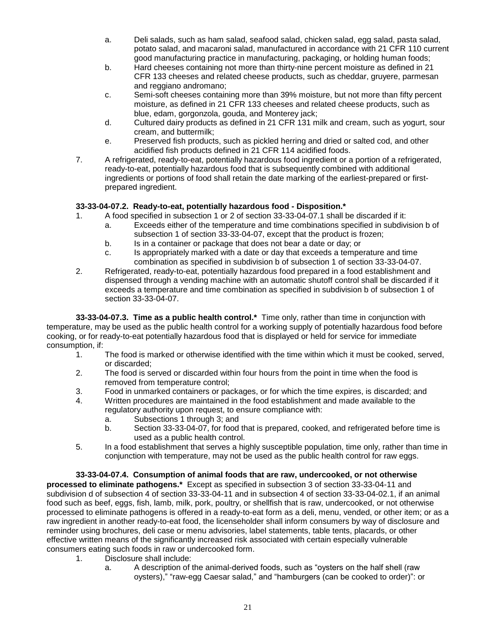- a. Deli salads, such as ham salad, seafood salad, chicken salad, egg salad, pasta salad, potato salad, and macaroni salad, manufactured in accordance with 21 CFR 110 current good manufacturing practice in manufacturing, packaging, or holding human foods;
- b. Hard cheeses containing not more than thirty-nine percent moisture as defined in 21 CFR 133 cheeses and related cheese products, such as cheddar, gruyere, parmesan and reggiano andromano;
- c. Semi-soft cheeses containing more than 39% moisture, but not more than fifty percent moisture, as defined in 21 CFR 133 cheeses and related cheese products, such as blue, edam, gorgonzola, gouda, and Monterey jack;
- d. Cultured dairy products as defined in 21 CFR 131 milk and cream, such as yogurt, sour cream, and buttermilk;
- e. Preserved fish products, such as pickled herring and dried or salted cod, and other acidified fish products defined in 21 CFR 114 acidified foods.
- 7. A refrigerated, ready-to-eat, potentially hazardous food ingredient or a portion of a refrigerated, ready-to-eat, potentially hazardous food that is subsequently combined with additional ingredients or portions of food shall retain the date marking of the earliest-prepared or firstprepared ingredient.

# **33-33-04-07.2. Ready-to-eat, potentially hazardous food - Disposition.\***

- 1. A food specified in subsection 1 or 2 of section 33-33-04-07.1 shall be discarded if it:
	- a. Exceeds either of the temperature and time combinations specified in subdivision b of subsection 1 of section 33-33-04-07, except that the product is frozen;
	- b. Is in a container or package that does not bear a date or day; or
	- c. Is appropriately marked with a date or day that exceeds a temperature and time combination as specified in subdivision b of subsection 1 of section 33-33-04-07.
- 2. Refrigerated, ready-to-eat, potentially hazardous food prepared in a food establishment and dispensed through a vending machine with an automatic shutoff control shall be discarded if it exceeds a temperature and time combination as specified in subdivision b of subsection 1 of section 33-33-04-07.

**33-33-04-07.3. Time as a public health control.\*** Time only, rather than time in conjunction with temperature, may be used as the public health control for a working supply of potentially hazardous food before cooking, or for ready-to-eat potentially hazardous food that is displayed or held for service for immediate consumption, if:

- 1. The food is marked or otherwise identified with the time within which it must be cooked, served, or discarded;
- 2. The food is served or discarded within four hours from the point in time when the food is removed from temperature control;
- 3. Food in unmarked containers or packages, or for which the time expires, is discarded; and
- 4. Written procedures are maintained in the food establishment and made available to the regulatory authority upon request, to ensure compliance with:
	- a. Subsections 1 through 3; and
	- b. Section 33-33-04-07, for food that is prepared, cooked, and refrigerated before time is used as a public health control.
- 5. In a food establishment that serves a highly susceptible population, time only, rather than time in conjunction with temperature, may not be used as the public health control for raw eggs.

**33-33-04-07.4. Consumption of animal foods that are raw, undercooked, or not otherwise processed to eliminate pathogens.\*** Except as specified in subsection 3 of section 33-33-04-11 and subdivision d of subsection 4 of section 33-33-04-11 and in subsection 4 of section 33-33-04-02.1, if an animal food such as beef, eggs, fish, lamb, milk, pork, poultry, or shellfish that is raw, undercooked, or not otherwise processed to eliminate pathogens is offered in a ready-to-eat form as a deli, menu, vended, or other item; or as a raw ingredient in another ready-to-eat food, the licenseholder shall inform consumers by way of disclosure and reminder using brochures, deli case or menu advisories, label statements, table tents, placards, or other effective written means of the significantly increased risk associated with certain especially vulnerable consumers eating such foods in raw or undercooked form.

- 1. Disclosure shall include:
	- a. A description of the animal-derived foods, such as "oysters on the half shell (raw oysters)," "raw-egg Caesar salad," and "hamburgers (can be cooked to order)": or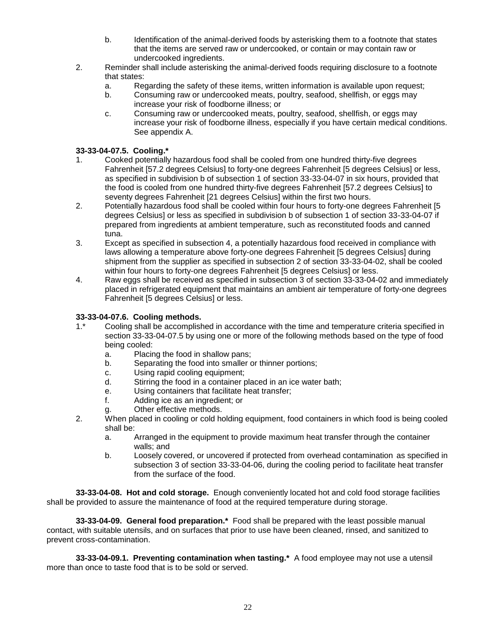- b. Identification of the animal-derived foods by asterisking them to a footnote that states that the items are served raw or undercooked, or contain or may contain raw or undercooked ingredients.
- 2. Reminder shall include asterisking the animal-derived foods requiring disclosure to a footnote that states:
	- a. Regarding the safety of these items, written information is available upon request;
	- b. Consuming raw or undercooked meats, poultry, seafood, shellfish, or eggs may increase your risk of foodborne illness; or
	- c. Consuming raw or undercooked meats, poultry, seafood, shellfish, or eggs may increase your risk of foodborne illness, especially if you have certain medical conditions. See appendix A.

# **33-33-04-07.5. Cooling.\***

- 1. Cooked potentially hazardous food shall be cooled from one hundred thirty-five degrees Fahrenheit [57.2 degrees Celsius] to forty-one degrees Fahrenheit [5 degrees Celsius] or less, as specified in subdivision b of subsection 1 of section 33-33-04-07 in six hours, provided that the food is cooled from one hundred thirty-five degrees Fahrenheit [57.2 degrees Celsius] to seventy degrees Fahrenheit [21 degrees Celsius] within the first two hours.
- 2. Potentially hazardous food shall be cooled within four hours to forty-one degrees Fahrenheit [5 degrees Celsius] or less as specified in subdivision b of subsection 1 of section 33-33-04-07 if prepared from ingredients at ambient temperature, such as reconstituted foods and canned tuna.
- 3. Except as specified in subsection 4, a potentially hazardous food received in compliance with laws allowing a temperature above forty-one degrees Fahrenheit [5 degrees Celsius] during shipment from the supplier as specified in subsection 2 of section 33-33-04-02, shall be cooled within four hours to forty-one degrees Fahrenheit [5 degrees Celsius] or less.
- 4. Raw eggs shall be received as specified in subsection 3 of section 33-33-04-02 and immediately placed in refrigerated equipment that maintains an ambient air temperature of forty-one degrees Fahrenheit [5 degrees Celsius] or less.

# **33-33-04-07.6. Cooling methods.**

- 1.\* Cooling shall be accomplished in accordance with the time and temperature criteria specified in section 33-33-04-07.5 by using one or more of the following methods based on the type of food being cooled:
	- a. Placing the food in shallow pans;
	- b. Separating the food into smaller or thinner portions;
	- c. Using rapid cooling equipment;
	- d. Stirring the food in a container placed in an ice water bath;
	- e. Using containers that facilitate heat transfer;
	- f. Adding ice as an ingredient; or
	- g. Other effective methods.
- 2. When placed in cooling or cold holding equipment, food containers in which food is being cooled shall be:
	- a. Arranged in the equipment to provide maximum heat transfer through the container walls; and
	- b. Loosely covered, or uncovered if protected from overhead contamination as specified in subsection 3 of section 33-33-04-06, during the cooling period to facilitate heat transfer from the surface of the food.

**33-33-04-08. Hot and cold storage.** Enough conveniently located hot and cold food storage facilities shall be provided to assure the maintenance of food at the required temperature during storage.

**33-33-04-09. General food preparation.\*** Food shall be prepared with the least possible manual contact, with suitable utensils, and on surfaces that prior to use have been cleaned, rinsed, and sanitized to prevent cross-contamination.

**33-33-04-09.1. Preventing contamination when tasting.\*** A food employee may not use a utensil more than once to taste food that is to be sold or served.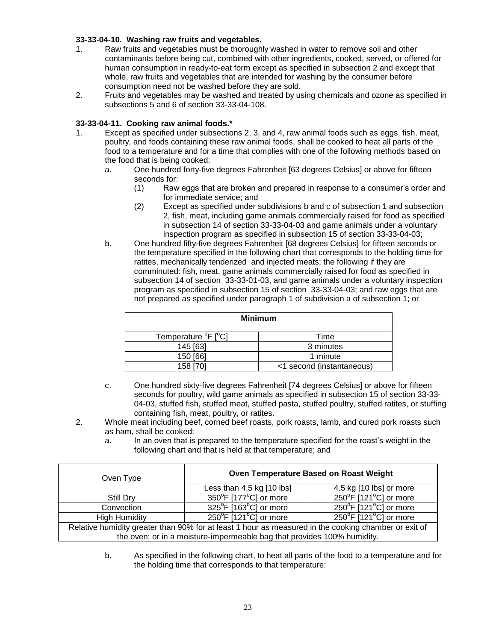### **33-33-04-10. Washing raw fruits and vegetables.**

- 1. Raw fruits and vegetables must be thoroughly washed in water to remove soil and other contaminants before being cut, combined with other ingredients, cooked, served, or offered for human consumption in ready-to-eat form except as specified in subsection 2 and except that whole, raw fruits and vegetables that are intended for washing by the consumer before consumption need not be washed before they are sold.
- 2. Fruits and vegetables may be washed and treated by using chemicals and ozone as specified in subsections 5 and 6 of section 33-33-04-108.

#### **33-33-04-11. Cooking raw animal foods.\***

- 1. Except as specified under subsections 2, 3, and 4, raw animal foods such as eggs, fish, meat, poultry, and foods containing these raw animal foods, shall be cooked to heat all parts of the food to a temperature and for a time that complies with one of the following methods based on the food that is being cooked:
	- a. One hundred forty-five degrees Fahrenheit [63 degrees Celsius] or above for fifteen seconds for:
		- (1) Raw eggs that are broken and prepared in response to a consumer's order and for immediate service; and
		- (2) Except as specified under subdivisions b and c of subsection 1 and subsection 2, fish, meat, including game animals commercially raised for food as specified in subsection 14 of section 33-33-04-03 and game animals under a voluntary inspection program as specified in subsection 15 of section 33-33-04-03;
	- b. One hundred fifty-five degrees Fahrenheit [68 degrees Celsius] for fifteen seconds or the temperature specified in the following chart that corresponds to the holding time for ratites, mechanically tenderized and injected meats; the following if they are comminuted: fish, meat, game animals commercially raised for food as specified in subsection 14 of section 33-33-01-03, and game animals under a voluntary inspection program as specified in subsection 15 of section 33-33-04-03; and raw eggs that are not prepared as specified under paragraph 1 of subdivision a of subsection 1; or

| <b>Minimum</b>                               |                           |  |  |  |
|----------------------------------------------|---------------------------|--|--|--|
| Temperature <sup>o</sup> F [ <sup>o</sup> C] | Time                      |  |  |  |
| 145 [63]                                     | 3 minutes                 |  |  |  |
| 150 [66]                                     | 1 minute                  |  |  |  |
| 158 [70]                                     | <1 second (instantaneous) |  |  |  |

- c. One hundred sixty-five degrees Fahrenheit [74 degrees Celsius] or above for fifteen seconds for poultry, wild game animals as specified in subsection 15 of section 33-33- 04-03, stuffed fish, stuffed meat, stuffed pasta, stuffed poultry, stuffed ratites, or stuffing containing fish, meat, poultry, or ratites.
- 2. Whole meat including beef, corned beef roasts, pork roasts, lamb, and cured pork roasts such as ham, shall be cooked:
	- a. In an oven that is prepared to the temperature specified for the roast's weight in the following chart and that is held at that temperature; and

| Oven Type                                                                                            | Oven Temperature Based on Roast Weight     |                                            |  |  |
|------------------------------------------------------------------------------------------------------|--------------------------------------------|--------------------------------------------|--|--|
|                                                                                                      | Less than $4.5$ kg $[10$ lbs]              | 4.5 kg [10 lbs] or more                    |  |  |
| Still Dry                                                                                            | 350°F [177°C] or more                      | 250°F [121°C] or more                      |  |  |
| Convection                                                                                           | $325^{\circ}$ F [163 $^{\circ}$ C] or more | 250 $\degree$ F [121 $\degree$ C] or more  |  |  |
| <b>High Humidity</b>                                                                                 | $250^{\circ}$ F [121 $^{\circ}$ C] or more | $250^{\circ}$ F [121 $^{\circ}$ C] or more |  |  |
| Relative humidity greater than 90% for at least 1 hour as measured in the cooking chamber or exit of |                                            |                                            |  |  |
| the oven; or in a moisture-impermeable bag that provides 100% humidity.                              |                                            |                                            |  |  |

b. As specified in the following chart, to heat all parts of the food to a temperature and for the holding time that corresponds to that temperature: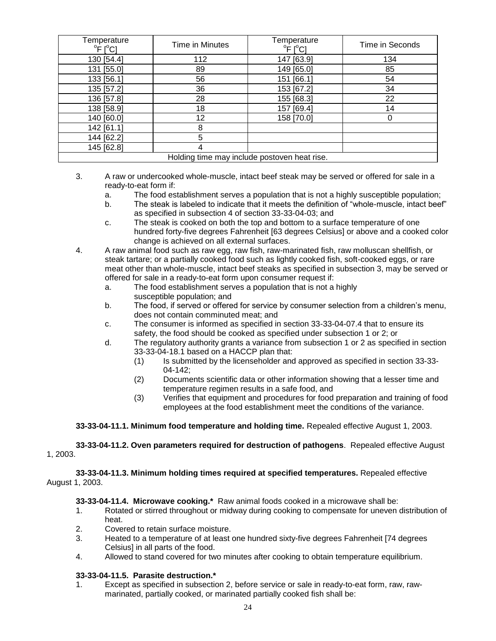| Temperature<br>$^{\circ}$ F [ $^{\circ}$ C]  | Time in Minutes | Temperature<br>$\overline{P}$ F [ $\overline{C}$ ] | Time in Seconds |  |
|----------------------------------------------|-----------------|----------------------------------------------------|-----------------|--|
| 130 [54.4]                                   | 112             | 147 [63.9]                                         | 134             |  |
| 131 [55.0]                                   | 89              | 149 [65.0]                                         | 85              |  |
| 133 [56.1]                                   | 56              | 151 [66.1]                                         | 54              |  |
| 135 [57.2]                                   | 36              | 153 [67.2]                                         | 34              |  |
| 136 [57.8]                                   | 28              | 155 [68.3]                                         | 22              |  |
| 138 [58.9]                                   | 18              | 157 [69.4]                                         | 14              |  |
| 140 [60.0]                                   | 12              | 158 [70.0]                                         |                 |  |
| 142 [61.1]                                   | 8               |                                                    |                 |  |
| 144 [62.2]                                   | 5               |                                                    |                 |  |
| 145 [62.8]                                   | 4               |                                                    |                 |  |
| Holding time may include postoven heat rise. |                 |                                                    |                 |  |

- 3. A raw or undercooked whole-muscle, intact beef steak may be served or offered for sale in a ready-to-eat form if:
	- a. The food establishment serves a population that is not a highly susceptible population;
	- b. The steak is labeled to indicate that it meets the definition of "whole-muscle, intact beef" as specified in subsection 4 of section 33-33-04-03; and
	- c. The steak is cooked on both the top and bottom to a surface temperature of one hundred forty-five degrees Fahrenheit [63 degrees Celsius] or above and a cooked color change is achieved on all external surfaces.
- 4. A raw animal food such as raw egg, raw fish, raw-marinated fish, raw molluscan shellfish, or steak tartare; or a partially cooked food such as lightly cooked fish, soft-cooked eggs, or rare meat other than whole-muscle, intact beef steaks as specified in subsection 3, may be served or offered for sale in a ready-to-eat form upon consumer request if:
	- a. The food establishment serves a population that is not a highly susceptible population; and
	- b. The food, if served or offered for service by consumer selection from a children's menu, does not contain comminuted meat; and
	- c. The consumer is informed as specified in section 33-33-04-07.4 that to ensure its safety, the food should be cooked as specified under subsection 1 or 2; or
	- d. The regulatory authority grants a variance from subsection 1 or 2 as specified in section 33-33-04-18.1 based on a HACCP plan that:
		- (1) Is submitted by the licenseholder and approved as specified in section 33-33- 04-142;
		- (2) Documents scientific data or other information showing that a lesser time and temperature regimen results in a safe food, and
		- (3) Verifies that equipment and procedures for food preparation and training of food employees at the food establishment meet the conditions of the variance.

### **33-33-04-11.1. Minimum food temperature and holding time.** Repealed effective August 1, 2003.

**33-33-04-11.2. Oven parameters required for destruction of pathogens**. Repealed effective August 1, 2003.

**33-33-04-11.3. Minimum holding times required at specified temperatures.** Repealed effective August 1, 2003.

**33-33-04-11.4. Microwave cooking.\*** Raw animal foods cooked in a microwave shall be:

- 1. Rotated or stirred throughout or midway during cooking to compensate for uneven distribution of heat.
- 2. Covered to retain surface moisture.
- 3. Heated to a temperature of at least one hundred sixty-five degrees Fahrenheit [74 degrees Celsius] in all parts of the food.
- 4. Allowed to stand covered for two minutes after cooking to obtain temperature equilibrium.

### **33-33-04-11.5. Parasite destruction.\***

1. Except as specified in subsection 2, before service or sale in ready-to-eat form, raw, rawmarinated, partially cooked, or marinated partially cooked fish shall be: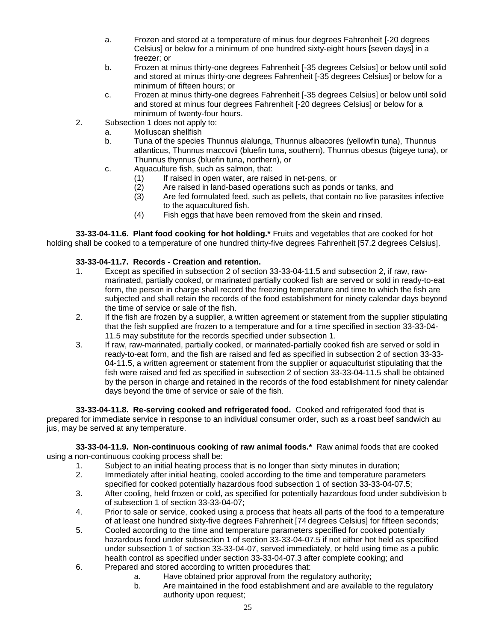- a. Frozen and stored at a temperature of minus four degrees Fahrenheit [-20 degrees Celsius] or below for a minimum of one hundred sixty-eight hours [seven days] in a freezer; or
- b. Frozen at minus thirty-one degrees Fahrenheit [-35 degrees Celsius] or below until solid and stored at minus thirty-one degrees Fahrenheit [-35 degrees Celsius] or below for a minimum of fifteen hours; or
- c. Frozen at minus thirty-one degrees Fahrenheit [-35 degrees Celsius] or below until solid and stored at minus four degrees Fahrenheit [-20 degrees Celsius] or below for a minimum of twenty-four hours.
- 2. Subsection 1 does not apply to:
	- a. Molluscan shellfish
	- b. Tuna of the species Thunnus alalunga, Thunnus albacores (yellowfin tuna), Thunnus atlanticus, Thunnus maccovii (bluefin tuna, southern), Thunnus obesus (bigeye tuna), or Thunnus thynnus (bluefin tuna, northern), or
	- c. Aquaculture fish, such as salmon, that:
		-
		- (1) If raised in open water, are raised in net-pens, or<br>(2) Are raised in land-based operations such as pond  $(2)$  Are raised in land-based operations such as ponds or tanks, and  $(3)$  Are fed formulated feed, such as pellets, that contain no live para
		- Are fed formulated feed, such as pellets, that contain no live parasites infective to the aquacultured fish.
		- (4) Fish eggs that have been removed from the skein and rinsed.

**33-33-04-11.6. Plant food cooking for hot holding.\*** Fruits and vegetables that are cooked for hot holding shall be cooked to a temperature of one hundred thirty-five degrees Fahrenheit [57.2 degrees Celsius].

# **33-33-04-11.7. Records - Creation and retention.**

- 1. Except as specified in subsection 2 of section 33-33-04-11.5 and subsection 2, if raw, rawmarinated, partially cooked, or marinated partially cooked fish are served or sold in ready-to-eat form, the person in charge shall record the freezing temperature and time to which the fish are subjected and shall retain the records of the food establishment for ninety calendar days beyond the time of service or sale of the fish.
- 2. If the fish are frozen by a supplier, a written agreement or statement from the supplier stipulating that the fish supplied are frozen to a temperature and for a time specified in section 33-33-04- 11.5 may substitute for the records specified under subsection 1.
- 3. If raw, raw-marinated, partially cooked, or marinated-partially cooked fish are served or sold in ready-to-eat form, and the fish are raised and fed as specified in subsection 2 of section 33-33- 04-11.5, a written agreement or statement from the supplier or aquaculturist stipulating that the fish were raised and fed as specified in subsection 2 of section 33-33-04-11.5 shall be obtained by the person in charge and retained in the records of the food establishment for ninety calendar days beyond the time of service or sale of the fish.

**33-33-04-11.8. Re-serving cooked and refrigerated food.** Cooked and refrigerated food that is prepared for immediate service in response to an individual consumer order, such as a roast beef sandwich au jus, may be served at any temperature.

**33-33-04-11.9. Non-continuous cooking of raw animal foods.\*** Raw animal foods that are cooked using a non-continuous cooking process shall be:

- 1. Subject to an initial heating process that is no longer than sixty minutes in duration;
- 2. Immediately after initial heating, cooled according to the time and temperature parameters specified for cooked potentially hazardous food subsection 1 of section 33-33-04-07.5;
- 3. After cooling, held frozen or cold, as specified for potentially hazardous food under subdivision b of subsection 1 of section 33-33-04-07;
- 4. Prior to sale or service, cooked using a process that heats all parts of the food to a temperature of at least one hundred sixty-five degrees Fahrenheit [74 degrees Celsius] for fifteen seconds;
- 5. Cooled according to the time and temperature parameters specified for cooked potentially hazardous food under subsection 1 of section 33-33-04-07.5 if not either hot held as specified under subsection 1 of section 33-33-04-07, served immediately, or held using time as a public health control as specified under section 33-33-04-07.3 after complete cooking; and
- 6. Prepared and stored according to written procedures that:
	- a. Have obtained prior approval from the regulatory authority;
	- b. Are maintained in the food establishment and are available to the regulatory authority upon request;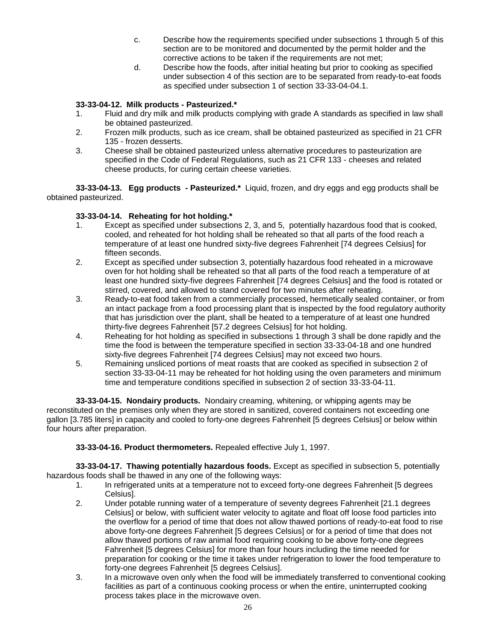- c. Describe how the requirements specified under subsections 1 through 5 of this section are to be monitored and documented by the permit holder and the corrective actions to be taken if the requirements are not met;
- d. Describe how the foods, after initial heating but prior to cooking as specified under subsection 4 of this section are to be separated from ready-to-eat foods as specified under subsection 1 of section 33-33-04-04.1.

### **33-33-04-12. Milk products - Pasteurized.\***

- 1. Fluid and dry milk and milk products complying with grade A standards as specified in law shall be obtained pasteurized.
- 2. Frozen milk products, such as ice cream, shall be obtained pasteurized as specified in 21 CFR 135 - frozen desserts.
- 3. Cheese shall be obtained pasteurized unless alternative procedures to pasteurization are specified in the Code of Federal Regulations, such as 21 CFR 133 - cheeses and related cheese products, for curing certain cheese varieties.

**33-33-04-13. Egg products - Pasteurized.\*** Liquid, frozen, and dry eggs and egg products shall be obtained pasteurized.

# **33-33-04-14. Reheating for hot holding.\***

- 1. Except as specified under subsections 2, 3, and 5, potentially hazardous food that is cooked, cooled, and reheated for hot holding shall be reheated so that all parts of the food reach a temperature of at least one hundred sixty-five degrees Fahrenheit [74 degrees Celsius] for fifteen seconds.
- 2. Except as specified under subsection 3, potentially hazardous food reheated in a microwave oven for hot holding shall be reheated so that all parts of the food reach a temperature of at least one hundred sixty-five degrees Fahrenheit [74 degrees Celsius] and the food is rotated or stirred, covered, and allowed to stand covered for two minutes after reheating.
- 3. Ready-to-eat food taken from a commercially processed, hermetically sealed container, or from an intact package from a food processing plant that is inspected by the food regulatory authority that has jurisdiction over the plant, shall be heated to a temperature of at least one hundred thirty-five degrees Fahrenheit [57.2 degrees Celsius] for hot holding.
- 4. Reheating for hot holding as specified in subsections 1 through 3 shall be done rapidly and the time the food is between the temperature specified in section 33-33-04-18 and one hundred sixty-five degrees Fahrenheit [74 degrees Celsius] may not exceed two hours.
- 5. Remaining unsliced portions of meat roasts that are cooked as specified in subsection 2 of section 33-33-04-11 may be reheated for hot holding using the oven parameters and minimum time and temperature conditions specified in subsection 2 of section 33-33-04-11.

**33-33-04-15. Nondairy products.** Nondairy creaming, whitening, or whipping agents may be reconstituted on the premises only when they are stored in sanitized, covered containers not exceeding one gallon [3.785 liters] in capacity and cooled to forty-one degrees Fahrenheit [5 degrees Celsius] or below within four hours after preparation.

**33-33-04-16. Product thermometers.** Repealed effective July 1, 1997.

**33-33-04-17. Thawing potentially hazardous foods.** Except as specified in subsection 5, potentially hazardous foods shall be thawed in any one of the following ways:

- 1. In refrigerated units at a temperature not to exceed forty-one degrees Fahrenheit [5 degrees Celsius].
- 2. Under potable running water of a temperature of seventy degrees Fahrenheit [21.1 degrees Celsius] or below, with sufficient water velocity to agitate and float off loose food particles into the overflow for a period of time that does not allow thawed portions of ready-to-eat food to rise above forty-one degrees Fahrenheit [5 degrees Celsius] or for a period of time that does not allow thawed portions of raw animal food requiring cooking to be above forty-one degrees Fahrenheit [5 degrees Celsius] for more than four hours including the time needed for preparation for cooking or the time it takes under refrigeration to lower the food temperature to forty-one degrees Fahrenheit [5 degrees Celsius].
- 3. In a microwave oven only when the food will be immediately transferred to conventional cooking facilities as part of a continuous cooking process or when the entire, uninterrupted cooking process takes place in the microwave oven.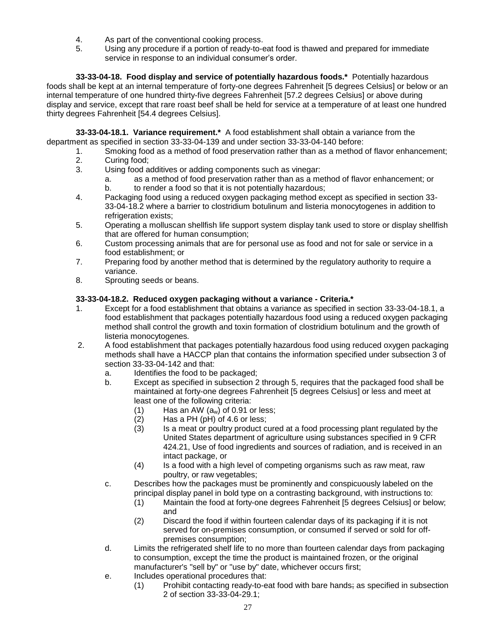- 4. As part of the conventional cooking process.
- 5. Using any procedure if a portion of ready-to-eat food is thawed and prepared for immediate service in response to an individual consumer's order.

**33-33-04-18. Food display and service of potentially hazardous foods.\*** Potentially hazardous foods shall be kept at an internal temperature of forty-one degrees Fahrenheit [5 degrees Celsius] or below or an internal temperature of one hundred thirty-five degrees Fahrenheit [57.2 degrees Celsius] or above during display and service, except that rare roast beef shall be held for service at a temperature of at least one hundred thirty degrees Fahrenheit [54.4 degrees Celsius].

**33-33-04-18.1. Variance requirement.\*** A food establishment shall obtain a variance from the department as specified in section 33-33-04-139 and under section 33-33-04-140 before:

- 1. Smoking food as a method of food preservation rather than as a method of flavor enhancement;
- 2. Curing food;
- 3. Using food additives or adding components such as vinegar:
	- a. as a method of food preservation rather than as a method of flavor enhancement; or b. to render a food so that it is not potentially hazardous;
- 4. Packaging food using a reduced oxygen packaging method except as specified in section 33- 33-04-18.2 where a barrier to clostridium botulinum and listeria monocytogenes in addition to refrigeration exists:
- 5. Operating a molluscan shellfish life support system display tank used to store or display shellfish that are offered for human consumption;
- 6. Custom processing animals that are for personal use as food and not for sale or service in a food establishment; or
- 7. Preparing food by another method that is determined by the regulatory authority to require a variance.
- 8. Sprouting seeds or beans.

# **33-33-04-18.2. Reduced oxygen packaging without a variance - Criteria.\***

- 1. Except for a food establishment that obtains a variance as specified in section 33-33-04-18.1, a food establishment that packages potentially hazardous food using a reduced oxygen packaging method shall control the growth and toxin formation of clostridium botulinum and the growth of listeria monocytogenes*.*
- 2. A food establishment that packages potentially hazardous food using reduced oxygen packaging methods shall have a HACCP plan that contains the information specified under subsection 3 of section 33-33-04-142 and that:
	- a. Identifies the food to be packaged;
	- b. Except as specified in subsection 2 through 5, requires that the packaged food shall be maintained at forty-one degrees Fahrenheit [5 degrees Celsius] or less and meet at least one of the following criteria:
		- (1) Has an AW  $(a_w)$  of 0.91 or less;<br>(2) Has a PH (pH) of 4.6 or less;
		- Has a PH (pH) of 4.6 or less;
		- (3) Is a meat or poultry product cured at a food processing plant regulated by the United States department of agriculture using substances specified in 9 CFR 424.21, Use of food ingredients and sources of radiation, and is received in an intact package, or
		- (4) Is a food with a high level of competing organisms such as raw meat, raw poultry, or raw vegetables;
	- c. Describes how the packages must be prominently and conspicuously labeled on the principal display panel in bold type on a contrasting background, with instructions to:
		- (1) Maintain the food at forty-one degrees Fahrenheit [5 degrees Celsius] or below; and
		- (2) Discard the food if within fourteen calendar days of its packaging if it is not served for on-premises consumption, or consumed if served or sold for offpremises consumption;
	- d. Limits the refrigerated shelf life to no more than fourteen calendar days from packaging to consumption, except the time the product is maintained frozen, or the original manufacturer's "sell by" or "use by" date, whichever occurs first;
	- e. Includes operational procedures that:
		- (1) Prohibit contacting ready-to-eat food with bare hands; as specified in subsection 2 of section 33-33-04-29.1;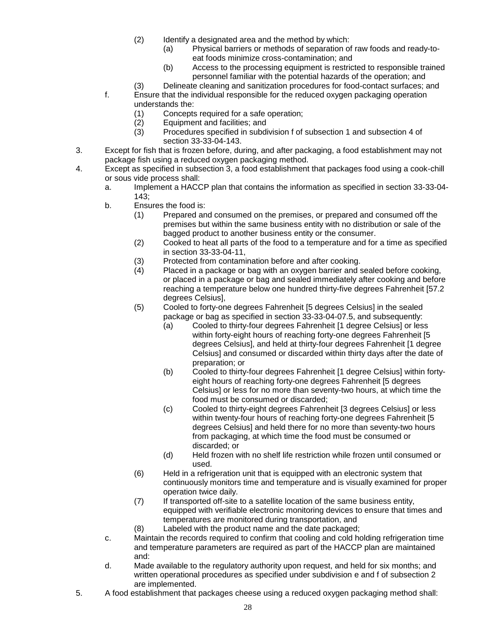- (2) Identify a designated area and the method by which:
	- (a) Physical barriers or methods of separation of raw foods and ready-toeat foods minimize cross-contamination; and
	- (b) Access to the processing equipment is restricted to responsible trained personnel familiar with the potential hazards of the operation; and
- (3) Delineate cleaning and sanitization procedures for food-contact surfaces; and
- f. Ensure that the individual responsible for the reduced oxygen packaging operation understands the:
	- (1) Concepts required for a safe operation;
	- (2) Equipment and facilities; and
	- (3) Procedures specified in subdivision f of subsection 1 and subsection 4 of section 33-33-04-143.
- 3. Except for fish that is frozen before, during, and after packaging, a food establishment may not package fish using a reduced oxygen packaging method.
- 4. Except as specified in subsection 3, a food establishment that packages food using a cook-chill or sous vide process shall:
	- a. Implement a HACCP plan that contains the information as specified in section 33-33-04- 143;
	- b. Ensures the food is:
		- (1) Prepared and consumed on the premises, or prepared and consumed off the premises but within the same business entity with no distribution or sale of the bagged product to another business entity or the consumer.
		- (2) Cooked to heat all parts of the food to a temperature and for a time as specified in section 33-33-04-11,
		- (3) Protected from contamination before and after cooking.
		- (4) Placed in a package or bag with an oxygen barrier and sealed before cooking, or placed in a package or bag and sealed immediately after cooking and before reaching a temperature below one hundred thirty-five degrees Fahrenheit [57.2 degrees Celsius],
		- (5) Cooled to forty-one degrees Fahrenheit [5 degrees Celsius] in the sealed package or bag as specified in section 33-33-04-07.5, and subsequently:
			- (a) Cooled to thirty-four degrees Fahrenheit [1 degree Celsius] or less within forty-eight hours of reaching forty-one degrees Fahrenheit [5 degrees Celsius], and held at thirty-four degrees Fahrenheit [1 degree Celsius] and consumed or discarded within thirty days after the date of preparation; or
			- (b) Cooled to thirty-four degrees Fahrenheit [1 degree Celsius] within fortyeight hours of reaching forty-one degrees Fahrenheit [5 degrees Celsius] or less for no more than seventy-two hours, at which time the food must be consumed or discarded;
			- (c) Cooled to thirty-eight degrees Fahrenheit [3 degrees Celsius] or less within twenty-four hours of reaching forty-one degrees Fahrenheit [5 degrees Celsius] and held there for no more than seventy-two hours from packaging, at which time the food must be consumed or discarded; or
			- (d) Held frozen with no shelf life restriction while frozen until consumed or used.
		- (6) Held in a refrigeration unit that is equipped with an electronic system that continuously monitors time and temperature and is visually examined for proper operation twice daily.
		- (7) If transported off-site to a satellite location of the same business entity, equipped with verifiable electronic monitoring devices to ensure that times and temperatures are monitored during transportation, and
		- (8) Labeled with the product name and the date packaged;
	- c. Maintain the records required to confirm that cooling and cold holding refrigeration time and temperature parameters are required as part of the HACCP plan are maintained and:
	- d. Made available to the regulatory authority upon request, and held for six months; and written operational procedures as specified under subdivision e and f of subsection 2 are implemented.
- 5. A food establishment that packages cheese using a reduced oxygen packaging method shall: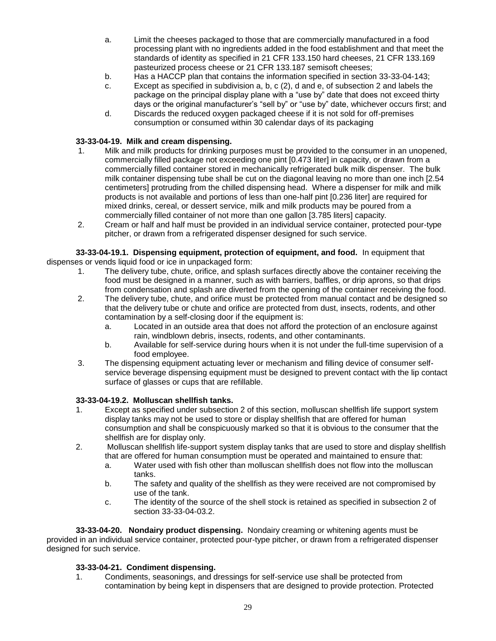- a. Limit the cheeses packaged to those that are commercially manufactured in a food processing plant with no ingredients added in the food establishment and that meet the standards of identity as specified in 21 CFR 133.150 hard cheeses, 21 CFR 133.169 pasteurized process cheese or 21 CFR 133.187 semisoft cheeses;
- b. Has a HACCP plan that contains the information specified in section 33-33-04-143;
- c. Except as specified in subdivision a, b, c (2), d and e, of subsection 2 and labels the package on the principal display plane with a "use by" date that does not exceed thirty days or the original manufacturer's "sell by" or "use by" date, whichever occurs first; and
- d. Discards the reduced oxygen packaged cheese if it is not sold for off-premises consumption or consumed within 30 calendar days of its packaging

### **33-33-04-19. Milk and cream dispensing.**

- 1. Milk and milk products for drinking purposes must be provided to the consumer in an unopened, commercially filled package not exceeding one pint [0.473 liter] in capacity, or drawn from a commercially filled container stored in mechanically refrigerated bulk milk dispenser. The bulk milk container dispensing tube shall be cut on the diagonal leaving no more than one inch [2.54 centimeters] protruding from the chilled dispensing head. Where a dispenser for milk and milk products is not available and portions of less than one-half pint [0.236 liter] are required for mixed drinks, cereal, or dessert service, milk and milk products may be poured from a commercially filled container of not more than one gallon [3.785 liters] capacity.
- 2. Cream or half and half must be provided in an individual service container, protected pour-type pitcher, or drawn from a refrigerated dispenser designed for such service.

#### **33-33-04-19.1. Dispensing equipment, protection of equipment, and food.** In equipment that dispenses or vends liquid food or ice in unpackaged form:

- 1. The delivery tube, chute, orifice, and splash surfaces directly above the container receiving the food must be designed in a manner, such as with barriers, baffles, or drip aprons, so that drips from condensation and splash are diverted from the opening of the container receiving the food.
- 2. The delivery tube, chute, and orifice must be protected from manual contact and be designed so that the delivery tube or chute and orifice are protected from dust, insects, rodents, and other contamination by a self-closing door if the equipment is:
	- a. Located in an outside area that does not afford the protection of an enclosure against rain, windblown debris, insects, rodents, and other contaminants.
	- b. Available for self-service during hours when it is not under the full-time supervision of a food employee.
- 3. The dispensing equipment actuating lever or mechanism and filling device of consumer selfservice beverage dispensing equipment must be designed to prevent contact with the lip contact surface of glasses or cups that are refillable.

#### **33-33-04-19.2. Molluscan shellfish tanks.**

- 1. Except as specified under subsection 2 of this section, molluscan shellfish life support system display tanks may not be used to store or display shellfish that are offered for human consumption and shall be conspicuously marked so that it is obvious to the consumer that the shellfish are for display only.
- 2. Molluscan shellfish life-support system display tanks that are used to store and display shellfish that are offered for human consumption must be operated and maintained to ensure that:
	- a. Water used with fish other than molluscan shellfish does not flow into the molluscan tanks.
	- b. The safety and quality of the shellfish as they were received are not compromised by use of the tank.
	- c. The identity of the source of the shell stock is retained as specified in subsection 2 of section 33-33-04-03.2.

**33-33-04-20. Nondairy product dispensing.** Nondairy creaming or whitening agents must be provided in an individual service container, protected pour-type pitcher, or drawn from a refrigerated dispenser designed for such service.

#### **33-33-04-21. Condiment dispensing.**

1. Condiments, seasonings, and dressings for self-service use shall be protected from contamination by being kept in dispensers that are designed to provide protection. Protected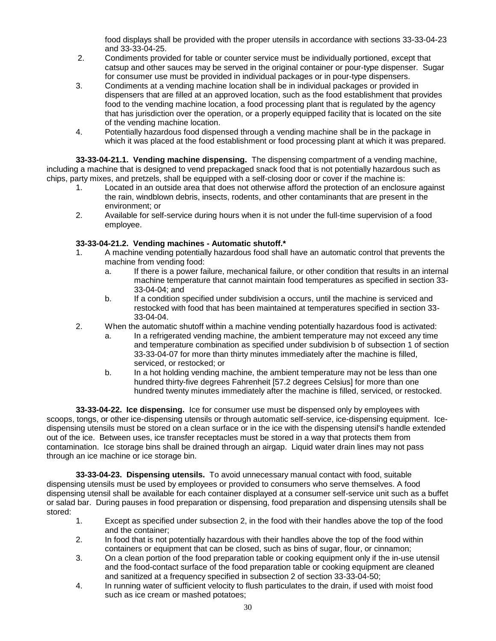food displays shall be provided with the proper utensils in accordance with sections 33-33-04-23 and 33-33-04-25.

- 2. Condiments provided for table or counter service must be individually portioned, except that catsup and other sauces may be served in the original container or pour-type dispenser. Sugar for consumer use must be provided in individual packages or in pour-type dispensers.
- 3. Condiments at a vending machine location shall be in individual packages or provided in dispensers that are filled at an approved location, such as the food establishment that provides food to the vending machine location, a food processing plant that is regulated by the agency that has jurisdiction over the operation, or a properly equipped facility that is located on the site of the vending machine location.
- 4. Potentially hazardous food dispensed through a vending machine shall be in the package in which it was placed at the food establishment or food processing plant at which it was prepared.

**33-33-04-21.1. Vending machine dispensing.** The dispensing compartment of a vending machine, including a machine that is designed to vend prepackaged snack food that is not potentially hazardous such as chips, party mixes, and pretzels, shall be equipped with a self-closing door or cover if the machine is:

- 1. Located in an outside area that does not otherwise afford the protection of an enclosure against the rain, windblown debris, insects, rodents, and other contaminants that are present in the environment; or
- 2. Available for self-service during hours when it is not under the full-time supervision of a food employee.

# **33-33-04-21.2. Vending machines - Automatic shutoff.\***

- 1. A machine vending potentially hazardous food shall have an automatic control that prevents the machine from vending food:
	- a. If there is a power failure, mechanical failure, or other condition that results in an internal machine temperature that cannot maintain food temperatures as specified in section 33- 33-04-04; and
	- b. If a condition specified under subdivision a occurs, until the machine is serviced and restocked with food that has been maintained at temperatures specified in section 33- 33-04-04.
- 2. When the automatic shutoff within a machine vending potentially hazardous food is activated:
	- a. In a refrigerated vending machine, the ambient temperature may not exceed any time and temperature combination as specified under subdivision b of subsection 1 of section 33-33-04-07 for more than thirty minutes immediately after the machine is filled, serviced, or restocked; or
	- b. In a hot holding vending machine, the ambient temperature may not be less than one hundred thirty-five degrees Fahrenheit [57.2 degrees Celsius] for more than one hundred twenty minutes immediately after the machine is filled, serviced, or restocked.

**33-33-04-22. Ice dispensing.** Ice for consumer use must be dispensed only by employees with scoops, tongs, or other ice-dispensing utensils or through automatic self-service, ice-dispensing equipment. Icedispensing utensils must be stored on a clean surface or in the ice with the dispensing utensil's handle extended out of the ice. Between uses, ice transfer receptacles must be stored in a way that protects them from contamination. Ice storage bins shall be drained through an airgap. Liquid water drain lines may not pass through an ice machine or ice storage bin.

**33-33-04-23. Dispensing utensils.** To avoid unnecessary manual contact with food, suitable dispensing utensils must be used by employees or provided to consumers who serve themselves. A food dispensing utensil shall be available for each container displayed at a consumer self-service unit such as a buffet or salad bar. During pauses in food preparation or dispensing, food preparation and dispensing utensils shall be stored:

- 1. Except as specified under subsection 2, in the food with their handles above the top of the food and the container;
- 2. In food that is not potentially hazardous with their handles above the top of the food within containers or equipment that can be closed, such as bins of sugar, flour, or cinnamon;
- 3. On a clean portion of the food preparation table or cooking equipment only if the in-use utensil and the food-contact surface of the food preparation table or cooking equipment are cleaned and sanitized at a frequency specified in subsection 2 of section 33-33-04-50;
- 4. In running water of sufficient velocity to flush particulates to the drain, if used with moist food such as ice cream or mashed potatoes;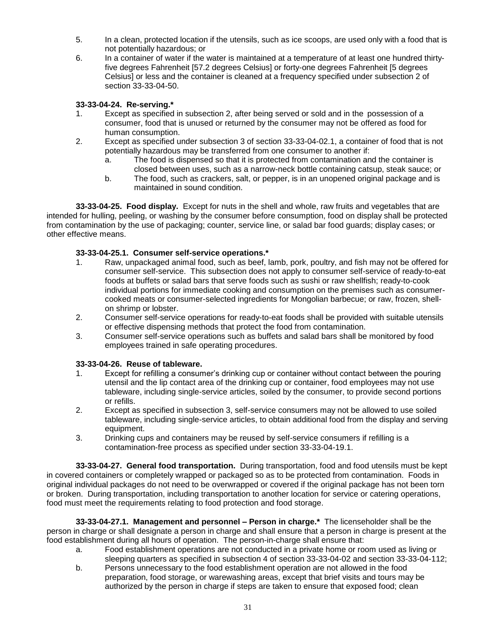- 5. In a clean, protected location if the utensils, such as ice scoops, are used only with a food that is not potentially hazardous; or
- 6. In a container of water if the water is maintained at a temperature of at least one hundred thirtyfive degrees Fahrenheit [57.2 degrees Celsius] or forty-one degrees Fahrenheit [5 degrees Celsius] or less and the container is cleaned at a frequency specified under subsection 2 of section 33-33-04-50.

### **33-33-04-24. Re-serving.\***

- 1. Except as specified in subsection 2, after being served or sold and in the possession of a consumer, food that is unused or returned by the consumer may not be offered as food for human consumption.
- 2. Except as specified under subsection 3 of section 33-33-04-02.1, a container of food that is not potentially hazardous may be transferred from one consumer to another if:
	- a. The food is dispensed so that it is protected from contamination and the container is closed between uses, such as a narrow-neck bottle containing catsup, steak sauce; or
	- b. The food, such as crackers, salt, or pepper, is in an unopened original package and is maintained in sound condition.

**33-33-04-25. Food display.** Except for nuts in the shell and whole, raw fruits and vegetables that are intended for hulling, peeling, or washing by the consumer before consumption, food on display shall be protected from contamination by the use of packaging; counter, service line, or salad bar food guards; display cases; or other effective means.

### **33-33-04-25.1. Consumer self-service operations.\***

- 1. Raw, unpackaged animal food, such as beef, lamb, pork, poultry, and fish may not be offered for consumer self-service. This subsection does not apply to consumer self-service of ready-to-eat foods at buffets or salad bars that serve foods such as sushi or raw shellfish; ready-to-cook individual portions for immediate cooking and consumption on the premises such as consumercooked meats or consumer-selected ingredients for Mongolian barbecue; or raw, frozen, shellon shrimp or lobster.
- 2. Consumer self-service operations for ready-to-eat foods shall be provided with suitable utensils or effective dispensing methods that protect the food from contamination.
- 3. Consumer self-service operations such as buffets and salad bars shall be monitored by food employees trained in safe operating procedures.

#### **33-33-04-26. Reuse of tableware.**

- 1. Except for refilling a consumer's drinking cup or container without contact between the pouring utensil and the lip contact area of the drinking cup or container, food employees may not use tableware, including single-service articles, soiled by the consumer, to provide second portions or refills.
- 2. Except as specified in subsection 3, self-service consumers may not be allowed to use soiled tableware, including single-service articles, to obtain additional food from the display and serving equipment.
- 3. Drinking cups and containers may be reused by self-service consumers if refilling is a contamination-free process as specified under section 33-33-04-19.1.

**33-33-04-27. General food transportation.** During transportation, food and food utensils must be kept in covered containers or completely wrapped or packaged so as to be protected from contamination. Foods in original individual packages do not need to be overwrapped or covered if the original package has not been torn or broken. During transportation, including transportation to another location for service or catering operations, food must meet the requirements relating to food protection and food storage.

**33-33-04-27.1. Management and personnel – Person in charge.\*** The licenseholder shall be the person in charge or shall designate a person in charge and shall ensure that a person in charge is present at the food establishment during all hours of operation. The person-in-charge shall ensure that:

- a. Food establishment operations are not conducted in a private home or room used as living or sleeping quarters as specified in subsection 4 of section 33-33-04-02 and section 33-33-04-112;
- b. Persons unnecessary to the food establishment operation are not allowed in the food preparation, food storage, or warewashing areas, except that brief visits and tours may be authorized by the person in charge if steps are taken to ensure that exposed food; clean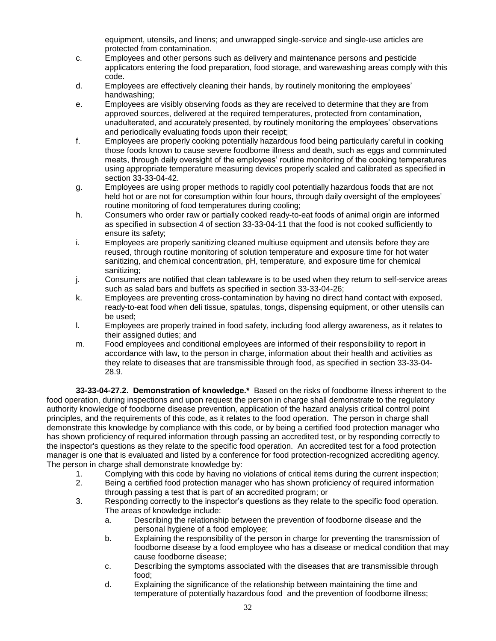equipment, utensils, and linens; and unwrapped single-service and single-use articles are protected from contamination.

- c. Employees and other persons such as delivery and maintenance persons and pesticide applicators entering the food preparation, food storage, and warewashing areas comply with this code.
- d. Employees are effectively cleaning their hands, by routinely monitoring the employees' handwashing;
- e. Employees are visibly observing foods as they are received to determine that they are from approved sources, delivered at the required temperatures, protected from contamination, unadulterated, and accurately presented, by routinely monitoring the employees' observations and periodically evaluating foods upon their receipt;
- f. Employees are properly cooking potentially hazardous food being particularly careful in cooking those foods known to cause severe foodborne illness and death, such as eggs and comminuted meats, through daily oversight of the employees' routine monitoring of the cooking temperatures using appropriate temperature measuring devices properly scaled and calibrated as specified in section 33-33-04-42.
- g. Employees are using proper methods to rapidly cool potentially hazardous foods that are not held hot or are not for consumption within four hours, through daily oversight of the employees' routine monitoring of food temperatures during cooling;
- h. Consumers who order raw or partially cooked ready-to-eat foods of animal origin are informed as specified in subsection 4 of section 33-33-04-11 that the food is not cooked sufficiently to ensure its safety;
- i. Employees are properly sanitizing cleaned multiuse equipment and utensils before they are reused, through routine monitoring of solution temperature and exposure time for hot water sanitizing, and chemical concentration, pH, temperature, and exposure time for chemical sanitizing;
- j. Consumers are notified that clean tableware is to be used when they return to self-service areas such as salad bars and buffets as specified in section 33-33-04-26;
- k. Employees are preventing cross-contamination by having no direct hand contact with exposed, ready-to-eat food when deli tissue, spatulas, tongs, dispensing equipment, or other utensils can be used;
- l. Employees are properly trained in food safety, including food allergy awareness, as it relates to their assigned duties; and
- m. Food employees and conditional employees are informed of their responsibility to report in accordance with law, to the person in charge, information about their health and activities as they relate to diseases that are transmissible through food, as specified in section 33-33-04- 28.9.

**33-33-04-27.2. Demonstration of knowledge.\*** Based on the risks of foodborne illness inherent to the food operation, during inspections and upon request the person in charge shall demonstrate to the regulatory authority knowledge of foodborne disease prevention, application of the hazard analysis critical control point principles, and the requirements of this code, as it relates to the food operation. The person in charge shall demonstrate this knowledge by compliance with this code, or by being a certified food protection manager who has shown proficiency of required information through passing an accredited test, or by responding correctly to the inspector's questions as they relate to the specific food operation. An accredited test for a food protection manager is one that is evaluated and listed by a conference for food protection-recognized accrediting agency. The person in charge shall demonstrate knowledge by:

- 1. Complying with this code by having no violations of critical items during the current inspection; 2. Being a certified food protection manager who has shown proficiency of required information
	- through passing a test that is part of an accredited program; or
- 3. Responding correctly to the inspector's questions as they relate to the specific food operation. The areas of knowledge include:
	- a. Describing the relationship between the prevention of foodborne disease and the personal hygiene of a food employee;
	- b. Explaining the responsibility of the person in charge for preventing the transmission of foodborne disease by a food employee who has a disease or medical condition that may cause foodborne disease;
	- c. Describing the symptoms associated with the diseases that are transmissible through food;
	- d. Explaining the significance of the relationship between maintaining the time and temperature of potentially hazardous food and the prevention of foodborne illness;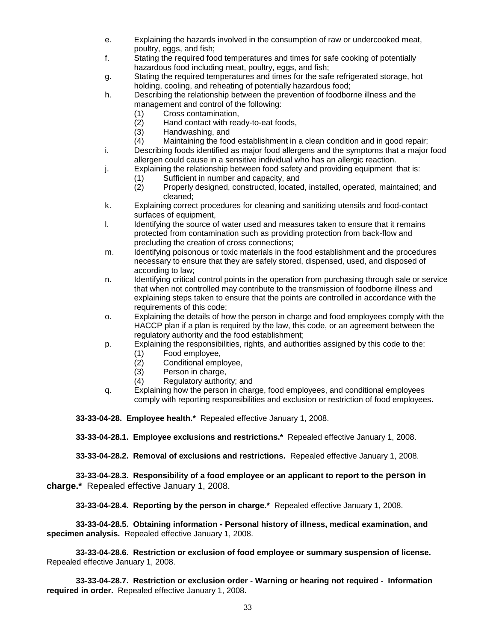- e. Explaining the hazards involved in the consumption of raw or undercooked meat, poultry, eggs, and fish;
- f. Stating the required food temperatures and times for safe cooking of potentially hazardous food including meat, poultry, eggs, and fish;
- g. Stating the required temperatures and times for the safe refrigerated storage, hot holding, cooling, and reheating of potentially hazardous food;
- h. Describing the relationship between the prevention of foodborne illness and the management and control of the following:
	- (1) Cross contamination,
	- (2) Hand contact with ready-to-eat foods,
	- (3) Handwashing, and
	- (4) Maintaining the food establishment in a clean condition and in good repair;
- i. Describing foods identified as major food allergens and the symptoms that a major food allergen could cause in a sensitive individual who has an allergic reaction.
- j. Explaining the relationship between food safety and providing equipment that is:
	- (1) Sufficient in number and capacity, and<br>(2) Properly designed, constructed, located
	- Properly designed, constructed, located, installed, operated, maintained; and cleaned;
- k. Explaining correct procedures for cleaning and sanitizing utensils and food-contact surfaces of equipment.
- l. Identifying the source of water used and measures taken to ensure that it remains protected from contamination such as providing protection from back-flow and precluding the creation of cross connections;
- m. Identifying poisonous or toxic materials in the food establishment and the procedures necessary to ensure that they are safely stored, dispensed, used, and disposed of according to law;
- n. Identifying critical control points in the operation from purchasing through sale or service that when not controlled may contribute to the transmission of foodborne illness and explaining steps taken to ensure that the points are controlled in accordance with the requirements of this code;
- o. Explaining the details of how the person in charge and food employees comply with the HACCP plan if a plan is required by the law, this code, or an agreement between the regulatory authority and the food establishment;
- p. Explaining the responsibilities, rights, and authorities assigned by this code to the:
	- (1) Food employee,<br>(2) Conditional empl
		- Conditional employee,
		- (3) Person in charge,
		- (4) Regulatory authority; and
- q. Explaining how the person in charge, food employees, and conditional employees comply with reporting responsibilities and exclusion or restriction of food employees.

**33-33-04-28. Employee health.\*** Repealed effective January 1, 2008.

**33-33-04-28.1. Employee exclusions and restrictions.\*** Repealed effective January 1, 2008.

**33-33-04-28.2. Removal of exclusions and restrictions.** Repealed effective January 1, 2008.

**33-33-04-28.3. Responsibility of a food employee or an applicant to report to the person in charge.\*** Repealed effective January 1, 2008.

**33-33-04-28.4. Reporting by the person in charge.\*** Repealed effective January 1, 2008.

**33-33-04-28.5. Obtaining information - Personal history of illness, medical examination, and specimen analysis.** Repealed effective January 1, 2008.

**33-33-04-28.6. Restriction or exclusion of food employee or summary suspension of license.**  Repealed effective January 1, 2008.

**33-33-04-28.7. Restriction or exclusion order - Warning or hearing not required - Information required in order.** Repealed effective January 1, 2008.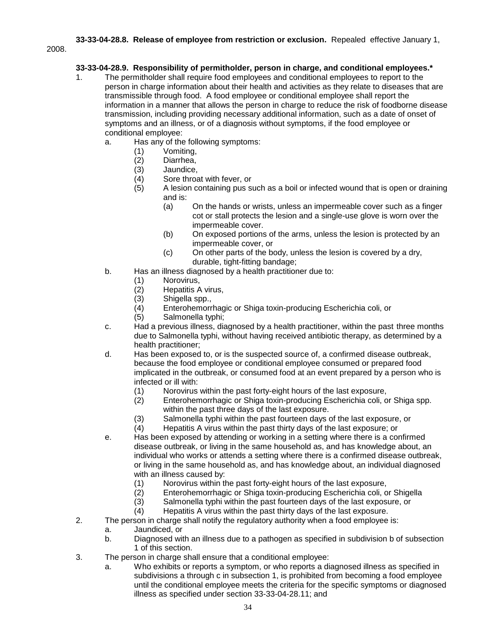**33-33-04-28.8. Release of employee from restriction or exclusion.** Repealed effective January 1,

2008.

# **33-33-04-28.9. Responsibility of permitholder, person in charge, and conditional employees.\***

- 1. The permitholder shall require food employees and conditional employees to report to the person in charge information about their health and activities as they relate to diseases that are transmissible through food. A food employee or conditional employee shall report the information in a manner that allows the person in charge to reduce the risk of foodborne disease transmission, including providing necessary additional information, such as a date of onset of symptoms and an illness, or of a diagnosis without symptoms, if the food employee or conditional employee:
	- a. Has any of the following symptoms:
		- (1) Vomiting,
		- (2) Diarrhea,
		- (3) Jaundice,<br>(4) Sore throa
		- Sore throat with fever, or
		- (5) A lesion containing pus such as a boil or infected wound that is open or draining and is:
			- (a) On the hands or wrists, unless an impermeable cover such as a finger cot or stall protects the lesion and a single-use glove is worn over the impermeable cover.
			- (b) On exposed portions of the arms, unless the lesion is protected by an impermeable cover, or
			- (c) On other parts of the body, unless the lesion is covered by a dry, durable, tight-fitting bandage;
	- b. Has an illness diagnosed by a health practitioner due to:
		- (1) Norovirus,
		- $(2)$  Hepatitis A virus,<br> $(3)$  Shigella spp.,
		- Shigella spp.,
		- (4) Enterohemorrhagic or Shiga toxin-producing Escherichia coli, or
		- (5) Salmonella typhi;
	- c. Had a previous illness, diagnosed by a health practitioner, within the past three months due to Salmonella typhi, without having received antibiotic therapy, as determined by a health practitioner;
	- d. Has been exposed to, or is the suspected source of, a confirmed disease outbreak, because the food employee or conditional employee consumed or prepared food implicated in the outbreak, or consumed food at an event prepared by a person who is infected or ill with:
		- (1) Norovirus within the past forty-eight hours of the last exposure,<br>(2) Enterohemorrhagic or Shiga toxin-producing Escherichia coli, o
		- Enterohemorrhagic or Shiga toxin-producing Escherichia coli, or Shiga spp. within the past three days of the last exposure.
		- (3) Salmonella typhi within the past fourteen days of the last exposure, or
		- (4) Hepatitis A virus within the past thirty days of the last exposure; or
	- e. Has been exposed by attending or working in a setting where there is a confirmed disease outbreak, or living in the same household as, and has knowledge about, an individual who works or attends a setting where there is a confirmed disease outbreak, or living in the same household as, and has knowledge about, an individual diagnosed with an illness caused by:
		- (1) Norovirus within the past forty-eight hours of the last exposure,
		- (2) Enterohemorrhagic or Shiga toxin-producing Escherichia coli, or Shigella
		- (3) Salmonella typhi within the past fourteen days of the last exposure, or
		- (4) Hepatitis A virus within the past thirty days of the last exposure.
- 2. The person in charge shall notify the regulatory authority when a food employee is:
	- a. Jaundiced, or
		- b. Diagnosed with an illness due to a pathogen as specified in subdivision b of subsection 1 of this section.
- 3. The person in charge shall ensure that a conditional employee:
	- a. Who exhibits or reports a symptom, or who reports a diagnosed illness as specified in subdivisions a through c in subsection 1, is prohibited from becoming a food employee until the conditional employee meets the criteria for the specific symptoms or diagnosed illness as specified under section 33-33-04-28.11; and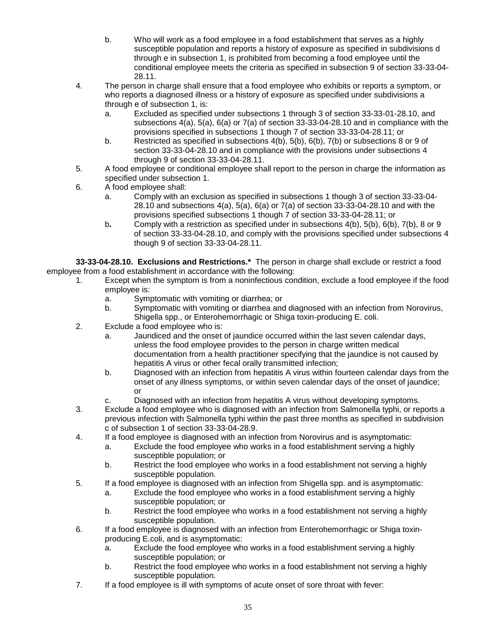- b. Who will work as a food employee in a food establishment that serves as a highly susceptible population and reports a history of exposure as specified in subdivisions d through e in subsection 1, is prohibited from becoming a food employee until the conditional employee meets the criteria as specified in subsection 9 of section 33-33-04- 28.11.
- 4. The person in charge shall ensure that a food employee who exhibits or reports a symptom, or who reports a diagnosed illness or a history of exposure as specified under subdivisions a through e of subsection 1, is:
	- a. Excluded as specified under subsections 1 through 3 of section 33-33-01-28.10, and subsections 4(a), 5(a), 6(a) or 7(a) of section 33-33-04-28.10 and in compliance with the provisions specified in subsections 1 though 7 of section 33-33-04-28.11; or
	- b. Restricted as specified in subsections 4(b), 5(b), 6(b), 7(b) or subsections 8 or 9 of section 33-33-04-28.10 and in compliance with the provisions under subsections 4 through 9 of section 33-33-04-28.11.
- 5. A food employee or conditional employee shall report to the person in charge the information as specified under subsection 1.
- 6. A food employee shall:
	- a. Comply with an exclusion as specified in subsections 1 though 3 of section 33-33-04- 28.10 and subsections  $4(a)$ ,  $5(a)$ ,  $6(a)$  or  $7(a)$  of section 33-33-04-28.10 and with the provisions specified subsections 1 though 7 of section 33-33-04-28.11; or
	- b**.** Comply with a restriction as specified under in subsections 4(b), 5(b), 6(b), 7(b), 8 or 9 of section 33-33-04-28.10, and comply with the provisions specified under subsections 4 though 9 of section 33-33-04-28.11.

**33-33-04-28.10. Exclusions and Restrictions.\*** The person in charge shall exclude or restrict a food employee from a food establishment in accordance with the following:

- 1. Except when the symptom is from a noninfectious condition, exclude a food employee if the food employee is:
	- a. Symptomatic with vomiting or diarrhea; or
	- b. Symptomatic with vomiting or diarrhea and diagnosed with an infection from Norovirus, Shigella spp., or Enterohemorrhagic or Shiga toxin-producing E. coli.
- 2. Exclude a food employee who is:
	- a. Jaundiced and the onset of jaundice occurred within the last seven calendar days, unless the food employee provides to the person in charge written medical documentation from a health practitioner specifying that the jaundice is not caused by hepatitis A virus or other fecal orally transmitted infection;
	- b. Diagnosed with an infection from hepatitis A virus within fourteen calendar days from the onset of any illness symptoms, or within seven calendar days of the onset of jaundice; or
	- c. Diagnosed with an infection from hepatitis A virus without developing symptoms.
- 3. Exclude a food employee who is diagnosed with an infection from Salmonella typhi, or reports a previous infection with Salmonella typhi within the past three months as specified in subdivision c of subsection 1 of section 33-33-04-28.9.
- 4. If a food employee is diagnosed with an infection from Norovirus and is asymptomatic:
	- a. Exclude the food employee who works in a food establishment serving a highly susceptible population; or
	- b. Restrict the food employee who works in a food establishment not serving a highly susceptible population.
- 5. If a food employee is diagnosed with an infection from Shigella spp. and is asymptomatic:
	- a. Exclude the food employee who works in a food establishment serving a highly susceptible population; or
	- b. Restrict the food employee who works in a food establishment not serving a highly susceptible population.
- 6. If a food employee is diagnosed with an infection from Enterohemorrhagic or Shiga toxinproducing E.coli, and is asymptomatic:
	- a. Exclude the food employee who works in a food establishment serving a highly susceptible population; or
	- b. Restrict the food employee who works in a food establishment not serving a highly susceptible population.
- 7. If a food employee is ill with symptoms of acute onset of sore throat with fever: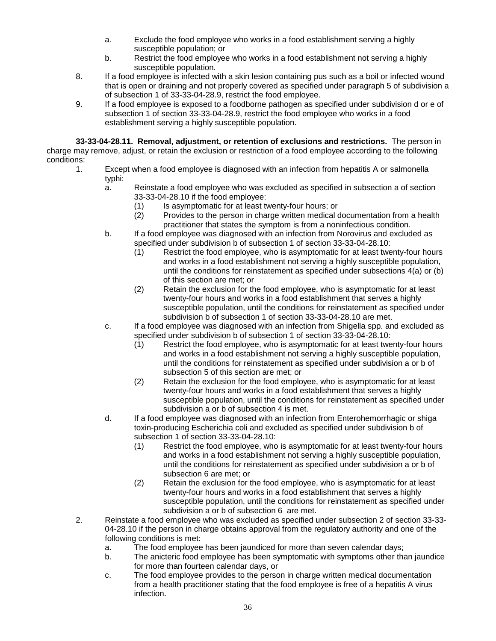- a. Exclude the food employee who works in a food establishment serving a highly susceptible population; or
- b. Restrict the food employee who works in a food establishment not serving a highly susceptible population.
- 8. If a food employee is infected with a skin lesion containing pus such as a boil or infected wound that is open or draining and not properly covered as specified under paragraph 5 of subdivision a of subsection 1 of 33-33-04-28.9, restrict the food employee.
- 9. If a food employee is exposed to a foodborne pathogen as specified under subdivision d or e of subsection 1 of section 33-33-04-28.9, restrict the food employee who works in a food establishment serving a highly susceptible population.

**33-33-04-28.11. Removal, adjustment, or retention of exclusions and restrictions.** The person in charge may remove, adjust, or retain the exclusion or restriction of a food employee according to the following conditions:

- 1. Except when a food employee is diagnosed with an infection from hepatitis A or salmonella typhi:
	- a. Reinstate a food employee who was excluded as specified in subsection a of section 33-33-04-28.10 if the food employee:
		- (1) Is asymptomatic for at least twenty-four hours; or<br>(2) Provides to the person in charge written medical of
		- Provides to the person in charge written medical documentation from a health practitioner that states the symptom is from a noninfectious condition.
	- b. If a food employee was diagnosed with an infection from Norovirus and excluded as specified under subdivision b of subsection 1 of section 33-33-04-28.10:
		- (1) Restrict the food employee, who is asymptomatic for at least twenty-four hours and works in a food establishment not serving a highly susceptible population, until the conditions for reinstatement as specified under subsections 4(a) or (b) of this section are met; or
		- (2) Retain the exclusion for the food employee, who is asymptomatic for at least twenty-four hours and works in a food establishment that serves a highly susceptible population, until the conditions for reinstatement as specified under subdivision b of subsection 1 of section 33-33-04-28.10 are met.
	- c. If a food employee was diagnosed with an infection from Shigella spp. and excluded as specified under subdivision b of subsection 1 of section 33-33-04-28.10:
		- (1) Restrict the food employee, who is asymptomatic for at least twenty-four hours and works in a food establishment not serving a highly susceptible population, until the conditions for reinstatement as specified under subdivision a or b of subsection 5 of this section are met; or
		- (2) Retain the exclusion for the food employee, who is asymptomatic for at least twenty-four hours and works in a food establishment that serves a highly susceptible population, until the conditions for reinstatement as specified under subdivision a or b of subsection 4 is met.
	- d. If a food employee was diagnosed with an infection from Enterohemorrhagic or shiga toxin-producing Escherichia coli and excluded as specified under subdivision b of subsection 1 of section 33-33-04-28.10:
		- (1) Restrict the food employee, who is asymptomatic for at least twenty-four hours and works in a food establishment not serving a highly susceptible population, until the conditions for reinstatement as specified under subdivision a or b of subsection 6 are met; or
		- (2) Retain the exclusion for the food employee, who is asymptomatic for at least twenty-four hours and works in a food establishment that serves a highly susceptible population, until the conditions for reinstatement as specified under subdivision a or b of subsection 6 are met.
- 2. Reinstate a food employee who was excluded as specified under subsection 2 of section 33-33- 04-28.10 if the person in charge obtains approval from the regulatory authority and one of the following conditions is met:
	- a. The food employee has been jaundiced for more than seven calendar days;
	- b. The anicteric food employee has been symptomatic with symptoms other than jaundice for more than fourteen calendar days, or
	- c. The food employee provides to the person in charge written medical documentation from a health practitioner stating that the food employee is free of a hepatitis A virus infection.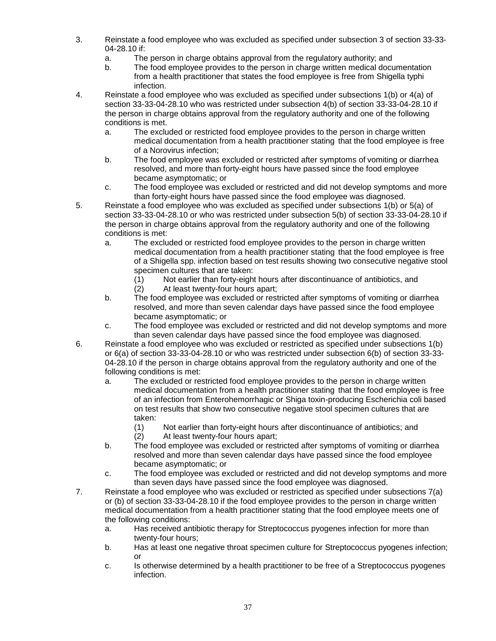- 3. Reinstate a food employee who was excluded as specified under subsection 3 of section 33-33- 04-28.10 if:
	- a. The person in charge obtains approval from the regulatory authority; and
	- b. The food employee provides to the person in charge written medical documentation from a health practitioner that states the food employee is free from Shigella typhi infection.
- 4. Reinstate a food employee who was excluded as specified under subsections 1(b) or 4(a) of section 33-33-04-28.10 who was restricted under subsection 4(b) of section 33-33-04-28.10 if the person in charge obtains approval from the regulatory authority and one of the following conditions is met.
	- a. The excluded or restricted food employee provides to the person in charge written medical documentation from a health practitioner stating that the food employee is free of a Norovirus infection;
	- b. The food employee was excluded or restricted after symptoms of vomiting or diarrhea resolved, and more than forty-eight hours have passed since the food employee became asymptomatic; or
	- c. The food employee was excluded or restricted and did not develop symptoms and more than forty-eight hours have passed since the food employee was diagnosed.
- 5. Reinstate a food employee who was excluded as specified under subsections 1(b) or 5(a) of section 33-33-04-28.10 or who was restricted under subsection 5(b) of section 33-33-04-28.10 if the person in charge obtains approval from the regulatory authority and one of the following conditions is met:
	- a. The excluded or restricted food employee provides to the person in charge written medical documentation from a health practitioner stating that the food employee is free of a Shigella spp. infection based on test results showing two consecutive negative stool specimen cultures that are taken:
		- (1) Not earlier than forty-eight hours after discontinuance of antibiotics, and
		- (2) At least twenty-four hours apart;
	- b. The food employee was excluded or restricted after symptoms of vomiting or diarrhea resolved, and more than seven calendar days have passed since the food employee became asymptomatic; or
	- c. The food employee was excluded or restricted and did not develop symptoms and more than seven calendar days have passed since the food employee was diagnosed.
- 6. Reinstate a food employee who was excluded or restricted as specified under subsections 1(b) or 6(a) of section 33-33-04-28.10 or who was restricted under subsection 6(b) of section 33-33- 04-28.10 if the person in charge obtains approval from the regulatory authority and one of the following conditions is met:
	- a. The excluded or restricted food employee provides to the person in charge written medical documentation from a health practitioner stating that the food employee is free of an infection from Enterohemorrhagic or Shiga toxin-producing Escherichia coli based on test results that show two consecutive negative stool specimen cultures that are taken:
		- (1) Not earlier than forty-eight hours after discontinuance of antibiotics; and
		- (2) At least twenty-four hours apart;
	- b. The food employee was excluded or restricted after symptoms of vomiting or diarrhea resolved and more than seven calendar days have passed since the food employee became asymptomatic; or
	- c. The food employee was excluded or restricted and did not develop symptoms and more than seven days have passed since the food employee was diagnosed.
- 7. Reinstate a food employee who was excluded or restricted as specified under subsections 7(a) or (b) of section 33-33-04-28.10 if the food employee provides to the person in charge written medical documentation from a health practitioner stating that the food employee meets one of the following conditions:
	- a. Has received antibiotic therapy for Streptococcus pyogenes infection for more than twenty-four hours;
	- b. Has at least one negative throat specimen culture for Streptococcus pyogenes infection; or
	- c. Is otherwise determined by a health practitioner to be free of a Streptococcus pyogenes infection.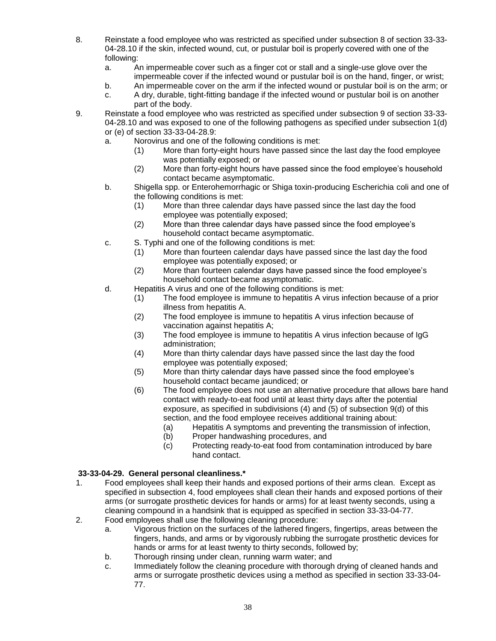- 8. Reinstate a food employee who was restricted as specified under subsection 8 of section 33-33- 04-28.10 if the skin, infected wound, cut, or pustular boil is properly covered with one of the following:
	- a. An impermeable cover such as a finger cot or stall and a single-use glove over the impermeable cover if the infected wound or pustular boil is on the hand, finger, or wrist;
	- b. An impermeable cover on the arm if the infected wound or pustular boil is on the arm; or
	- c. A dry, durable, tight-fitting bandage if the infected wound or pustular boil is on another part of the body.
- 9. Reinstate a food employee who was restricted as specified under subsection 9 of section 33-33- 04-28.10 and was exposed to one of the following pathogens as specified under subsection 1(d) or (e) of section 33-33-04-28.9:
	- a. Norovirus and one of the following conditions is met:
		- (1) More than forty-eight hours have passed since the last day the food employee was potentially exposed; or
		- (2) More than forty-eight hours have passed since the food employee's household contact became asymptomatic.
	- b. Shigella spp. or Enterohemorrhagic or Shiga toxin-producing Escherichia coli and one of the following conditions is met:
		- (1) More than three calendar days have passed since the last day the food employee was potentially exposed;
		- (2) More than three calendar days have passed since the food employee's household contact became asymptomatic.
	- c. S. Typhi and one of the following conditions is met:
		- (1) More than fourteen calendar days have passed since the last day the food employee was potentially exposed; or
		- (2) More than fourteen calendar days have passed since the food employee's household contact became asymptomatic.
	- d. Hepatitis A virus and one of the following conditions is met:
		- (1) The food employee is immune to hepatitis A virus infection because of a prior illness from hepatitis A.
		- (2) The food employee is immune to hepatitis A virus infection because of vaccination against hepatitis A;
		- (3) The food employee is immune to hepatitis A virus infection because of IgG administration;
		- (4) More than thirty calendar days have passed since the last day the food employee was potentially exposed;
		- (5) More than thirty calendar days have passed since the food employee's household contact became jaundiced; or
		- (6) The food employee does not use an alternative procedure that allows bare hand contact with ready-to-eat food until at least thirty days after the potential exposure, as specified in subdivisions (4) and (5) of subsection 9(d) of this section, and the food employee receives additional training about:
			- (a) Hepatitis A symptoms and preventing the transmission of infection,
			- (b) Proper handwashing procedures, and
			- (c) Protecting ready-to-eat food from contamination introduced by bare hand contact.

#### **33-33-04-29. General personal cleanliness.\***

- 1. Food employees shall keep their hands and exposed portions of their arms clean. Except as specified in subsection 4, food employees shall clean their hands and exposed portions of their arms (or surrogate prosthetic devices for hands or arms) for at least twenty seconds, using a cleaning compound in a handsink that is equipped as specified in section 33-33-04-77.
- 2. Food employees shall use the following cleaning procedure:
	- a. Vigorous friction on the surfaces of the lathered fingers, fingertips, areas between the fingers, hands, and arms or by vigorously rubbing the surrogate prosthetic devices for hands or arms for at least twenty to thirty seconds, followed by;
	- b. Thorough rinsing under clean, running warm water; and
	- c. Immediately follow the cleaning procedure with thorough drying of cleaned hands and arms or surrogate prosthetic devices using a method as specified in section 33-33-04- 77.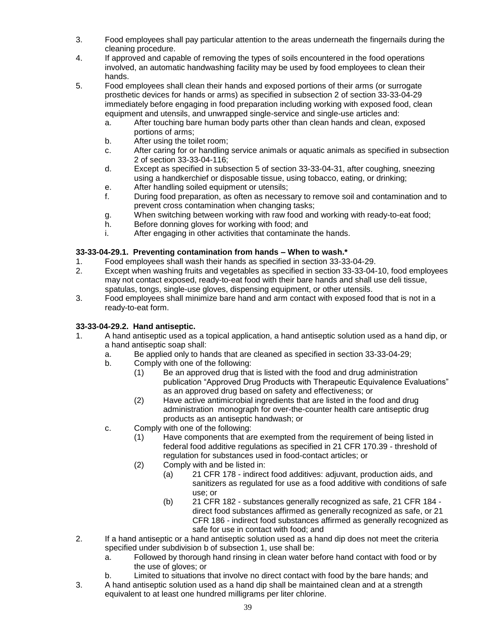- 3. Food employees shall pay particular attention to the areas underneath the fingernails during the cleaning procedure.
- 4. If approved and capable of removing the types of soils encountered in the food operations involved, an automatic handwashing facility may be used by food employees to clean their hands.
- 5. Food employees shall clean their hands and exposed portions of their arms (or surrogate prosthetic devices for hands or arms) as specified in subsection 2 of section 33-33-04-29 immediately before engaging in food preparation including working with exposed food, clean equipment and utensils, and unwrapped single-service and single-use articles and:
	- a. After touching bare human body parts other than clean hands and clean, exposed portions of arms;
	- b. After using the toilet room;
	- c. After caring for or handling service animals or aquatic animals as specified in subsection 2 of section 33-33-04-116;
	- d. Except as specified in subsection 5 of section 33-33-04-31, after coughing, sneezing using a handkerchief or disposable tissue, using tobacco, eating, or drinking;
	- e. After handling soiled equipment or utensils;
	- f. During food preparation, as often as necessary to remove soil and contamination and to prevent cross contamination when changing tasks;
	- g. When switching between working with raw food and working with ready-to-eat food;
	- h. Before donning gloves for working with food; and
	- i. After engaging in other activities that contaminate the hands.

# **33-33-04-29.1. Preventing contamination from hands – When to wash.\***

- 1. Food employees shall wash their hands as specified in section 33-33-04-29.
- 2. Except when washing fruits and vegetables as specified in section 33-33-04-10, food employees may not contact exposed, ready-to-eat food with their bare hands and shall use deli tissue, spatulas, tongs, single-use gloves, dispensing equipment, or other utensils.
- 3. Food employees shall minimize bare hand and arm contact with exposed food that is not in a ready-to-eat form.

# **33-33-04-29.2. Hand antiseptic.**

- 1. A hand antiseptic used as a topical application, a hand antiseptic solution used as a hand dip, or a hand antiseptic soap shall:
	- a. Be applied only to hands that are cleaned as specified in section 33-33-04-29;
	- b. Comply with one of the following:
		- (1) Be an approved drug that is listed with the food and drug administration publication "Approved Drug Products with Therapeutic Equivalence Evaluations" as an approved drug based on safety and effectiveness; or
		- (2) Have active antimicrobial ingredients that are listed in the food and drug administration monograph for over-the-counter health care antiseptic drug products as an antiseptic handwash; or
	- c. Comply with one of the following:
		- (1) Have components that are exempted from the requirement of being listed in federal food additive regulations as specified in 21 CFR 170.39 - threshold of regulation for substances used in food-contact articles; or
		- (2) Comply with and be listed in:
			- (a) 21 CFR 178 indirect food additives: adjuvant, production aids, and sanitizers as regulated for use as a food additive with conditions of safe use; or
			- (b) 21 CFR 182 substances generally recognized as safe, 21 CFR 184 direct food substances affirmed as generally recognized as safe, or 21 CFR 186 - indirect food substances affirmed as generally recognized as safe for use in contact with food; and
- 2. If a hand antiseptic or a hand antiseptic solution used as a hand dip does not meet the criteria specified under subdivision b of subsection 1, use shall be:
	- a. Followed by thorough hand rinsing in clean water before hand contact with food or by the use of gloves; or
	- b. Limited to situations that involve no direct contact with food by the bare hands; and
- 3. A hand antiseptic solution used as a hand dip shall be maintained clean and at a strength equivalent to at least one hundred milligrams per liter chlorine.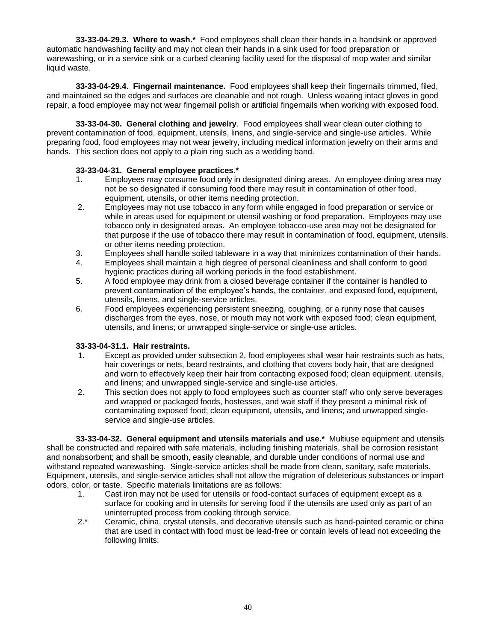**33-33-04-29.3. Where to wash.\*** Food employees shall clean their hands in a handsink or approved automatic handwashing facility and may not clean their hands in a sink used for food preparation or warewashing, or in a service sink or a curbed cleaning facility used for the disposal of mop water and similar liquid waste.

**33-33-04-29.4**. **Fingernail maintenance.** Food employees shall keep their fingernails trimmed, filed, and maintained so the edges and surfaces are cleanable and not rough. Unless wearing intact gloves in good repair, a food employee may not wear fingernail polish or artificial fingernails when working with exposed food.

**33-33-04-30. General clothing and jewelry**. Food employees shall wear clean outer clothing to prevent contamination of food, equipment, utensils, linens, and single-service and single-use articles. While preparing food, food employees may not wear jewelry, including medical information jewelry on their arms and hands. This section does not apply to a plain ring such as a wedding band.

## **33-33-04-31. General employee practices.\***

- 1. Employees may consume food only in designated dining areas. An employee dining area may not be so designated if consuming food there may result in contamination of other food, equipment, utensils, or other items needing protection.
- 2. Employees may not use tobacco in any form while engaged in food preparation or service or while in areas used for equipment or utensil washing or food preparation. Employees may use tobacco only in designated areas. An employee tobacco-use area may not be designated for that purpose if the use of tobacco there may result in contamination of food, equipment, utensils, or other items needing protection.
- 3. Employees shall handle soiled tableware in a way that minimizes contamination of their hands.
- 4. Employees shall maintain a high degree of personal cleanliness and shall conform to good hygienic practices during all working periods in the food establishment.
- 5. A food employee may drink from a closed beverage container if the container is handled to prevent contamination of the employee's hands, the container, and exposed food, equipment, utensils, linens, and single-service articles.
- 6. Food employees experiencing persistent sneezing, coughing, or a runny nose that causes discharges from the eyes, nose, or mouth may not work with exposed food; clean equipment, utensils, and linens; or unwrapped single-service or single-use articles.

#### **33-33-04-31.1. Hair restraints.**

- 1. Except as provided under subsection 2, food employees shall wear hair restraints such as hats, hair coverings or nets, beard restraints, and clothing that covers body hair, that are designed and worn to effectively keep their hair from contacting exposed food; clean equipment, utensils, and linens; and unwrapped single-service and single-use articles.
- 2. This section does not apply to food employees such as counter staff who only serve beverages and wrapped or packaged foods, hostesses, and wait staff if they present a minimal risk of contaminating exposed food; clean equipment, utensils, and linens; and unwrapped singleservice and single-use articles.

**33-33-04-32. General equipment and utensils materials and use.\*** Multiuse equipment and utensils shall be constructed and repaired with safe materials, including finishing materials, shall be corrosion resistant and nonabsorbent; and shall be smooth, easily cleanable, and durable under conditions of normal use and withstand repeated warewashing. Single-service articles shall be made from clean, sanitary, safe materials. Equipment, utensils, and single-service articles shall not allow the migration of deleterious substances or impart odors, color, or taste. Specific materials limitations are as follows:

- 1. Cast iron may not be used for utensils or food-contact surfaces of equipment except as a surface for cooking and in utensils for serving food if the utensils are used only as part of an uninterrupted process from cooking through service.
- 2.\* Ceramic, china, crystal utensils, and decorative utensils such as hand-painted ceramic or china that are used in contact with food must be lead-free or contain levels of lead not exceeding the following limits: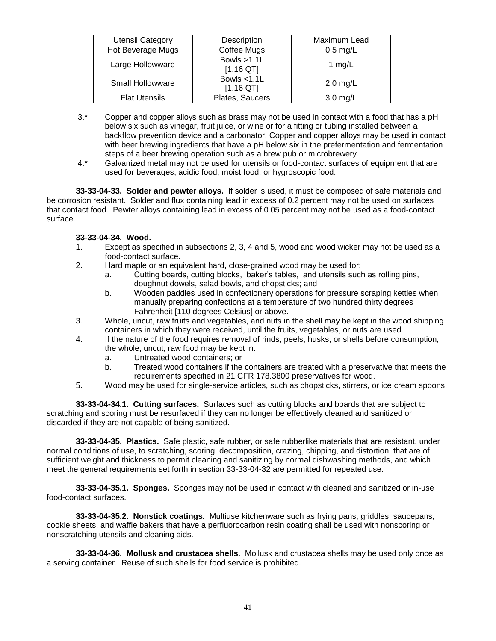| <b>Utensil Category</b> | Description                   | Maximum Lead |  |
|-------------------------|-------------------------------|--------------|--|
| Hot Beverage Mugs       | Coffee Mugs                   | $0.5$ mg/L   |  |
| Large Hollowware        | Bowls $>1.1$ L<br>$[1.16$ QT] | 1 $mg/L$     |  |
| Small Hollowware        | Bowls $<$ 1.1L<br>[1.16 QT]   | $2.0$ mg/L   |  |
| <b>Flat Utensils</b>    | Plates, Saucers               | $3.0$ mg/L   |  |

- 3.\* Copper and copper alloys such as brass may not be used in contact with a food that has a pH below six such as vinegar, fruit juice, or wine or for a fitting or tubing installed between a backflow prevention device and a carbonator. Copper and copper alloys may be used in contact with beer brewing ingredients that have a pH below six in the prefermentation and fermentation steps of a beer brewing operation such as a brew pub or microbrewery.
- 4.\* Galvanized metal may not be used for utensils or food-contact surfaces of equipment that are used for beverages, acidic food, moist food, or hygroscopic food.

**33-33-04-33. Solder and pewter alloys.** If solder is used, it must be composed of safe materials and be corrosion resistant. Solder and flux containing lead in excess of 0.2 percent may not be used on surfaces that contact food. Pewter alloys containing lead in excess of 0.05 percent may not be used as a food-contact surface.

### **33-33-04-34. Wood.**

- 1. Except as specified in subsections 2, 3, 4 and 5, wood and wood wicker may not be used as a food-contact surface.
- 2. Hard maple or an equivalent hard, close-grained wood may be used for:
	- a. Cutting boards, cutting blocks, baker's tables, and utensils such as rolling pins, doughnut dowels, salad bowls, and chopsticks; and
	- b. Wooden paddles used in confectionery operations for pressure scraping kettles when manually preparing confections at a temperature of two hundred thirty degrees Fahrenheit [110 degrees Celsius] or above.
- 3. Whole, uncut, raw fruits and vegetables, and nuts in the shell may be kept in the wood shipping containers in which they were received, until the fruits, vegetables, or nuts are used.
- 4. If the nature of the food requires removal of rinds, peels, husks, or shells before consumption, the whole, uncut, raw food may be kept in:
	- a. Untreated wood containers; or
	- b. Treated wood containers if the containers are treated with a preservative that meets the requirements specified in 21 CFR 178.3800 preservatives for wood.
- 5. Wood may be used for single-service articles, such as chopsticks, stirrers, or ice cream spoons.

**33-33-04-34.1. Cutting surfaces.** Surfaces such as cutting blocks and boards that are subject to scratching and scoring must be resurfaced if they can no longer be effectively cleaned and sanitized or discarded if they are not capable of being sanitized.

**33-33-04-35. Plastics.** Safe plastic, safe rubber, or safe rubberlike materials that are resistant, under normal conditions of use, to scratching, scoring, decomposition, crazing, chipping, and distortion, that are of sufficient weight and thickness to permit cleaning and sanitizing by normal dishwashing methods, and which meet the general requirements set forth in section 33-33-04-32 are permitted for repeated use.

**33-33-04-35.1. Sponges.** Sponges may not be used in contact with cleaned and sanitized or in-use food-contact surfaces.

**33-33-04-35.2. Nonstick coatings.** Multiuse kitchenware such as frying pans, griddles, saucepans, cookie sheets, and waffle bakers that have a perfluorocarbon resin coating shall be used with nonscoring or nonscratching utensils and cleaning aids.

**33-33-04-36. Mollusk and crustacea shells.** Mollusk and crustacea shells may be used only once as a serving container. Reuse of such shells for food service is prohibited.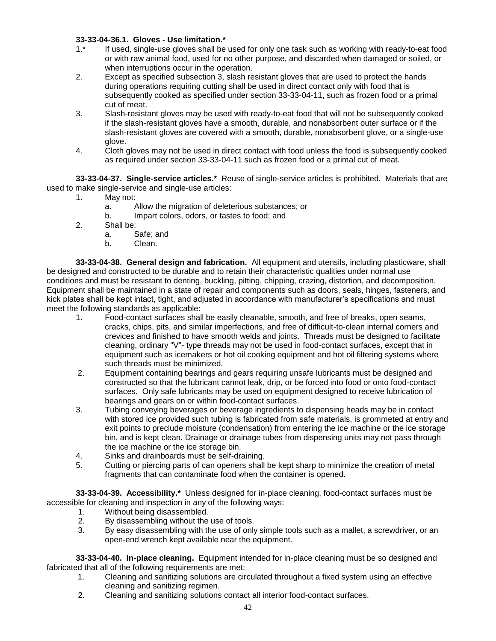## **33-33-04-36.1. Gloves - Use limitation.\***

- 1.\* If used, single-use gloves shall be used for only one task such as working with ready-to-eat food or with raw animal food, used for no other purpose, and discarded when damaged or soiled, or when interruptions occur in the operation.
- 2. Except as specified subsection 3, slash resistant gloves that are used to protect the hands during operations requiring cutting shall be used in direct contact only with food that is subsequently cooked as specified under section 33-33-04-11, such as frozen food or a primal cut of meat.
- 3. Slash-resistant gloves may be used with ready-to-eat food that will not be subsequently cooked if the slash-resistant gloves have a smooth, durable, and nonabsorbent outer surface or if the slash-resistant gloves are covered with a smooth, durable, nonabsorbent glove, or a single-use glove.
- 4. Cloth gloves may not be used in direct contact with food unless the food is subsequently cooked as required under section 33-33-04-11 such as frozen food or a primal cut of meat.

**33-33-04-37. Single-service articles.\*** Reuse of single-service articles is prohibited. Materials that are used to make single-service and single-use articles:

- 1. May not:
	- a. Allow the migration of deleterious substances; or
	- b. Impart colors, odors, or tastes to food; and
- 2. Shall be:
	- a. Safe; and
	- b. Clean.

**33-33-04-38. General design and fabrication.** All equipment and utensils, including plasticware, shall be designed and constructed to be durable and to retain their characteristic qualities under normal use conditions and must be resistant to denting, buckling, pitting, chipping, crazing, distortion, and decomposition. Equipment shall be maintained in a state of repair and components such as doors, seals, hinges, fasteners, and kick plates shall be kept intact, tight, and adjusted in accordance with manufacturer's specifications and must meet the following standards as applicable:

- 1. Food-contact surfaces shall be easily cleanable, smooth, and free of breaks, open seams, cracks, chips, pits, and similar imperfections, and free of difficult-to-clean internal corners and crevices and finished to have smooth welds and joints. Threads must be designed to facilitate cleaning, ordinary "V"- type threads may not be used in food-contact surfaces, except that in equipment such as icemakers or hot oil cooking equipment and hot oil filtering systems where such threads must be minimized.
- 2. Equipment containing bearings and gears requiring unsafe lubricants must be designed and constructed so that the lubricant cannot leak, drip, or be forced into food or onto food-contact surfaces. Only safe lubricants may be used on equipment designed to receive lubrication of bearings and gears on or within food-contact surfaces.
- 3. Tubing conveying beverages or beverage ingredients to dispensing heads may be in contact with stored ice provided such tubing is fabricated from safe materials, is grommeted at entry and exit points to preclude moisture (condensation) from entering the ice machine or the ice storage bin, and is kept clean. Drainage or drainage tubes from dispensing units may not pass through the ice machine or the ice storage bin.
- 4. Sinks and drainboards must be self-draining.
- 5. Cutting or piercing parts of can openers shall be kept sharp to minimize the creation of metal fragments that can contaminate food when the container is opened.

**33-33-04-39. Accessibility.\*** Unless designed for in-place cleaning, food-contact surfaces must be accessible for cleaning and inspection in any of the following ways:

- 1. Without being disassembled.<br>2. By disassembling without the
- By disassembling without the use of tools.
- 3. By easy disassembling with the use of only simple tools such as a mallet, a screwdriver, or an open-end wrench kept available near the equipment.

**33-33-04-40. In-place cleaning.** Equipment intended for in-place cleaning must be so designed and fabricated that all of the following requirements are met:

- 1. Cleaning and sanitizing solutions are circulated throughout a fixed system using an effective cleaning and sanitizing regimen.
- 2. Cleaning and sanitizing solutions contact all interior food-contact surfaces.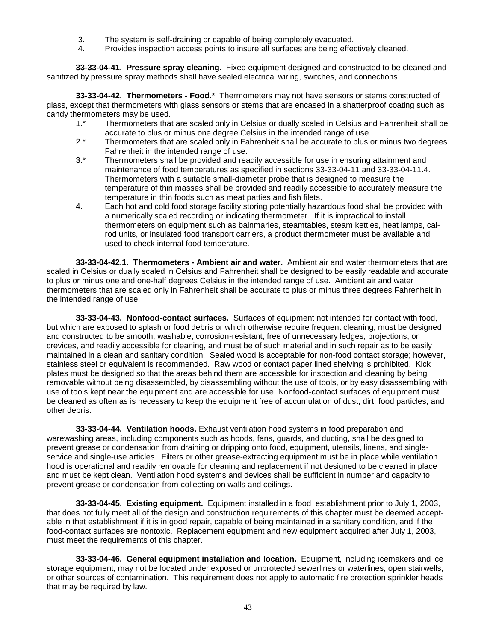- 3. The system is self-draining or capable of being completely evacuated.
- 4. Provides inspection access points to insure all surfaces are being effectively cleaned.

**33-33-04-41. Pressure spray cleaning.** Fixed equipment designed and constructed to be cleaned and sanitized by pressure spray methods shall have sealed electrical wiring, switches, and connections.

**33-33-04-42. Thermometers - Food.\*** Thermometers may not have sensors or stems constructed of glass, except that thermometers with glass sensors or stems that are encased in a shatterproof coating such as candy thermometers may be used.

- 1.\* Thermometers that are scaled only in Celsius or dually scaled in Celsius and Fahrenheit shall be accurate to plus or minus one degree Celsius in the intended range of use.
- 2.\* Thermometers that are scaled only in Fahrenheit shall be accurate to plus or minus two degrees Fahrenheit in the intended range of use.
- 3.\* Thermometers shall be provided and readily accessible for use in ensuring attainment and maintenance of food temperatures as specified in sections 33-33-04-11 and 33-33-04-11.4. Thermometers with a suitable small-diameter probe that is designed to measure the temperature of thin masses shall be provided and readily accessible to accurately measure the temperature in thin foods such as meat patties and fish filets.
- 4. Each hot and cold food storage facility storing potentially hazardous food shall be provided with a numerically scaled recording or indicating thermometer. If it is impractical to install thermometers on equipment such as bainmaries, steamtables, steam kettles, heat lamps, calrod units, or insulated food transport carriers, a product thermometer must be available and used to check internal food temperature.

**33-33-04-42.1. Thermometers - Ambient air and water.** Ambient air and water thermometers that are scaled in Celsius or dually scaled in Celsius and Fahrenheit shall be designed to be easily readable and accurate to plus or minus one and one-half degrees Celsius in the intended range of use. Ambient air and water thermometers that are scaled only in Fahrenheit shall be accurate to plus or minus three degrees Fahrenheit in the intended range of use.

**33-33-04-43. Nonfood-contact surfaces.** Surfaces of equipment not intended for contact with food, but which are exposed to splash or food debris or which otherwise require frequent cleaning, must be designed and constructed to be smooth, washable, corrosion-resistant, free of unnecessary ledges, projections, or crevices, and readily accessible for cleaning, and must be of such material and in such repair as to be easily maintained in a clean and sanitary condition. Sealed wood is acceptable for non-food contact storage; however, stainless steel or equivalent is recommended. Raw wood or contact paper lined shelving is prohibited. Kick plates must be designed so that the areas behind them are accessible for inspection and cleaning by being removable without being disassembled, by disassembling without the use of tools, or by easy disassembling with use of tools kept near the equipment and are accessible for use. Nonfood-contact surfaces of equipment must be cleaned as often as is necessary to keep the equipment free of accumulation of dust, dirt, food particles, and other debris.

**33-33-04-44. Ventilation hoods.** Exhaust ventilation hood systems in food preparation and warewashing areas, including components such as hoods, fans, guards, and ducting, shall be designed to prevent grease or condensation from draining or dripping onto food, equipment, utensils, linens, and singleservice and single-use articles. Filters or other grease-extracting equipment must be in place while ventilation hood is operational and readily removable for cleaning and replacement if not designed to be cleaned in place and must be kept clean. Ventilation hood systems and devices shall be sufficient in number and capacity to prevent grease or condensation from collecting on walls and ceilings.

**33-33-04-45. Existing equipment.** Equipment installed in a food establishment prior to July 1, 2003, that does not fully meet all of the design and construction requirements of this chapter must be deemed acceptable in that establishment if it is in good repair, capable of being maintained in a sanitary condition, and if the food-contact surfaces are nontoxic. Replacement equipment and new equipment acquired after July 1, 2003, must meet the requirements of this chapter.

**33-33-04-46. General equipment installation and location.** Equipment, including icemakers and ice storage equipment, may not be located under exposed or unprotected sewerlines or waterlines, open stairwells, or other sources of contamination. This requirement does not apply to automatic fire protection sprinkler heads that may be required by law.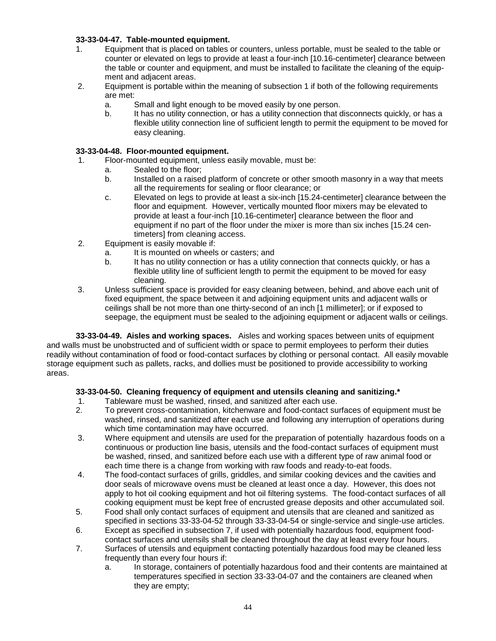## **33-33-04-47. Table-mounted equipment.**

- 1. Equipment that is placed on tables or counters, unless portable, must be sealed to the table or counter or elevated on legs to provide at least a four-inch [10.16-centimeter] clearance between the table or counter and equipment, and must be installed to facilitate the cleaning of the equipment and adjacent areas.
- 2. Equipment is portable within the meaning of subsection 1 if both of the following requirements are met:
	- a. Small and light enough to be moved easily by one person.
	- b. It has no utility connection, or has a utility connection that disconnects quickly, or has a flexible utility connection line of sufficient length to permit the equipment to be moved for easy cleaning.

### **33-33-04-48. Floor-mounted equipment.**

- 1. Floor-mounted equipment, unless easily movable, must be:
	- a. Sealed to the floor;
	- b. Installed on a raised platform of concrete or other smooth masonry in a way that meets all the requirements for sealing or floor clearance; or
	- c. Elevated on legs to provide at least a six-inch [15.24-centimeter] clearance between the floor and equipment. However, vertically mounted floor mixers may be elevated to provide at least a four-inch [10.16-centimeter] clearance between the floor and equipment if no part of the floor under the mixer is more than six inches [15.24 centimeters] from cleaning access.
- 2. Equipment is easily movable if:
	- a. It is mounted on wheels or casters; and
	- b. It has no utility connection or has a utility connection that connects quickly, or has a flexible utility line of sufficient length to permit the equipment to be moved for easy cleaning.
- 3. Unless sufficient space is provided for easy cleaning between, behind, and above each unit of fixed equipment, the space between it and adjoining equipment units and adjacent walls or ceilings shall be not more than one thirty-second of an inch [1 millimeter]; or if exposed to seepage, the equipment must be sealed to the adjoining equipment or adjacent walls or ceilings.

**33-33-04-49. Aisles and working spaces.** Aisles and working spaces between units of equipment and walls must be unobstructed and of sufficient width or space to permit employees to perform their duties readily without contamination of food or food-contact surfaces by clothing or personal contact. All easily movable storage equipment such as pallets, racks, and dollies must be positioned to provide accessibility to working areas.

## **33-33-04-50. Cleaning frequency of equipment and utensils cleaning and sanitizing.\***

- 1. Tableware must be washed, rinsed, and sanitized after each use.
- 2. To prevent cross-contamination, kitchenware and food-contact surfaces of equipment must be washed, rinsed, and sanitized after each use and following any interruption of operations during which time contamination may have occurred.
- 3. Where equipment and utensils are used for the preparation of potentially hazardous foods on a continuous or production line basis, utensils and the food-contact surfaces of equipment must be washed, rinsed, and sanitized before each use with a different type of raw animal food or each time there is a change from working with raw foods and ready-to-eat foods.
- 4. The food-contact surfaces of grills, griddles, and similar cooking devices and the cavities and door seals of microwave ovens must be cleaned at least once a day. However, this does not apply to hot oil cooking equipment and hot oil filtering systems. The food-contact surfaces of all cooking equipment must be kept free of encrusted grease deposits and other accumulated soil.
- 5. Food shall only contact surfaces of equipment and utensils that are cleaned and sanitized as specified in sections 33-33-04-52 through 33-33-04-54 or single-service and single-use articles.
- 6. Except as specified in subsection 7, if used with potentially hazardous food, equipment foodcontact surfaces and utensils shall be cleaned throughout the day at least every four hours.
- 7. Surfaces of utensils and equipment contacting potentially hazardous food may be cleaned less frequently than every four hours if:
	- a. In storage, containers of potentially hazardous food and their contents are maintained at temperatures specified in section 33-33-04-07 and the containers are cleaned when they are empty;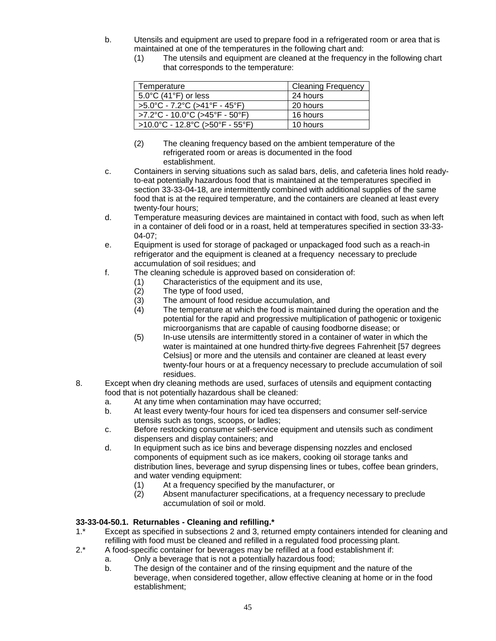- b. Utensils and equipment are used to prepare food in a refrigerated room or area that is maintained at one of the temperatures in the following chart and:
	- (1) The utensils and equipment are cleaned at the frequency in the following chart that corresponds to the temperature:

| Temperature                                                              | <b>Cleaning Frequency</b> |
|--------------------------------------------------------------------------|---------------------------|
| $5.0^{\circ}$ C (41 $^{\circ}$ F) or less                                | 24 hours                  |
| $>5.0^{\circ}$ C - 7.2 $^{\circ}$ C ( $>41^{\circ}$ F - 45 $^{\circ}$ F) | 20 hours                  |
| >7.2°C - 10.0°C (>45°F - 50°F)                                           | 16 hours                  |
| >10.0°C - 12.8°C (>50°F - 55°F)                                          | 10 hours                  |

- (2) The cleaning frequency based on the ambient temperature of the refrigerated room or areas is documented in the food establishment.
- c. Containers in serving situations such as salad bars, delis, and cafeteria lines hold readyto-eat potentially hazardous food that is maintained at the temperatures specified in section 33-33-04-18, are intermittently combined with additional supplies of the same food that is at the required temperature, and the containers are cleaned at least every twenty-four hours;
- d. Temperature measuring devices are maintained in contact with food, such as when left in a container of deli food or in a roast, held at temperatures specified in section 33-33- 04-07;
- e. Equipment is used for storage of packaged or unpackaged food such as a reach-in refrigerator and the equipment is cleaned at a frequency necessary to preclude accumulation of soil residues; and
- f. The cleaning schedule is approved based on consideration of:
	- (1) Characteristics of the equipment and its use,
	- (2) The type of food used,
	- (3) The amount of food residue accumulation, and
	- (4) The temperature at which the food is maintained during the operation and the potential for the rapid and progressive multiplication of pathogenic or toxigenic microorganisms that are capable of causing foodborne disease; or
	- (5) In-use utensils are intermittently stored in a container of water in which the water is maintained at one hundred thirty-five degrees Fahrenheit [57 degrees Celsius] or more and the utensils and container are cleaned at least every twenty-four hours or at a frequency necessary to preclude accumulation of soil residues.
- 8. Except when dry cleaning methods are used, surfaces of utensils and equipment contacting food that is not potentially hazardous shall be cleaned:
	- a. At any time when contamination may have occurred;
	- b. At least every twenty-four hours for iced tea dispensers and consumer self-service utensils such as tongs, scoops, or ladles;
	- c. Before restocking consumer self-service equipment and utensils such as condiment dispensers and display containers; and
	- d. In equipment such as ice bins and beverage dispensing nozzles and enclosed components of equipment such as ice makers, cooking oil storage tanks and distribution lines, beverage and syrup dispensing lines or tubes, coffee bean grinders, and water vending equipment:
		- (1) At a frequency specified by the manufacturer, or
		- (2) Absent manufacturer specifications, at a frequency necessary to preclude accumulation of soil or mold.

## **33-33-04-50.1. Returnables - Cleaning and refilling.\***

- 1.\* Except as specified in subsections 2 and 3, returned empty containers intended for cleaning and refilling with food must be cleaned and refilled in a regulated food processing plant.
- 2.\* A food-specific container for beverages may be refilled at a food establishment if:
	- a. Only a beverage that is not a potentially hazardous food;
	- b. The design of the container and of the rinsing equipment and the nature of the beverage, when considered together, allow effective cleaning at home or in the food establishment;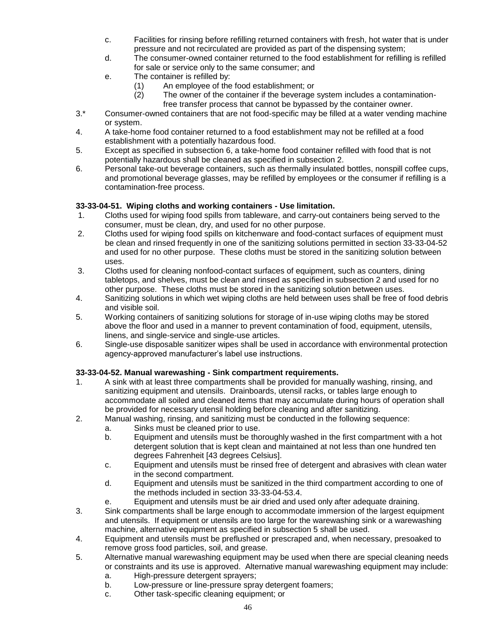- c. Facilities for rinsing before refilling returned containers with fresh, hot water that is under pressure and not recirculated are provided as part of the dispensing system;
- d. The consumer-owned container returned to the food establishment for refilling is refilled for sale or service only to the same consumer; and
- e. The container is refilled by:
	- (1) An employee of the food establishment; or<br>(2) The owner of the container if the beverage
		- The owner of the container if the beverage system includes a contaminationfree transfer process that cannot be bypassed by the container owner.
- 3.\* Consumer-owned containers that are not food-specific may be filled at a water vending machine or system.
- 4. A take-home food container returned to a food establishment may not be refilled at a food establishment with a potentially hazardous food.
- 5. Except as specified in subsection 6, a take-home food container refilled with food that is not potentially hazardous shall be cleaned as specified in subsection 2.
- 6. Personal take-out beverage containers, such as thermally insulated bottles, nonspill coffee cups, and promotional beverage glasses, may be refilled by employees or the consumer if refilling is a contamination-free process.

# **33-33-04-51. Wiping cloths and working containers - Use limitation.**

- 1. Cloths used for wiping food spills from tableware, and carry-out containers being served to the consumer, must be clean, dry, and used for no other purpose.
- 2. Cloths used for wiping food spills on kitchenware and food-contact surfaces of equipment must be clean and rinsed frequently in one of the sanitizing solutions permitted in section 33-33-04-52 and used for no other purpose. These cloths must be stored in the sanitizing solution between uses.
- 3. Cloths used for cleaning nonfood-contact surfaces of equipment, such as counters, dining tabletops, and shelves, must be clean and rinsed as specified in subsection 2 and used for no other purpose. These cloths must be stored in the sanitizing solution between uses.
- 4. Sanitizing solutions in which wet wiping cloths are held between uses shall be free of food debris and visible soil.
- 5. Working containers of sanitizing solutions for storage of in-use wiping cloths may be stored above the floor and used in a manner to prevent contamination of food, equipment, utensils, linens, and single-service and single-use articles.
- 6. Single-use disposable sanitizer wipes shall be used in accordance with environmental protection agency-approved manufacturer's label use instructions.

## **33-33-04-52. Manual warewashing - Sink compartment requirements.**

- 1. A sink with at least three compartments shall be provided for manually washing, rinsing, and sanitizing equipment and utensils. Drainboards, utensil racks, or tables large enough to accommodate all soiled and cleaned items that may accumulate during hours of operation shall be provided for necessary utensil holding before cleaning and after sanitizing.
- 2. Manual washing, rinsing, and sanitizing must be conducted in the following sequence:
	- a. Sinks must be cleaned prior to use.
	- b. Equipment and utensils must be thoroughly washed in the first compartment with a hot detergent solution that is kept clean and maintained at not less than one hundred ten degrees Fahrenheit [43 degrees Celsius].
	- c. Equipment and utensils must be rinsed free of detergent and abrasives with clean water in the second compartment.
	- d. Equipment and utensils must be sanitized in the third compartment according to one of the methods included in section 33-33-04-53.4.
	- e. Equipment and utensils must be air dried and used only after adequate draining.
- 3. Sink compartments shall be large enough to accommodate immersion of the largest equipment and utensils. If equipment or utensils are too large for the warewashing sink or a warewashing machine, alternative equipment as specified in subsection 5 shall be used.
- 4. Equipment and utensils must be preflushed or prescraped and, when necessary, presoaked to remove gross food particles, soil, and grease.
- 5. Alternative manual warewashing equipment may be used when there are special cleaning needs or constraints and its use is approved. Alternative manual warewashing equipment may include:
	- a. High-pressure detergent sprayers;
	- b. Low-pressure or line-pressure spray detergent foamers;
	- c. Other task-specific cleaning equipment; or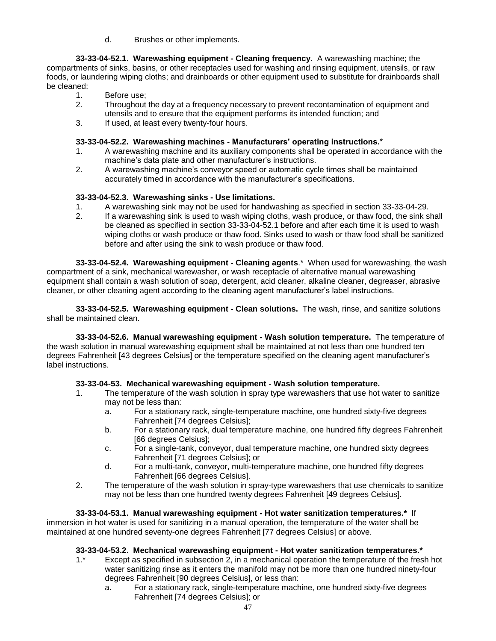d. Brushes or other implements.

**33-33-04-52.1. Warewashing equipment - Cleaning frequency.** A warewashing machine; the compartments of sinks, basins, or other receptacles used for washing and rinsing equipment, utensils, or raw foods, or laundering wiping cloths; and drainboards or other equipment used to substitute for drainboards shall be cleaned:

- 1. Before use;
- 2. Throughout the day at a frequency necessary to prevent recontamination of equipment and utensils and to ensure that the equipment performs its intended function; and
- 3. If used, at least every twenty-four hours.

## **33-33-04-52.2. Warewashing machines - Manufacturers' operating instructions.\***

- 1. A warewashing machine and its auxiliary components shall be operated in accordance with the machine's data plate and other manufacturer's instructions.
- 2. A warewashing machine's conveyor speed or automatic cycle times shall be maintained accurately timed in accordance with the manufacturer's specifications.

## **33-33-04-52.3. Warewashing sinks - Use limitations.**

- 1. A warewashing sink may not be used for handwashing as specified in section 33-33-04-29.
- 2. If a warewashing sink is used to wash wiping cloths, wash produce, or thaw food, the sink shall be cleaned as specified in section 33-33-04-52.1 before and after each time it is used to wash wiping cloths or wash produce or thaw food. Sinks used to wash or thaw food shall be sanitized before and after using the sink to wash produce or thaw food.

**33-33-04-52.4. Warewashing equipment - Cleaning agents**.\* When used for warewashing, the wash compartment of a sink, mechanical warewasher, or wash receptacle of alternative manual warewashing equipment shall contain a wash solution of soap, detergent, acid cleaner, alkaline cleaner, degreaser, abrasive cleaner, or other cleaning agent according to the cleaning agent manufacturer's label instructions.

**33-33-04-52.5. Warewashing equipment - Clean solutions.** The wash, rinse, and sanitize solutions shall be maintained clean.

**33-33-04-52.6. Manual warewashing equipment - Wash solution temperature.** The temperature of the wash solution in manual warewashing equipment shall be maintained at not less than one hundred ten degrees Fahrenheit [43 degrees Celsius] or the temperature specified on the cleaning agent manufacturer's label instructions.

## **33-33-04-53. Mechanical warewashing equipment - Wash solution temperature.**

- 1. The temperature of the wash solution in spray type warewashers that use hot water to sanitize may not be less than:
	- a. For a stationary rack, single-temperature machine, one hundred sixty-five degrees Fahrenheit [74 degrees Celsius];
	- b. For a stationary rack, dual temperature machine, one hundred fifty degrees Fahrenheit [66 degrees Celsius];
	- c. For a single-tank, conveyor, dual temperature machine, one hundred sixty degrees Fahrenheit [71 degrees Celsius]; or
	- d. For a multi-tank, conveyor, multi-temperature machine, one hundred fifty degrees Fahrenheit [66 degrees Celsius].
- 2. The temperature of the wash solution in spray-type warewashers that use chemicals to sanitize may not be less than one hundred twenty degrees Fahrenheit [49 degrees Celsius].

## **33-33-04-53.1. Manual warewashing equipment - Hot water sanitization temperatures.\*** If

immersion in hot water is used for sanitizing in a manual operation, the temperature of the water shall be maintained at one hundred seventy-one degrees Fahrenheit [77 degrees Celsius] or above.

## **33-33-04-53.2. Mechanical warewashing equipment - Hot water sanitization temperatures.\***

- 1.\* Except as specified in subsection 2, in a mechanical operation the temperature of the fresh hot water sanitizing rinse as it enters the manifold may not be more than one hundred ninety-four degrees Fahrenheit [90 degrees Celsius], or less than:
	- a. For a stationary rack, single-temperature machine, one hundred sixty-five degrees Fahrenheit [74 degrees Celsius]; or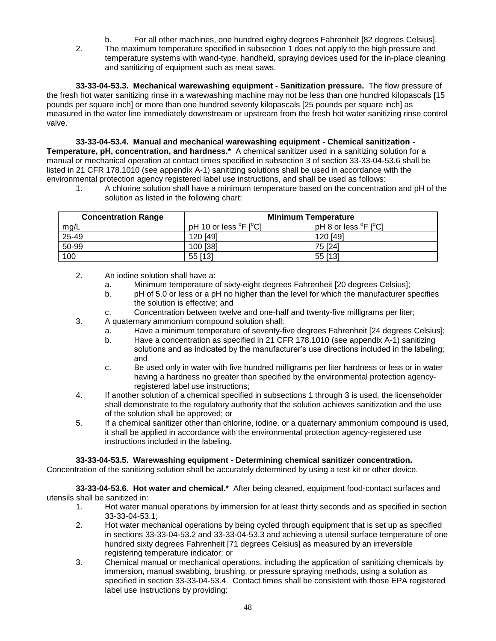b. For all other machines, one hundred eighty degrees Fahrenheit [82 degrees Celsius]. 2. The maximum temperature specified in subsection 1 does not apply to the high pressure and temperature systems with wand-type, handheld, spraying devices used for the in-place cleaning and sanitizing of equipment such as meat saws.

**33-33-04-53.3. Mechanical warewashing equipment - Sanitization pressure.** The flow pressure of the fresh hot water sanitizing rinse in a warewashing machine may not be less than one hundred kilopascals [15 pounds per square inch] or more than one hundred seventy kilopascals [25 pounds per square inch] as measured in the water line immediately downstream or upstream from the fresh hot water sanitizing rinse control valve.

**33-33-04-53.4. Manual and mechanical warewashing equipment - Chemical sanitization - Temperature, pH, concentration, and hardness.\*** A chemical sanitizer used in a sanitizing solution for a manual or mechanical operation at contact times specified in subsection 3 of section 33-33-04-53.6 shall be listed in 21 CFR 178.1010 (see appendix A-1) sanitizing solutions shall be used in accordance with the environmental protection agency registered label use instructions, and shall be used as follows:

1. A chlorine solution shall have a minimum temperature based on the concentration and pH of the solution as listed in the following chart:

| <b>Concentration Range</b> | <b>Minimum Temperature</b>                 |                                               |  |  |
|----------------------------|--------------------------------------------|-----------------------------------------------|--|--|
| mg/L                       | pH 10 or less $^{\circ}$ F [ $^{\circ}$ C] | pH 8 or less <sup>o</sup> F [ <sup>o</sup> C] |  |  |
| 25-49                      | 120 [49]                                   | 120 [49]                                      |  |  |
| 50-99                      | 100 [38]                                   | 75 [24]                                       |  |  |
| 100                        | 55 [13]                                    | 55 [13]                                       |  |  |

- 2. An iodine solution shall have a:
	- a. Minimum temperature of sixty-eight degrees Fahrenheit [20 degrees Celsius];
	- b. pH of 5.0 or less or a pH no higher than the level for which the manufacturer specifies the solution is effective; and
	- c. Concentration between twelve and one-half and twenty-five milligrams per liter;
- 3. A quaternary ammonium compound solution shall:
	- a. Have a minimum temperature of seventy-five degrees Fahrenheit [24 degrees Celsius];
	- b. Have a concentration as specified in 21 CFR 178.1010 (see appendix A-1) sanitizing solutions and as indicated by the manufacturer's use directions included in the labeling; and
	- c. Be used only in water with five hundred milligrams per liter hardness or less or in water having a hardness no greater than specified by the environmental protection agencyregistered label use instructions;
- 4. If another solution of a chemical specified in subsections 1 through 3 is used, the licenseholder shall demonstrate to the regulatory authority that the solution achieves sanitization and the use of the solution shall be approved; or
- 5. If a chemical sanitizer other than chlorine, iodine, or a quaternary ammonium compound is used, it shall be applied in accordance with the environmental protection agency-registered use instructions included in the labeling.

## **33-33-04-53.5. Warewashing equipment - Determining chemical sanitizer concentration.**

Concentration of the sanitizing solution shall be accurately determined by using a test kit or other device.

**33-33-04-53.6. Hot water and chemical.\*** After being cleaned, equipment food-contact surfaces and utensils shall be sanitized in:

- 1. Hot water manual operations by immersion for at least thirty seconds and as specified in section 33-33-04-53.1;
- 2. Hot water mechanical operations by being cycled through equipment that is set up as specified in sections 33-33-04-53.2 and 33-33-04-53.3 and achieving a utensil surface temperature of one hundred sixty degrees Fahrenheit [71 degrees Celsius] as measured by an irreversible registering temperature indicator; or
- 3. Chemical manual or mechanical operations, including the application of sanitizing chemicals by immersion, manual swabbing, brushing, or pressure spraying methods, using a solution as specified in section 33-33-04-53.4. Contact times shall be consistent with those EPA registered label use instructions by providing: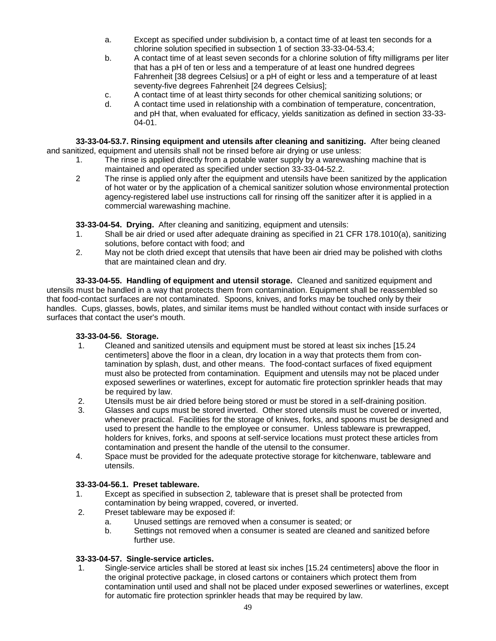- a. Except as specified under subdivision b, a contact time of at least ten seconds for a chlorine solution specified in subsection 1 of section 33-33-04-53.4;
- b. A contact time of at least seven seconds for a chlorine solution of fifty milligrams per liter that has a pH of ten or less and a temperature of at least one hundred degrees Fahrenheit [38 degrees Celsius] or a pH of eight or less and a temperature of at least seventy-five degrees Fahrenheit [24 degrees Celsius];
- c. A contact time of at least thirty seconds for other chemical sanitizing solutions; or
- d. A contact time used in relationship with a combination of temperature, concentration, and pH that, when evaluated for efficacy, yields sanitization as defined in section 33-33- 04-01.

**33-33-04-53.7. Rinsing equipment and utensils after cleaning and sanitizing.** After being cleaned and sanitized, equipment and utensils shall not be rinsed before air drying or use unless:

- 1. The rinse is applied directly from a potable water supply by a warewashing machine that is maintained and operated as specified under section 33-33-04-52.2.
- 2 The rinse is applied only after the equipment and utensils have been sanitized by the application of hot water or by the application of a chemical sanitizer solution whose environmental protection agency-registered label use instructions call for rinsing off the sanitizer after it is applied in a commercial warewashing machine.

**33-33-04-54. Drying.** After cleaning and sanitizing, equipment and utensils:

- 1. Shall be air dried or used after adequate draining as specified in 21 CFR 178.1010(a), sanitizing solutions, before contact with food; and
- 2. May not be cloth dried except that utensils that have been air dried may be polished with cloths that are maintained clean and dry.

**33-33-04-55. Handling of equipment and utensil storage.** Cleaned and sanitized equipment and utensils must be handled in a way that protects them from contamination. Equipment shall be reassembled so that food-contact surfaces are not contaminated. Spoons, knives, and forks may be touched only by their handles. Cups, glasses, bowls, plates, and similar items must be handled without contact with inside surfaces or surfaces that contact the user's mouth.

## **33-33-04-56. Storage.**

- 1. Cleaned and sanitized utensils and equipment must be stored at least six inches [15.24 centimeters] above the floor in a clean, dry location in a way that protects them from contamination by splash, dust, and other means. The food-contact surfaces of fixed equipment must also be protected from contamination. Equipment and utensils may not be placed under exposed sewerlines or waterlines, except for automatic fire protection sprinkler heads that may be required by law.
- 2. Utensils must be air dried before being stored or must be stored in a self-draining position.
- 3. Glasses and cups must be stored inverted. Other stored utensils must be covered or inverted, whenever practical. Facilities for the storage of knives, forks, and spoons must be designed and used to present the handle to the employee or consumer. Unless tableware is prewrapped, holders for knives, forks, and spoons at self-service locations must protect these articles from contamination and present the handle of the utensil to the consumer.
- 4. Space must be provided for the adequate protective storage for kitchenware, tableware and utensils.

## **33-33-04-56.1. Preset tableware.**

- 1. Except as specified in subsection 2*,* tableware that is preset shall be protected from contamination by being wrapped, covered, or inverted.
- 2. Preset tableware may be exposed if:
	- a. Unused settings are removed when a consumer is seated; or
	- b. Settings not removed when a consumer is seated are cleaned and sanitized before further use.

## **33-33-04-57. Single-service articles.**

1. Single-service articles shall be stored at least six inches [15.24 centimeters] above the floor in the original protective package, in closed cartons or containers which protect them from contamination until used and shall not be placed under exposed sewerlines or waterlines, except for automatic fire protection sprinkler heads that may be required by law.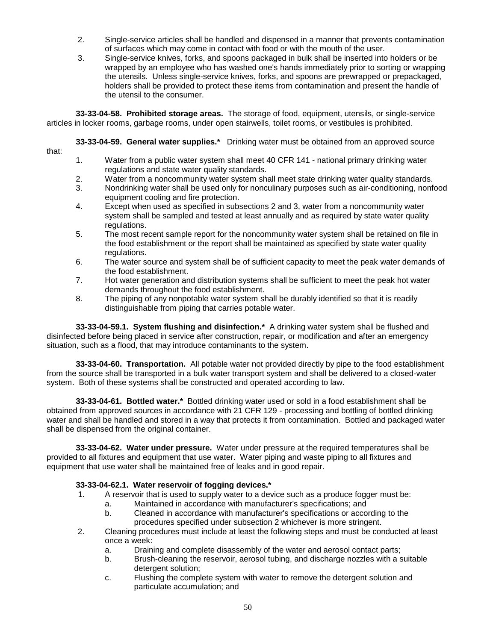- 2. Single-service articles shall be handled and dispensed in a manner that prevents contamination of surfaces which may come in contact with food or with the mouth of the user.
- 3. Single-service knives, forks, and spoons packaged in bulk shall be inserted into holders or be wrapped by an employee who has washed one's hands immediately prior to sorting or wrapping the utensils. Unless single-service knives, forks, and spoons are prewrapped or prepackaged, holders shall be provided to protect these items from contamination and present the handle of the utensil to the consumer.

**33-33-04-58. Prohibited storage areas.** The storage of food, equipment, utensils, or single-service articles in locker rooms, garbage rooms, under open stairwells, toilet rooms, or vestibules is prohibited.

**33-33-04-59. General water supplies.\*** Drinking water must be obtained from an approved source

- that:
- 1. Water from a public water system shall meet 40 CFR 141 national primary drinking water regulations and state water quality standards.
- 2. Water from a noncommunity water system shall meet state drinking water quality standards.
- 3. Nondrinking water shall be used only for nonculinary purposes such as air-conditioning, nonfood equipment cooling and fire protection.
- 4. Except when used as specified in subsections 2 and 3, water from a noncommunity water system shall be sampled and tested at least annually and as required by state water quality regulations.
- 5. The most recent sample report for the noncommunity water system shall be retained on file in the food establishment or the report shall be maintained as specified by state water quality regulations.
- 6. The water source and system shall be of sufficient capacity to meet the peak water demands of the food establishment.
- 7. Hot water generation and distribution systems shall be sufficient to meet the peak hot water demands throughout the food establishment.
- 8. The piping of any nonpotable water system shall be durably identified so that it is readily distinguishable from piping that carries potable water.

**33-33-04-59.1. System flushing and disinfection.\*** A drinking water system shall be flushed and disinfected before being placed in service after construction, repair, or modification and after an emergency situation, such as a flood, that may introduce contaminants to the system.

**33-33-04-60. Transportation.** All potable water not provided directly by pipe to the food establishment from the source shall be transported in a bulk water transport system and shall be delivered to a closed-water system. Both of these systems shall be constructed and operated according to law.

**33-33-04-61. Bottled water.\*** Bottled drinking water used or sold in a food establishment shall be obtained from approved sources in accordance with 21 CFR 129 - processing and bottling of bottled drinking water and shall be handled and stored in a way that protects it from contamination. Bottled and packaged water shall be dispensed from the original container.

**33-33-04-62. Water under pressure.** Water under pressure at the required temperatures shall be provided to all fixtures and equipment that use water. Water piping and waste piping to all fixtures and equipment that use water shall be maintained free of leaks and in good repair.

## **33-33-04-62.1. Water reservoir of fogging devices.\***

- 1. A reservoir that is used to supply water to a device such as a produce fogger must be:
	- a. Maintained in accordance with manufacturer's specifications; and
	- b. Cleaned in accordance with manufacturer's specifications or according to the procedures specified under subsection 2 whichever is more stringent.
- 2. Cleaning procedures must include at least the following steps and must be conducted at least once a week:
	- a. Draining and complete disassembly of the water and aerosol contact parts;
	- b. Brush-cleaning the reservoir, aerosol tubing, and discharge nozzles with a suitable detergent solution:
	- c. Flushing the complete system with water to remove the detergent solution and particulate accumulation; and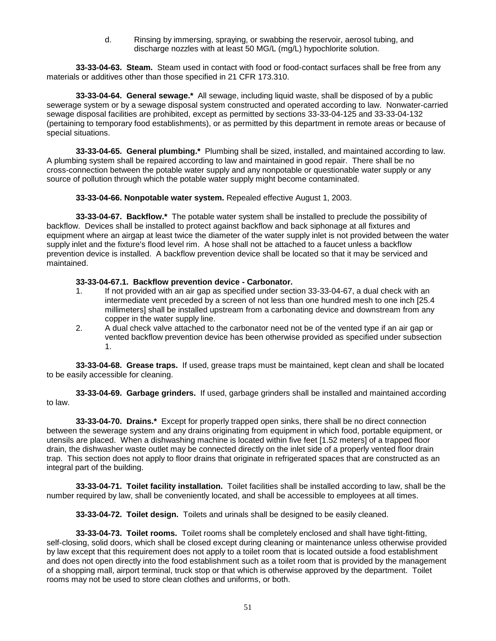d. Rinsing by immersing, spraying, or swabbing the reservoir, aerosol tubing, and discharge nozzles with at least 50 MG/L (mg/L) hypochlorite solution.

**33-33-04-63. Steam.** Steam used in contact with food or food-contact surfaces shall be free from any materials or additives other than those specified in 21 CFR 173.310.

**33-33-04-64. General sewage.\*** All sewage, including liquid waste, shall be disposed of by a public sewerage system or by a sewage disposal system constructed and operated according to law. Nonwater-carried sewage disposal facilities are prohibited, except as permitted by sections 33-33-04-125 and 33-33-04-132 (pertaining to temporary food establishments), or as permitted by this department in remote areas or because of special situations.

**33-33-04-65. General plumbing.\*** Plumbing shall be sized, installed, and maintained according to law. A plumbing system shall be repaired according to law and maintained in good repair. There shall be no cross-connection between the potable water supply and any nonpotable or questionable water supply or any source of pollution through which the potable water supply might become contaminated.

**33-33-04-66. Nonpotable water system.** Repealed effective August 1, 2003.

**33-33-04-67. Backflow.\*** The potable water system shall be installed to preclude the possibility of backflow. Devices shall be installed to protect against backflow and back siphonage at all fixtures and equipment where an airgap at least twice the diameter of the water supply inlet is not provided between the water supply inlet and the fixture's flood level rim. A hose shall not be attached to a faucet unless a backflow prevention device is installed. A backflow prevention device shall be located so that it may be serviced and maintained.

### **33-33-04-67.1. Backflow prevention device - Carbonator.**

- 1. If not provided with an air gap as specified under section 33-33-04-67, a dual check with an intermediate vent preceded by a screen of not less than one hundred mesh to one inch [25.4 millimeters] shall be installed upstream from a carbonating device and downstream from any copper in the water supply line.
- 2. A dual check valve attached to the carbonator need not be of the vented type if an air gap or vented backflow prevention device has been otherwise provided as specified under subsection 1.

**33-33-04-68. Grease traps.** If used, grease traps must be maintained, kept clean and shall be located to be easily accessible for cleaning.

**33-33-04-69. Garbage grinders.** If used, garbage grinders shall be installed and maintained according to law.

**33-33-04-70. Drains.\*** Except for properly trapped open sinks, there shall be no direct connection between the sewerage system and any drains originating from equipment in which food, portable equipment, or utensils are placed. When a dishwashing machine is located within five feet [1.52 meters] of a trapped floor drain, the dishwasher waste outlet may be connected directly on the inlet side of a properly vented floor drain trap. This section does not apply to floor drains that originate in refrigerated spaces that are constructed as an integral part of the building.

**33-33-04-71. Toilet facility installation.** Toilet facilities shall be installed according to law, shall be the number required by law, shall be conveniently located, and shall be accessible to employees at all times.

**33-33-04-72. Toilet design.** Toilets and urinals shall be designed to be easily cleaned.

**33-33-04-73. Toilet rooms.** Toilet rooms shall be completely enclosed and shall have tight-fitting, self-closing, solid doors, which shall be closed except during cleaning or maintenance unless otherwise provided by law except that this requirement does not apply to a toilet room that is located outside a food establishment and does not open directly into the food establishment such as a toilet room that is provided by the management of a shopping mall, airport terminal, truck stop or that which is otherwise approved by the department. Toilet rooms may not be used to store clean clothes and uniforms, or both.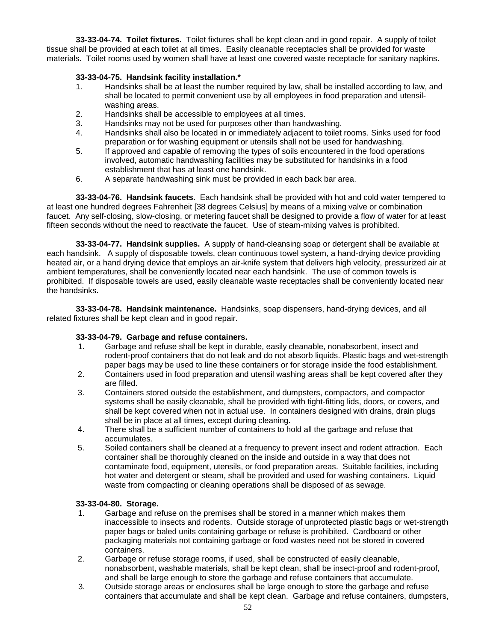**33-33-04-74. Toilet fixtures.** Toilet fixtures shall be kept clean and in good repair. A supply of toilet tissue shall be provided at each toilet at all times. Easily cleanable receptacles shall be provided for waste materials. Toilet rooms used by women shall have at least one covered waste receptacle for sanitary napkins.

### **33-33-04-75. Handsink facility installation.\***

- 1. Handsinks shall be at least the number required by law, shall be installed according to law, and shall be located to permit convenient use by all employees in food preparation and utensilwashing areas.
- 2. Handsinks shall be accessible to employees at all times.
- 3. Handsinks may not be used for purposes other than handwashing.
- 4. Handsinks shall also be located in or immediately adjacent to toilet rooms. Sinks used for food preparation or for washing equipment or utensils shall not be used for handwashing.
- 5. If approved and capable of removing the types of soils encountered in the food operations involved, automatic handwashing facilities may be substituted for handsinks in a food establishment that has at least one handsink.
- 6. A separate handwashing sink must be provided in each back bar area.

**33-33-04-76. Handsink faucets.** Each handsink shall be provided with hot and cold water tempered to at least one hundred degrees Fahrenheit [38 degrees Celsius] by means of a mixing valve or combination faucet. Any self-closing, slow-closing, or metering faucet shall be designed to provide a flow of water for at least fifteen seconds without the need to reactivate the faucet. Use of steam-mixing valves is prohibited.

**33-33-04-77. Handsink supplies.** A supply of hand-cleansing soap or detergent shall be available at each handsink. A supply of disposable towels, clean continuous towel system, a hand-drying device providing heated air, or a hand drying device that employs an air-knife system that delivers high velocity, pressurized air at ambient temperatures, shall be conveniently located near each handsink. The use of common towels is prohibited. If disposable towels are used, easily cleanable waste receptacles shall be conveniently located near the handsinks.

**33-33-04-78. Handsink maintenance.** Handsinks, soap dispensers, hand-drying devices, and all related fixtures shall be kept clean and in good repair.

#### **33-33-04-79. Garbage and refuse containers.**

- 1. Garbage and refuse shall be kept in durable, easily cleanable, nonabsorbent, insect and rodent-proof containers that do not leak and do not absorb liquids. Plastic bags and wet-strength paper bags may be used to line these containers or for storage inside the food establishment.
- 2. Containers used in food preparation and utensil washing areas shall be kept covered after they are filled.
- 3. Containers stored outside the establishment, and dumpsters, compactors, and compactor systems shall be easily cleanable, shall be provided with tight-fitting lids, doors, or covers, and shall be kept covered when not in actual use. In containers designed with drains, drain plugs shall be in place at all times, except during cleaning.
- 4. There shall be a sufficient number of containers to hold all the garbage and refuse that accumulates.
- 5. Soiled containers shall be cleaned at a frequency to prevent insect and rodent attraction. Each container shall be thoroughly cleaned on the inside and outside in a way that does not contaminate food, equipment, utensils, or food preparation areas. Suitable facilities, including hot water and detergent or steam, shall be provided and used for washing containers. Liquid waste from compacting or cleaning operations shall be disposed of as sewage.

#### **33-33-04-80. Storage.**

- 1. Garbage and refuse on the premises shall be stored in a manner which makes them inaccessible to insects and rodents. Outside storage of unprotected plastic bags or wet-strength paper bags or baled units containing garbage or refuse is prohibited. Cardboard or other packaging materials not containing garbage or food wastes need not be stored in covered containers.
- 2. Garbage or refuse storage rooms, if used, shall be constructed of easily cleanable, nonabsorbent, washable materials, shall be kept clean, shall be insect-proof and rodent-proof, and shall be large enough to store the garbage and refuse containers that accumulate.
- 3. Outside storage areas or enclosures shall be large enough to store the garbage and refuse containers that accumulate and shall be kept clean. Garbage and refuse containers, dumpsters,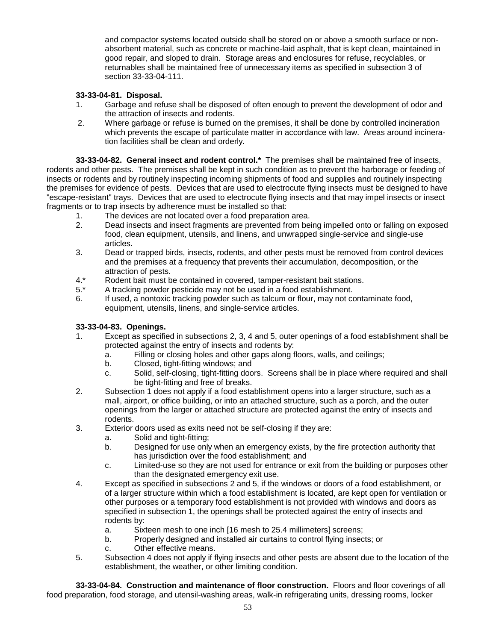and compactor systems located outside shall be stored on or above a smooth surface or nonabsorbent material, such as concrete or machine-laid asphalt, that is kept clean, maintained in good repair, and sloped to drain. Storage areas and enclosures for refuse, recyclables, or returnables shall be maintained free of unnecessary items as specified in subsection 3 of section 33-33-04-111.

## **33-33-04-81. Disposal.**

- 1. Garbage and refuse shall be disposed of often enough to prevent the development of odor and the attraction of insects and rodents.
- 2. Where garbage or refuse is burned on the premises, it shall be done by controlled incineration which prevents the escape of particulate matter in accordance with law. Areas around incineration facilities shall be clean and orderly.

**33-33-04-82. General insect and rodent control.\*** The premises shall be maintained free of insects, rodents and other pests. The premises shall be kept in such condition as to prevent the harborage or feeding of insects or rodents and by routinely inspecting incoming shipments of food and supplies and routinely inspecting the premises for evidence of pests. Devices that are used to electrocute flying insects must be designed to have "escape-resistant" trays. Devices that are used to electrocute flying insects and that may impel insects or insect fragments or to trap insects by adherence must be installed so that:

- 1. The devices are not located over a food preparation area.
- 2. Dead insects and insect fragments are prevented from being impelled onto or falling on exposed food, clean equipment, utensils, and linens, and unwrapped single-service and single-use articles.
- 3. Dead or trapped birds, insects, rodents, and other pests must be removed from control devices and the premises at a frequency that prevents their accumulation, decomposition, or the attraction of pests.
- 4.\* Rodent bait must be contained in covered, tamper-resistant bait stations.
- 5.\* A tracking powder pesticide may not be used in a food establishment.
- 6. If used, a nontoxic tracking powder such as talcum or flour, may not contaminate food, equipment, utensils, linens, and single-service articles.

## **33-33-04-83. Openings.**

- 1. Except as specified in subsections 2, 3, 4 and 5, outer openings of a food establishment shall be protected against the entry of insects and rodents by:
	- a. Filling or closing holes and other gaps along floors, walls, and ceilings;
	- b. Closed, tight-fitting windows; and
	- c. Solid, self-closing, tight-fitting doors. Screens shall be in place where required and shall be tight-fitting and free of breaks.
- 2. Subsection 1 does not apply if a food establishment opens into a larger structure, such as a mall, airport, or office building, or into an attached structure, such as a porch, and the outer openings from the larger or attached structure are protected against the entry of insects and rodents.
- 3. Exterior doors used as exits need not be self-closing if they are:
	- a. Solid and tight-fitting;
	- b. Designed for use only when an emergency exists, by the fire protection authority that has jurisdiction over the food establishment; and
	- c. Limited-use so they are not used for entrance or exit from the building or purposes other than the designated emergency exit use.
- 4. Except as specified in subsections 2 and 5, if the windows or doors of a food establishment, or of a larger structure within which a food establishment is located, are kept open for ventilation or other purposes or a temporary food establishment is not provided with windows and doors as specified in subsection 1, the openings shall be protected against the entry of insects and rodents by:
	- a. Sixteen mesh to one inch [16 mesh to 25.4 millimeters] screens;
	- b. Properly designed and installed air curtains to control flying insects; or
	- c. Other effective means.
- 5. Subsection 4 does not apply if flying insects and other pests are absent due to the location of the establishment, the weather, or other limiting condition.

**33-33-04-84. Construction and maintenance of floor construction.** Floors and floor coverings of all food preparation, food storage, and utensil-washing areas, walk-in refrigerating units, dressing rooms, locker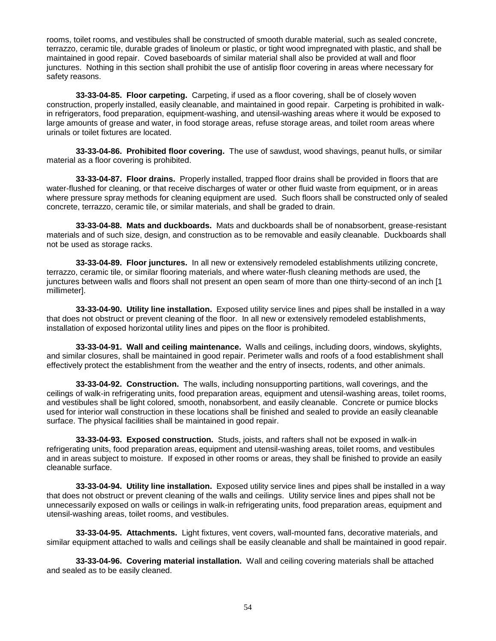rooms, toilet rooms, and vestibules shall be constructed of smooth durable material, such as sealed concrete, terrazzo, ceramic tile, durable grades of linoleum or plastic, or tight wood impregnated with plastic, and shall be maintained in good repair. Coved baseboards of similar material shall also be provided at wall and floor junctures. Nothing in this section shall prohibit the use of antislip floor covering in areas where necessary for safety reasons.

**33-33-04-85. Floor carpeting.** Carpeting, if used as a floor covering, shall be of closely woven construction, properly installed, easily cleanable, and maintained in good repair. Carpeting is prohibited in walkin refrigerators, food preparation, equipment-washing, and utensil-washing areas where it would be exposed to large amounts of grease and water, in food storage areas, refuse storage areas, and toilet room areas where urinals or toilet fixtures are located.

**33-33-04-86. Prohibited floor covering.** The use of sawdust, wood shavings, peanut hulls, or similar material as a floor covering is prohibited.

**33-33-04-87. Floor drains.** Properly installed, trapped floor drains shall be provided in floors that are water-flushed for cleaning, or that receive discharges of water or other fluid waste from equipment, or in areas where pressure spray methods for cleaning equipment are used. Such floors shall be constructed only of sealed concrete, terrazzo, ceramic tile, or similar materials, and shall be graded to drain.

**33-33-04-88. Mats and duckboards.** Mats and duckboards shall be of nonabsorbent, grease-resistant materials and of such size, design, and construction as to be removable and easily cleanable. Duckboards shall not be used as storage racks.

**33-33-04-89. Floor junctures.** In all new or extensively remodeled establishments utilizing concrete, terrazzo, ceramic tile, or similar flooring materials, and where water-flush cleaning methods are used, the junctures between walls and floors shall not present an open seam of more than one thirty-second of an inch [1 millimeter].

**33-33-04-90. Utility line installation.** Exposed utility service lines and pipes shall be installed in a way that does not obstruct or prevent cleaning of the floor. In all new or extensively remodeled establishments, installation of exposed horizontal utility lines and pipes on the floor is prohibited.

**33-33-04-91. Wall and ceiling maintenance.** Walls and ceilings, including doors, windows, skylights, and similar closures, shall be maintained in good repair. Perimeter walls and roofs of a food establishment shall effectively protect the establishment from the weather and the entry of insects, rodents, and other animals.

**33-33-04-92. Construction.** The walls, including nonsupporting partitions, wall coverings, and the ceilings of walk-in refrigerating units, food preparation areas, equipment and utensil-washing areas, toilet rooms, and vestibules shall be light colored, smooth, nonabsorbent, and easily cleanable. Concrete or pumice blocks used for interior wall construction in these locations shall be finished and sealed to provide an easily cleanable surface. The physical facilities shall be maintained in good repair.

**33-33-04-93. Exposed construction.** Studs, joists, and rafters shall not be exposed in walk-in refrigerating units, food preparation areas, equipment and utensil-washing areas, toilet rooms, and vestibules and in areas subject to moisture. If exposed in other rooms or areas, they shall be finished to provide an easily cleanable surface.

**33-33-04-94. Utility line installation.** Exposed utility service lines and pipes shall be installed in a way that does not obstruct or prevent cleaning of the walls and ceilings. Utility service lines and pipes shall not be unnecessarily exposed on walls or ceilings in walk-in refrigerating units, food preparation areas, equipment and utensil-washing areas, toilet rooms, and vestibules.

**33-33-04-95. Attachments.** Light fixtures, vent covers, wall-mounted fans, decorative materials, and similar equipment attached to walls and ceilings shall be easily cleanable and shall be maintained in good repair.

**33-33-04-96. Covering material installation.** Wall and ceiling covering materials shall be attached and sealed as to be easily cleaned.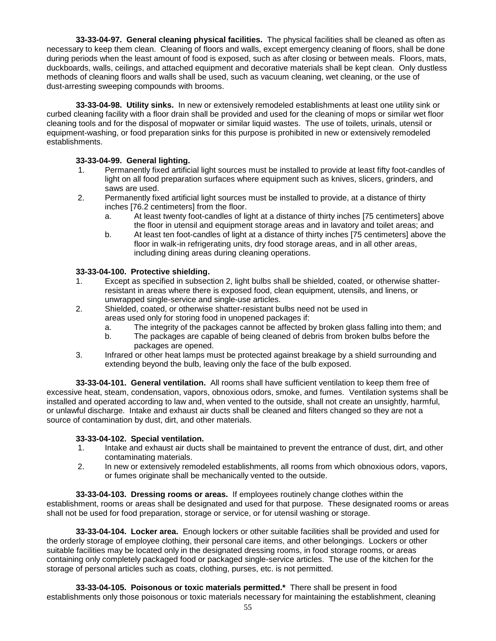**33-33-04-97. General cleaning physical facilities.** The physical facilities shall be cleaned as often as necessary to keep them clean. Cleaning of floors and walls, except emergency cleaning of floors, shall be done during periods when the least amount of food is exposed, such as after closing or between meals. Floors, mats, duckboards, walls, ceilings, and attached equipment and decorative materials shall be kept clean. Only dustless methods of cleaning floors and walls shall be used, such as vacuum cleaning, wet cleaning, or the use of dust-arresting sweeping compounds with brooms.

**33-33-04-98. Utility sinks.** In new or extensively remodeled establishments at least one utility sink or curbed cleaning facility with a floor drain shall be provided and used for the cleaning of mops or similar wet floor cleaning tools and for the disposal of mopwater or similar liquid wastes. The use of toilets, urinals, utensil or equipment-washing, or food preparation sinks for this purpose is prohibited in new or extensively remodeled establishments.

## **33-33-04-99. General lighting.**

- 1. Permanently fixed artificial light sources must be installed to provide at least fifty foot-candles of light on all food preparation surfaces where equipment such as knives, slicers, grinders, and saws are used.
- 2. Permanently fixed artificial light sources must be installed to provide, at a distance of thirty inches [76.2 centimeters] from the floor.
	- a. At least twenty foot-candles of light at a distance of thirty inches [75 centimeters] above the floor in utensil and equipment storage areas and in lavatory and toilet areas; and
	- b. At least ten foot-candles of light at a distance of thirty inches [75 centimeters] above the floor in walk-in refrigerating units, dry food storage areas, and in all other areas, including dining areas during cleaning operations.

## **33-33-04-100. Protective shielding.**

- 1. Except as specified in subsection 2, light bulbs shall be shielded, coated, or otherwise shatterresistant in areas where there is exposed food, clean equipment, utensils, and linens, or unwrapped single-service and single-use articles.
- 2. Shielded, coated, or otherwise shatter-resistant bulbs need not be used in areas used only for storing food in unopened packages if:
	- a. The integrity of the packages cannot be affected by broken glass falling into them; and
	- b. The packages are capable of being cleaned of debris from broken bulbs before the packages are opened.
- 3. Infrared or other heat lamps must be protected against breakage by a shield surrounding and extending beyond the bulb, leaving only the face of the bulb exposed.

**33-33-04-101. General ventilation.** All rooms shall have sufficient ventilation to keep them free of excessive heat, steam, condensation, vapors, obnoxious odors, smoke, and fumes. Ventilation systems shall be installed and operated according to law and, when vented to the outside, shall not create an unsightly, harmful, or unlawful discharge. Intake and exhaust air ducts shall be cleaned and filters changed so they are not a source of contamination by dust, dirt, and other materials.

## **33-33-04-102. Special ventilation.**

- 1. Intake and exhaust air ducts shall be maintained to prevent the entrance of dust, dirt, and other contaminating materials.
- 2. In new or extensively remodeled establishments, all rooms from which obnoxious odors, vapors, or fumes originate shall be mechanically vented to the outside.

**33-33-04-103. Dressing rooms or areas.** If employees routinely change clothes within the establishment, rooms or areas shall be designated and used for that purpose. These designated rooms or areas shall not be used for food preparation, storage or service, or for utensil washing or storage.

**33-33-04-104. Locker area.** Enough lockers or other suitable facilities shall be provided and used for the orderly storage of employee clothing, their personal care items, and other belongings. Lockers or other suitable facilities may be located only in the designated dressing rooms, in food storage rooms, or areas containing only completely packaged food or packaged single-service articles. The use of the kitchen for the storage of personal articles such as coats, clothing, purses, etc. is not permitted.

**33-33-04-105. Poisonous or toxic materials permitted.\*** There shall be present in food establishments only those poisonous or toxic materials necessary for maintaining the establishment, cleaning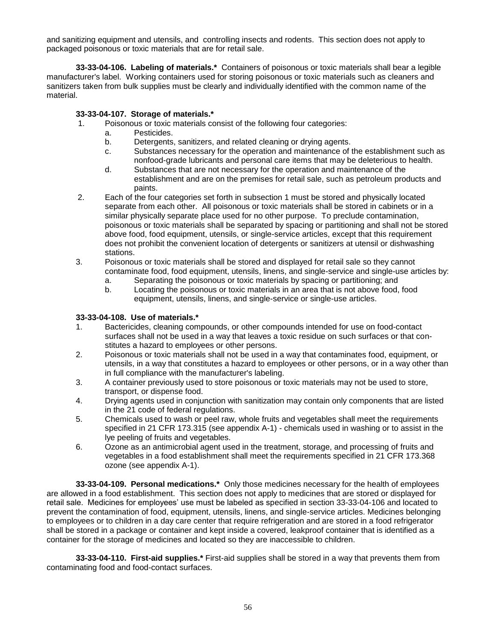and sanitizing equipment and utensils, and controlling insects and rodents. This section does not apply to packaged poisonous or toxic materials that are for retail sale.

**33-33-04-106. Labeling of materials.\*** Containers of poisonous or toxic materials shall bear a legible manufacturer's label. Working containers used for storing poisonous or toxic materials such as cleaners and sanitizers taken from bulk supplies must be clearly and individually identified with the common name of the material.

### **33-33-04-107. Storage of materials.\***

- 1. Poisonous or toxic materials consist of the following four categories:
	- a. Pesticides.
	- b. Detergents, sanitizers, and related cleaning or drying agents.
	- c. Substances necessary for the operation and maintenance of the establishment such as nonfood-grade lubricants and personal care items that may be deleterious to health.
	- d. Substances that are not necessary for the operation and maintenance of the establishment and are on the premises for retail sale, such as petroleum products and paints.
- 2. Each of the four categories set forth in subsection 1 must be stored and physically located separate from each other. All poisonous or toxic materials shall be stored in cabinets or in a similar physically separate place used for no other purpose. To preclude contamination, poisonous or toxic materials shall be separated by spacing or partitioning and shall not be stored above food, food equipment, utensils, or single-service articles, except that this requirement does not prohibit the convenient location of detergents or sanitizers at utensil or dishwashing stations.
- 3. Poisonous or toxic materials shall be stored and displayed for retail sale so they cannot contaminate food, food equipment, utensils, linens, and single-service and single-use articles by:
	- a. Separating the poisonous or toxic materials by spacing or partitioning; and
	- b. Locating the poisonous or toxic materials in an area that is not above food, food equipment, utensils, linens, and single-service or single-use articles.

### **33-33-04-108. Use of materials.\***

- 1. Bactericides, cleaning compounds, or other compounds intended for use on food-contact surfaces shall not be used in a way that leaves a toxic residue on such surfaces or that constitutes a hazard to employees or other persons.
- 2. Poisonous or toxic materials shall not be used in a way that contaminates food, equipment, or utensils, in a way that constitutes a hazard to employees or other persons, or in a way other than in full compliance with the manufacturer's labeling.
- 3. A container previously used to store poisonous or toxic materials may not be used to store, transport, or dispense food.
- 4. Drying agents used in conjunction with sanitization may contain only components that are listed in the 21 code of federal regulations.
- 5. Chemicals used to wash or peel raw, whole fruits and vegetables shall meet the requirements specified in 21 CFR 173.315 (see appendix A-1) - chemicals used in washing or to assist in the lye peeling of fruits and vegetables.
- 6. Ozone as an antimicrobial agent used in the treatment, storage, and processing of fruits and vegetables in a food establishment shall meet the requirements specified in 21 CFR 173.368 ozone (see appendix A-1).

**33-33-04-109. Personal medications.\*** Only those medicines necessary for the health of employees are allowed in a food establishment. This section does not apply to medicines that are stored or displayed for retail sale. Medicines for employees' use must be labeled as specified in section 33-33-04-106 and located to prevent the contamination of food, equipment, utensils, linens, and single-service articles. Medicines belonging to employees or to children in a day care center that require refrigeration and are stored in a food refrigerator shall be stored in a package or container and kept inside a covered, leakproof container that is identified as a container for the storage of medicines and located so they are inaccessible to children.

**33-33-04-110. First-aid supplies.\*** First-aid supplies shall be stored in a way that prevents them from contaminating food and food-contact surfaces.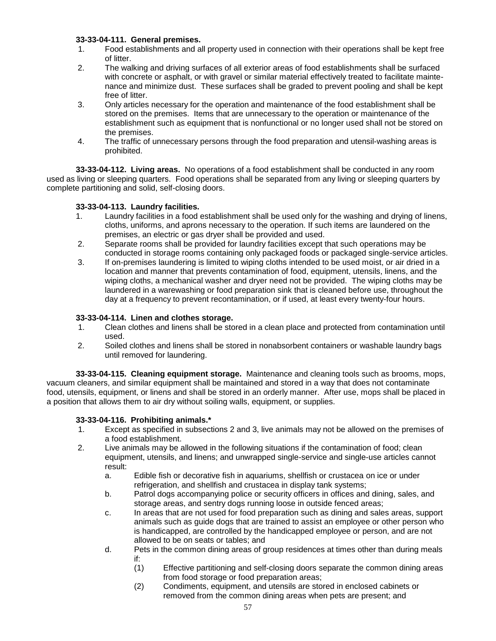## **33-33-04-111. General premises.**

- 1. Food establishments and all property used in connection with their operations shall be kept free of litter.
- 2. The walking and driving surfaces of all exterior areas of food establishments shall be surfaced with concrete or asphalt, or with gravel or similar material effectively treated to facilitate maintenance and minimize dust. These surfaces shall be graded to prevent pooling and shall be kept free of litter.
- 3. Only articles necessary for the operation and maintenance of the food establishment shall be stored on the premises. Items that are unnecessary to the operation or maintenance of the establishment such as equipment that is nonfunctional or no longer used shall not be stored on the premises.
- 4. The traffic of unnecessary persons through the food preparation and utensil-washing areas is prohibited.

**33-33-04-112. Living areas.** No operations of a food establishment shall be conducted in any room used as living or sleeping quarters. Food operations shall be separated from any living or sleeping quarters by complete partitioning and solid, self-closing doors.

# **33-33-04-113. Laundry facilities.**

- 1. Laundry facilities in a food establishment shall be used only for the washing and drying of linens, cloths, uniforms, and aprons necessary to the operation. If such items are laundered on the premises, an electric or gas dryer shall be provided and used.
- 2. Separate rooms shall be provided for laundry facilities except that such operations may be conducted in storage rooms containing only packaged foods or packaged single-service articles.
- 3. If on-premises laundering is limited to wiping cloths intended to be used moist, or air dried in a location and manner that prevents contamination of food, equipment, utensils, linens, and the wiping cloths, a mechanical washer and dryer need not be provided. The wiping cloths may be laundered in a warewashing or food preparation sink that is cleaned before use, throughout the day at a frequency to prevent recontamination, or if used, at least every twenty-four hours.

## **33-33-04-114. Linen and clothes storage.**

- 1. Clean clothes and linens shall be stored in a clean place and protected from contamination until used.
- 2. Soiled clothes and linens shall be stored in nonabsorbent containers or washable laundry bags until removed for laundering.

**33-33-04-115. Cleaning equipment storage.** Maintenance and cleaning tools such as brooms, mops, vacuum cleaners, and similar equipment shall be maintained and stored in a way that does not contaminate food, utensils, equipment, or linens and shall be stored in an orderly manner. After use, mops shall be placed in a position that allows them to air dry without soiling walls, equipment, or supplies.

## **33-33-04-116. Prohibiting animals.\***

- 1. Except as specified in subsections 2 and 3, live animals may not be allowed on the premises of a food establishment.
- 2. Live animals may be allowed in the following situations if the contamination of food; clean equipment, utensils, and linens; and unwrapped single-service and single-use articles cannot result:
	- a. Edible fish or decorative fish in aquariums, shellfish or crustacea on ice or under refrigeration, and shellfish and crustacea in display tank systems;
	- b. Patrol dogs accompanying police or security officers in offices and dining, sales, and storage areas, and sentry dogs running loose in outside fenced areas;
	- c. In areas that are not used for food preparation such as dining and sales areas, support animals such as guide dogs that are trained to assist an employee or other person who is handicapped, are controlled by the handicapped employee or person, and are not allowed to be on seats or tables; and
	- d. Pets in the common dining areas of group residences at times other than during meals if:
		- (1) Effective partitioning and self-closing doors separate the common dining areas from food storage or food preparation areas;
		- (2) Condiments, equipment, and utensils are stored in enclosed cabinets or removed from the common dining areas when pets are present; and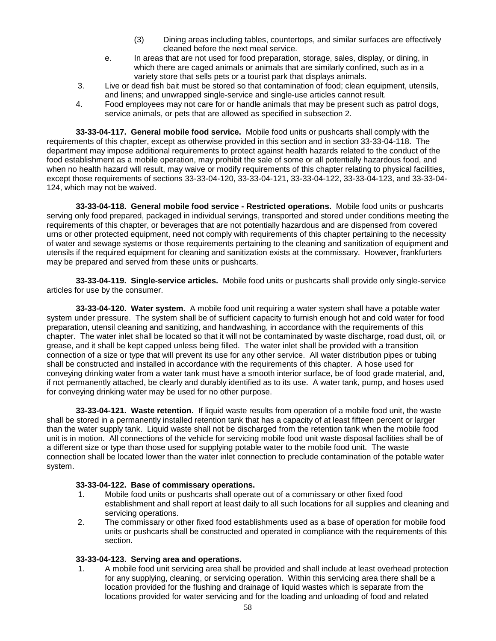- (3) Dining areas including tables, countertops, and similar surfaces are effectively cleaned before the next meal service.
- e. In areas that are not used for food preparation, storage, sales, display, or dining, in which there are caged animals or animals that are similarly confined, such as in a variety store that sells pets or a tourist park that displays animals.
- 3. Live or dead fish bait must be stored so that contamination of food; clean equipment, utensils, and linens; and unwrapped single-service and single-use articles cannot result.
- 4. Food employees may not care for or handle animals that may be present such as patrol dogs, service animals, or pets that are allowed as specified in subsection 2.

**33-33-04-117. General mobile food service.** Mobile food units or pushcarts shall comply with the requirements of this chapter, except as otherwise provided in this section and in section 33-33-04-118. The department may impose additional requirements to protect against health hazards related to the conduct of the food establishment as a mobile operation, may prohibit the sale of some or all potentially hazardous food, and when no health hazard will result, may waive or modify requirements of this chapter relating to physical facilities, except those requirements of sections 33-33-04-120, 33-33-04-121, 33-33-04-122, 33-33-04-123, and 33-33-04- 124, which may not be waived.

**33-33-04-118. General mobile food service - Restricted operations.** Mobile food units or pushcarts serving only food prepared, packaged in individual servings, transported and stored under conditions meeting the requirements of this chapter, or beverages that are not potentially hazardous and are dispensed from covered urns or other protected equipment, need not comply with requirements of this chapter pertaining to the necessity of water and sewage systems or those requirements pertaining to the cleaning and sanitization of equipment and utensils if the required equipment for cleaning and sanitization exists at the commissary. However, frankfurters may be prepared and served from these units or pushcarts.

**33-33-04-119. Single-service articles.** Mobile food units or pushcarts shall provide only single-service articles for use by the consumer.

**33-33-04-120. Water system.** A mobile food unit requiring a water system shall have a potable water system under pressure. The system shall be of sufficient capacity to furnish enough hot and cold water for food preparation, utensil cleaning and sanitizing, and handwashing, in accordance with the requirements of this chapter. The water inlet shall be located so that it will not be contaminated by waste discharge, road dust, oil, or grease, and it shall be kept capped unless being filled. The water inlet shall be provided with a transition connection of a size or type that will prevent its use for any other service. All water distribution pipes or tubing shall be constructed and installed in accordance with the requirements of this chapter. A hose used for conveying drinking water from a water tank must have a smooth interior surface, be of food grade material, and, if not permanently attached, be clearly and durably identified as to its use. A water tank, pump, and hoses used for conveying drinking water may be used for no other purpose.

**33-33-04-121. Waste retention.** If liquid waste results from operation of a mobile food unit, the waste shall be stored in a permanently installed retention tank that has a capacity of at least fifteen percent or larger than the water supply tank. Liquid waste shall not be discharged from the retention tank when the mobile food unit is in motion. All connections of the vehicle for servicing mobile food unit waste disposal facilities shall be of a different size or type than those used for supplying potable water to the mobile food unit. The waste connection shall be located lower than the water inlet connection to preclude contamination of the potable water system.

## **33-33-04-122. Base of commissary operations.**

- 1. Mobile food units or pushcarts shall operate out of a commissary or other fixed food establishment and shall report at least daily to all such locations for all supplies and cleaning and servicing operations.
- 2. The commissary or other fixed food establishments used as a base of operation for mobile food units or pushcarts shall be constructed and operated in compliance with the requirements of this section.

#### **33-33-04-123. Serving area and operations.**

1. A mobile food unit servicing area shall be provided and shall include at least overhead protection for any supplying, cleaning, or servicing operation. Within this servicing area there shall be a location provided for the flushing and drainage of liquid wastes which is separate from the locations provided for water servicing and for the loading and unloading of food and related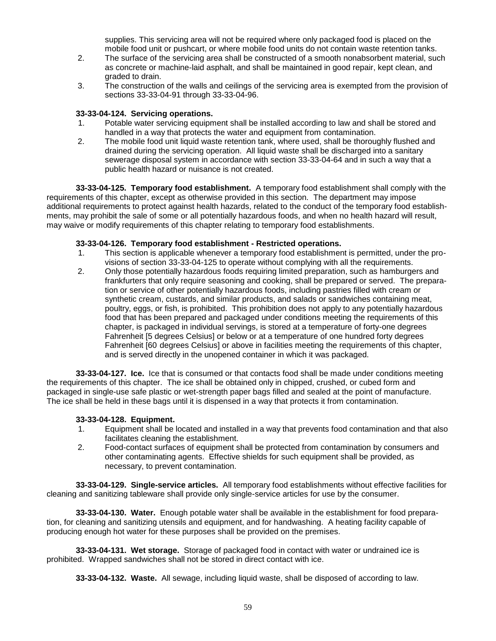supplies. This servicing area will not be required where only packaged food is placed on the mobile food unit or pushcart, or where mobile food units do not contain waste retention tanks.

- 2. The surface of the servicing area shall be constructed of a smooth nonabsorbent material, such as concrete or machine-laid asphalt, and shall be maintained in good repair, kept clean, and graded to drain.
- 3. The construction of the walls and ceilings of the servicing area is exempted from the provision of sections 33-33-04-91 through 33-33-04-96.

### **33-33-04-124. Servicing operations.**

- 1. Potable water servicing equipment shall be installed according to law and shall be stored and handled in a way that protects the water and equipment from contamination.
- 2. The mobile food unit liquid waste retention tank, where used, shall be thoroughly flushed and drained during the servicing operation. All liquid waste shall be discharged into a sanitary sewerage disposal system in accordance with section 33-33-04-64 and in such a way that a public health hazard or nuisance is not created.

**33-33-04-125. Temporary food establishment.** A temporary food establishment shall comply with the requirements of this chapter, except as otherwise provided in this section. The department may impose additional requirements to protect against health hazards, related to the conduct of the temporary food establishments, may prohibit the sale of some or all potentially hazardous foods, and when no health hazard will result, may waive or modify requirements of this chapter relating to temporary food establishments.

### **33-33-04-126. Temporary food establishment - Restricted operations.**

- 1. This section is applicable whenever a temporary food establishment is permitted, under the provisions of section 33-33-04-125 to operate without complying with all the requirements.
- 2. Only those potentially hazardous foods requiring limited preparation, such as hamburgers and frankfurters that only require seasoning and cooking, shall be prepared or served. The preparation or service of other potentially hazardous foods, including pastries filled with cream or synthetic cream, custards, and similar products, and salads or sandwiches containing meat, poultry, eggs, or fish, is prohibited. This prohibition does not apply to any potentially hazardous food that has been prepared and packaged under conditions meeting the requirements of this chapter, is packaged in individual servings, is stored at a temperature of forty-one degrees Fahrenheit [5 degrees Celsius] or below or at a temperature of one hundred forty degrees Fahrenheit [60 degrees Celsius] or above in facilities meeting the requirements of this chapter, and is served directly in the unopened container in which it was packaged.

**33-33-04-127. Ice.** Ice that is consumed or that contacts food shall be made under conditions meeting the requirements of this chapter. The ice shall be obtained only in chipped, crushed, or cubed form and packaged in single-use safe plastic or wet-strength paper bags filled and sealed at the point of manufacture. The ice shall be held in these bags until it is dispensed in a way that protects it from contamination.

## **33-33-04-128. Equipment.**

- 1. Equipment shall be located and installed in a way that prevents food contamination and that also facilitates cleaning the establishment.
- 2. Food-contact surfaces of equipment shall be protected from contamination by consumers and other contaminating agents. Effective shields for such equipment shall be provided, as necessary, to prevent contamination.

**33-33-04-129. Single-service articles.** All temporary food establishments without effective facilities for cleaning and sanitizing tableware shall provide only single-service articles for use by the consumer.

**33-33-04-130. Water.** Enough potable water shall be available in the establishment for food preparation, for cleaning and sanitizing utensils and equipment, and for handwashing. A heating facility capable of producing enough hot water for these purposes shall be provided on the premises.

**33-33-04-131. Wet storage.** Storage of packaged food in contact with water or undrained ice is prohibited. Wrapped sandwiches shall not be stored in direct contact with ice.

**33-33-04-132. Waste.** All sewage, including liquid waste, shall be disposed of according to law.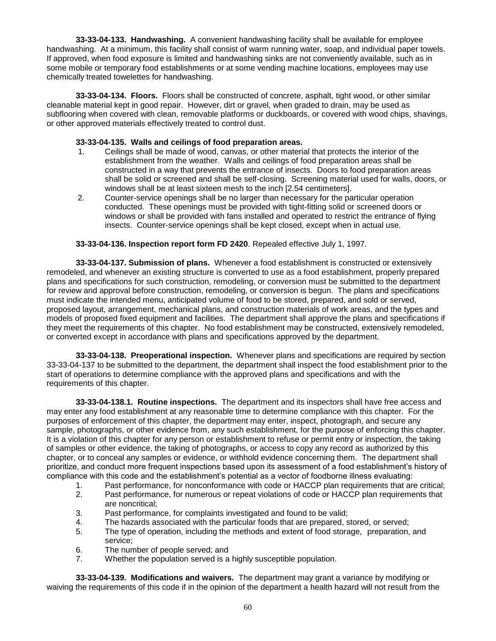**33-33-04-133. Handwashing.** A convenient handwashing facility shall be available for employee handwashing. At a minimum, this facility shall consist of warm running water, soap, and individual paper towels. If approved, when food exposure is limited and handwashing sinks are not conveniently available, such as in some mobile or temporary food establishments or at some vending machine locations, employees may use chemically treated towelettes for handwashing.

**33-33-04-134. Floors.** Floors shall be constructed of concrete, asphalt, tight wood, or other similar cleanable material kept in good repair. However, dirt or gravel, when graded to drain, may be used as subflooring when covered with clean, removable platforms or duckboards, or covered with wood chips, shavings, or other approved materials effectively treated to control dust.

### **33-33-04-135. Walls and ceilings of food preparation areas.**

- 1. Ceilings shall be made of wood, canvas, or other material that protects the interior of the establishment from the weather. Walls and ceilings of food preparation areas shall be constructed in a way that prevents the entrance of insects. Doors to food preparation areas shall be solid or screened and shall be self-closing. Screening material used for walls, doors, or windows shall be at least sixteen mesh to the inch [2.54 centimeters].
- 2. Counter-service openings shall be no larger than necessary for the particular operation conducted. These openings must be provided with tight-fitting solid or screened doors or windows or shall be provided with fans installed and operated to restrict the entrance of flying insects. Counter-service openings shall be kept closed, except when in actual use.

### **33-33-04-136. Inspection report form FD 2420**. Repealed effective July 1, 1997.

**33-33-04-137. Submission of plans.** Whenever a food establishment is constructed or extensively remodeled, and whenever an existing structure is converted to use as a food establishment, properly prepared plans and specifications for such construction, remodeling, or conversion must be submitted to the department for review and approval before construction, remodeling, or conversion is begun. The plans and specifications must indicate the intended menu, anticipated volume of food to be stored, prepared, and sold or served, proposed layout, arrangement, mechanical plans, and construction materials of work areas, and the types and models of proposed fixed equipment and facilities. The department shall approve the plans and specifications if they meet the requirements of this chapter. No food establishment may be constructed, extensively remodeled, or converted except in accordance with plans and specifications approved by the department.

**33-33-04-138. Preoperational inspection.** Whenever plans and specifications are required by section 33-33-04-137 to be submitted to the department, the department shall inspect the food establishment prior to the start of operations to determine compliance with the approved plans and specifications and with the requirements of this chapter.

**33-33-04-138.1. Routine inspections.** The department and its inspectors shall have free access and may enter any food establishment at any reasonable time to determine compliance with this chapter. For the purposes of enforcement of this chapter, the department may enter, inspect, photograph, and secure any sample, photographs, or other evidence from, any such establishment, for the purpose of enforcing this chapter. It is a violation of this chapter for any person or establishment to refuse or permit entry or inspection, the taking of samples or other evidence, the taking of photographs, or access to copy any record as authorized by this chapter, or to conceal any samples or evidence, or withhold evidence concerning them. The department shall prioritize, and conduct more frequent inspections based upon its assessment of a food establishment's history of compliance with this code and the establishment's potential as a vector of foodborne illness evaluating:

- 1. Past performance, for nonconformance with code or HACCP plan requirements that are critical; 2. Past performance, for numerous or repeat violations of code or HACCP plan requirements that are noncritical;
- 3. Past performance, for complaints investigated and found to be valid;
- 4. The hazards associated with the particular foods that are prepared, stored, or served;
- 5. The type of operation, including the methods and extent of food storage, preparation, and service;
- 6. The number of people served; and
- 7. Whether the population served is a highly susceptible population.

**33-33-04-139. Modifications and waivers.** The department may grant a variance by modifying or waiving the requirements of this code if in the opinion of the department a health hazard will not result from the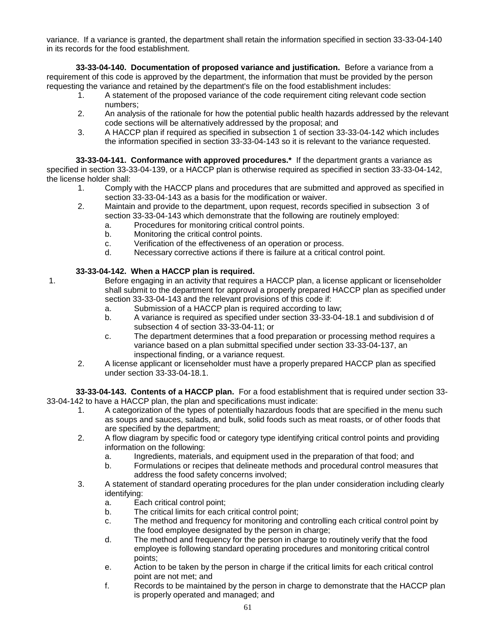variance. If a variance is granted, the department shall retain the information specified in section 33-33-04-140 in its records for the food establishment.

**33-33-04-140. Documentation of proposed variance and justification.** Before a variance from a requirement of this code is approved by the department, the information that must be provided by the person requesting the variance and retained by the department's file on the food establishment includes:

- 1. A statement of the proposed variance of the code requirement citing relevant code section numbers;
- 2. An analysis of the rationale for how the potential public health hazards addressed by the relevant code sections will be alternatively addressed by the proposal; and
- 3. A HACCP plan if required as specified in subsection 1 of section 33-33-04-142 which includes the information specified in section 33-33-04-143 so it is relevant to the variance requested.

**33-33-04-141. Conformance with approved procedures.\*** If the department grants a variance as specified in section 33-33-04-139, or a HACCP plan is otherwise required as specified in section 33-33-04-142, the license holder shall:

- 1. Comply with the HACCP plans and procedures that are submitted and approved as specified in section 33-33-04-143 as a basis for the modification or waiver.
- 2. Maintain and provide to the department, upon request, records specified in subsection 3 of section 33-33-04-143 which demonstrate that the following are routinely employed:
	- a. Procedures for monitoring critical control points.
	- b. Monitoring the critical control points.
	- c. Verification of the effectiveness of an operation or process.
	- d. Necessary corrective actions if there is failure at a critical control point.

# **33-33-04-142. When a HACCP plan is required.**

- 1. Before engaging in an activity that requires a HACCP plan, a license applicant or licenseholder shall submit to the department for approval a properly prepared HACCP plan as specified under section 33-33-04-143 and the relevant provisions of this code if:
	- a. Submission of a HACCP plan is required according to law;
	- b. A variance is required as specified under section 33-33-04-18.1 and subdivision d of subsection 4 of section 33-33-04-11; or
	- c. The department determines that a food preparation or processing method requires a variance based on a plan submittal specified under section 33-33-04-137, an inspectional finding, or a variance request.
	- 2. A license applicant or licenseholder must have a properly prepared HACCP plan as specified under section 33-33-04-18.1.

**33-33-04-143. Contents of a HACCP plan.** For a food establishment that is required under section 33- 33-04-142 to have a HACCP plan, the plan and specifications must indicate:

- 1. A categorization of the types of potentially hazardous foods that are specified in the menu such as soups and sauces, salads, and bulk, solid foods such as meat roasts, or of other foods that are specified by the department;
- 2. A flow diagram by specific food or category type identifying critical control points and providing information on the following:
	- a. Ingredients, materials, and equipment used in the preparation of that food; and
	- b. Formulations or recipes that delineate methods and procedural control measures that address the food safety concerns involved;
- 3. A statement of standard operating procedures for the plan under consideration including clearly identifying:
	- a. Each critical control point;
	- b. The critical limits for each critical control point;
	- c. The method and frequency for monitoring and controlling each critical control point by the food employee designated by the person in charge;
	- d. The method and frequency for the person in charge to routinely verify that the food employee is following standard operating procedures and monitoring critical control points;
	- e. Action to be taken by the person in charge if the critical limits for each critical control point are not met; and
	- f. Records to be maintained by the person in charge to demonstrate that the HACCP plan is properly operated and managed; and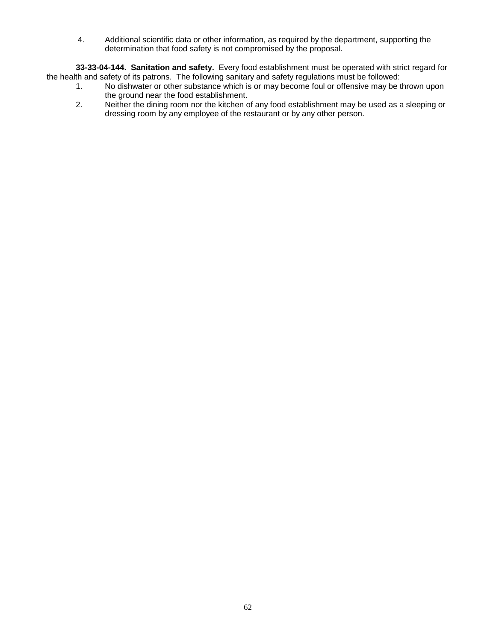4. Additional scientific data or other information, as required by the department, supporting the determination that food safety is not compromised by the proposal.

**33-33-04-144. Sanitation and safety.** Every food establishment must be operated with strict regard for the health and safety of its patrons. The following sanitary and safety regulations must be followed:

- 1. No dishwater or other substance which is or may become foul or offensive may be thrown upon the ground near the food establishment.
- 2. Neither the dining room nor the kitchen of any food establishment may be used as a sleeping or dressing room by any employee of the restaurant or by any other person.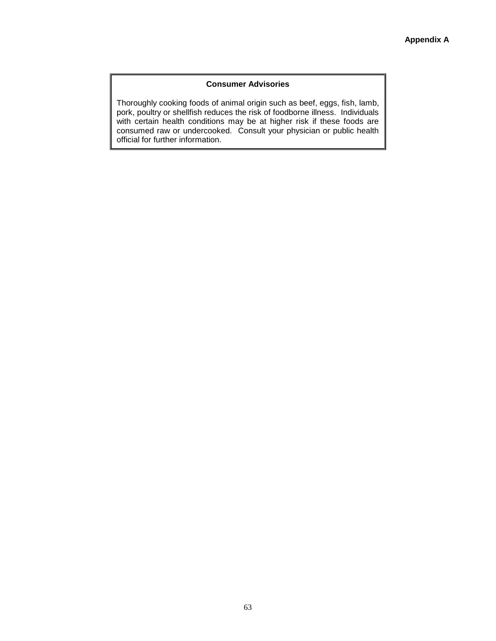### **Consumer Advisories**

Thoroughly cooking foods of animal origin such as beef, eggs, fish, lamb, pork, poultry or shellfish reduces the risk of foodborne illness. Individuals with certain health conditions may be at higher risk if these foods are consumed raw or undercooked. Consult your physician or public health official for further information.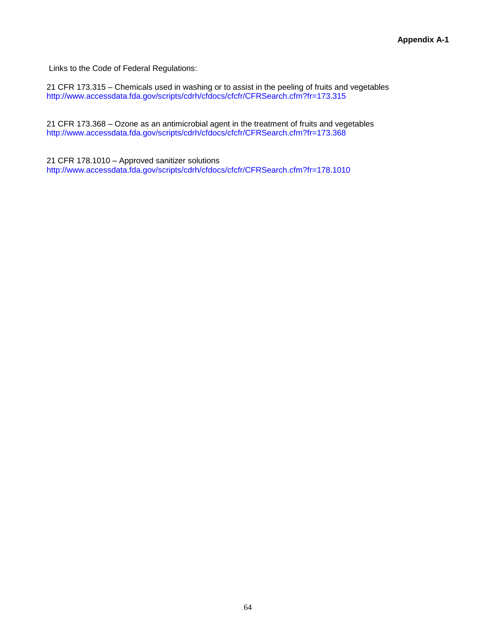Links to the Code of Federal Regulations:

21 CFR 173.315 – Chemicals used in washing or to assist in the peeling of fruits and vegetables <http://www.accessdata.fda.gov/scripts/cdrh/cfdocs/cfcfr/CFRSearch.cfm?fr=173.315>

21 CFR 173.368 – Ozone as an antimicrobial agent in the treatment of fruits and vegetables <http://www.accessdata.fda.gov/scripts/cdrh/cfdocs/cfcfr/CFRSearch.cfm?fr=173.368>

21 CFR 178.1010 – Approved sanitizer solutions <http://www.accessdata.fda.gov/scripts/cdrh/cfdocs/cfcfr/CFRSearch.cfm?fr=178.1010>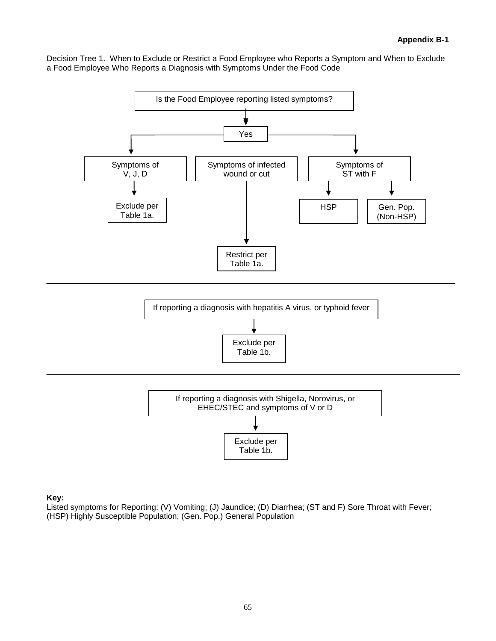Decision Tree 1. When to Exclude or Restrict a Food Employee who Reports a Symptom and When to Exclude a Food Employee Who Reports a Diagnosis with Symptoms Under the Food Code







**Key:**

Listed symptoms for Reporting: (V) Vomiting; (J) Jaundice; (D) Diarrhea; (ST and F) Sore Throat with Fever; (HSP) Highly Susceptible Population; (Gen. Pop.) General Population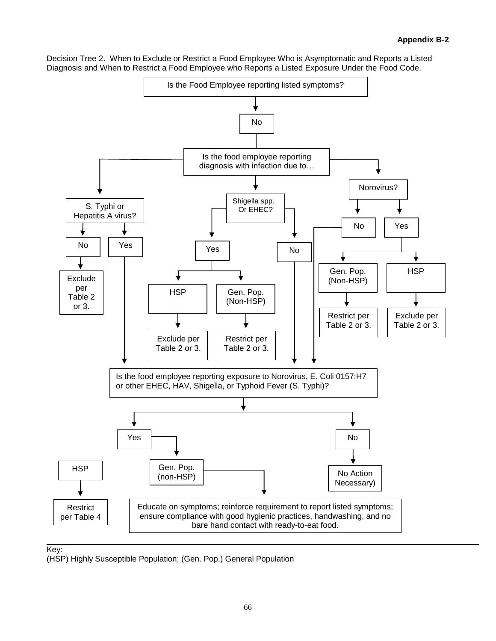Decision Tree 2. When to Exclude or Restrict a Food Employee Who is Asymptomatic and Reports a Listed Diagnosis and When to Restrict a Food Employee who Reports a Listed Exposure Under the Food Code.



# Key:

(HSP) Highly Susceptible Population; (Gen. Pop.) General Population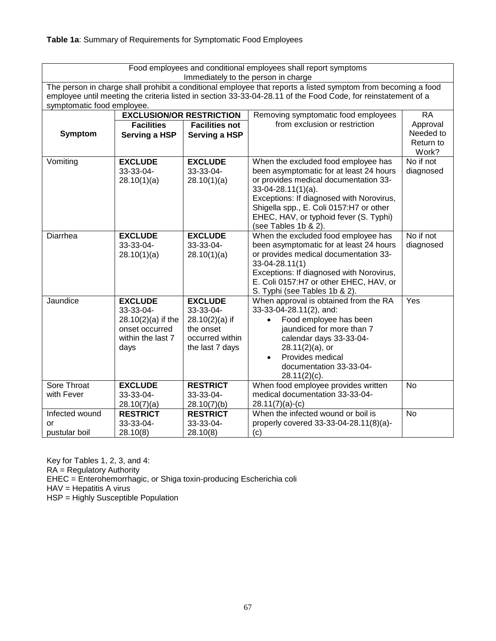| Food employees and conditional employees shall report symptoms<br>Immediately to the person in charge |                                                                                                                                                                                                                                                              |                                                                                                    |                                                                                                                                                                                                                                                                                                           |                                 |  |  |
|-------------------------------------------------------------------------------------------------------|--------------------------------------------------------------------------------------------------------------------------------------------------------------------------------------------------------------------------------------------------------------|----------------------------------------------------------------------------------------------------|-----------------------------------------------------------------------------------------------------------------------------------------------------------------------------------------------------------------------------------------------------------------------------------------------------------|---------------------------------|--|--|
|                                                                                                       | The person in charge shall prohibit a conditional employee that reports a listed symptom from becoming a food<br>employee until meeting the criteria listed in section 33-33-04-28.11 of the Food Code, for reinstatement of a<br>symptomatic food employee. |                                                                                                    |                                                                                                                                                                                                                                                                                                           |                                 |  |  |
|                                                                                                       | <b>EXCLUSION/OR RESTRICTION</b>                                                                                                                                                                                                                              |                                                                                                    | Removing symptomatic food employees                                                                                                                                                                                                                                                                       | <b>RA</b>                       |  |  |
|                                                                                                       | <b>Facilities</b>                                                                                                                                                                                                                                            | <b>Facilities not</b>                                                                              | from exclusion or restriction                                                                                                                                                                                                                                                                             | Approval                        |  |  |
| <b>Symptom</b>                                                                                        | Serving a HSP                                                                                                                                                                                                                                                | Serving a HSP                                                                                      |                                                                                                                                                                                                                                                                                                           | Needed to<br>Return to<br>Work? |  |  |
| Vomiting                                                                                              | <b>EXCLUDE</b><br>33-33-04-<br>28.10(1)(a)                                                                                                                                                                                                                   | <b>EXCLUDE</b><br>33-33-04-<br>28.10(1)(a)                                                         | When the excluded food employee has<br>been asymptomatic for at least 24 hours<br>or provides medical documentation 33-<br>$33-04-28.11(1)(a)$ .<br>Exceptions: If diagnosed with Norovirus,<br>Shigella spp., E. Coli 0157:H7 or other<br>EHEC, HAV, or typhoid fever (S. Typhi)<br>(see Tables 1b & 2). | No if not<br>diagnosed          |  |  |
| Diarrhea                                                                                              | <b>EXCLUDE</b><br>33-33-04-<br>28.10(1)(a)                                                                                                                                                                                                                   | <b>EXCLUDE</b><br>33-33-04-<br>28.10(1)(a)                                                         | When the excluded food employee has<br>been asymptomatic for at least 24 hours<br>or provides medical documentation 33-<br>33-04-28.11(1)<br>Exceptions: If diagnosed with Norovirus,<br>E. Coli 0157:H7 or other EHEC, HAV, or<br>S. Typhi (see Tables 1b & 2).                                          | No if not<br>diagnosed          |  |  |
| Jaundice                                                                                              | <b>EXCLUDE</b><br>33-33-04-<br>28.10(2)(a) if the<br>onset occurred<br>within the last 7<br>days                                                                                                                                                             | <b>EXCLUDE</b><br>33-33-04-<br>$28.10(2)(a)$ if<br>the onset<br>occurred within<br>the last 7 days | When approval is obtained from the RA<br>33-33-04-28.11(2), and:<br>Food employee has been<br>$\bullet$<br>jaundiced for more than 7<br>calendar days 33-33-04-<br>$28.11(2)(a)$ , or<br>Provides medical<br>documentation 33-33-04-<br>$28.11(2)(c)$ .                                                   | Yes                             |  |  |
| Sore Throat<br>with Fever                                                                             | <b>EXCLUDE</b><br>33-33-04-<br>28.10(7)(a)                                                                                                                                                                                                                   | <b>RESTRICT</b><br>33-33-04-<br>28.10(7)(b)                                                        | When food employee provides written<br>medical documentation 33-33-04-<br>$28.11(7)(a)-(c)$                                                                                                                                                                                                               | $\overline{N}$                  |  |  |
| Infected wound                                                                                        | <b>RESTRICT</b>                                                                                                                                                                                                                                              | <b>RESTRICT</b>                                                                                    | When the infected wound or boil is                                                                                                                                                                                                                                                                        | No                              |  |  |
| or<br>pustular boil                                                                                   | 33-33-04-<br>28.10(8)                                                                                                                                                                                                                                        | 33-33-04-<br>28.10(8)                                                                              | properly covered 33-33-04-28.11(8)(a)-<br>(c)                                                                                                                                                                                                                                                             |                                 |  |  |

Key for Tables 1, 2, 3, and 4: RA = Regulatory Authority EHEC = Enterohemorrhagic, or Shiga toxin-producing Escherichia coli HAV = Hepatitis A virus HSP = Highly Susceptible Population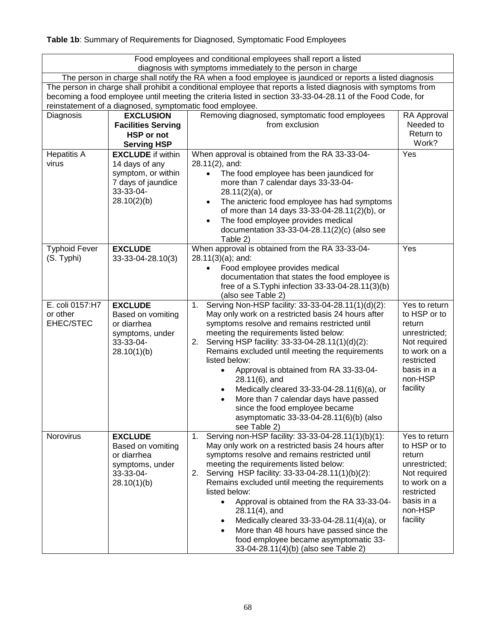**Table 1b**: Summary of Requirements for Diagnosed, Symptomatic Food Employees

| Food employees and conditional employees shall report a listed<br>diagnosis with symptoms immediately to the person in charge                                                                                                                                                           |                                                                                                                    |                                                                                                                                                                                                                                                                                                                                                                                                                                                                                                                                                                                                      |                                                                                                                                             |  |
|-----------------------------------------------------------------------------------------------------------------------------------------------------------------------------------------------------------------------------------------------------------------------------------------|--------------------------------------------------------------------------------------------------------------------|------------------------------------------------------------------------------------------------------------------------------------------------------------------------------------------------------------------------------------------------------------------------------------------------------------------------------------------------------------------------------------------------------------------------------------------------------------------------------------------------------------------------------------------------------------------------------------------------------|---------------------------------------------------------------------------------------------------------------------------------------------|--|
| The person in charge shall notify the RA when a food employee is jaundiced or reports a listed diagnosis                                                                                                                                                                                |                                                                                                                    |                                                                                                                                                                                                                                                                                                                                                                                                                                                                                                                                                                                                      |                                                                                                                                             |  |
| The person in charge shall prohibit a conditional employee that reports a listed diagnosis with symptoms from<br>becoming a food employee until meeting the criteria listed in section 33-33-04-28.11 of the Food Code, for<br>reinstatement of a diagnosed, symptomatic food employee. |                                                                                                                    |                                                                                                                                                                                                                                                                                                                                                                                                                                                                                                                                                                                                      |                                                                                                                                             |  |
| Diagnosis                                                                                                                                                                                                                                                                               | <b>EXCLUSION</b><br><b>Facilities Serving</b><br><b>HSP</b> or not<br><b>Serving HSP</b>                           | Removing diagnosed, symptomatic food employees<br>from exclusion                                                                                                                                                                                                                                                                                                                                                                                                                                                                                                                                     | RA Approval<br>Needed to<br>Return to<br>Work?                                                                                              |  |
| <b>Hepatitis A</b><br>virus                                                                                                                                                                                                                                                             | <b>EXCLUDE</b> if within<br>14 days of any<br>symptom, or within<br>7 days of jaundice<br>33-33-04-<br>28.10(2)(b) | When approval is obtained from the RA 33-33-04-<br>28.11(2), and:<br>The food employee has been jaundiced for<br>more than 7 calendar days 33-33-04-<br>$28.11(2)(a)$ , or<br>The anicteric food employee has had symptoms<br>$\bullet$<br>of more than 14 days 33-33-04-28.11(2)(b), or<br>The food employee provides medical<br>$\bullet$<br>documentation 33-33-04-28.11(2)(c) (also see<br>Table 2)                                                                                                                                                                                              | Yes                                                                                                                                         |  |
| <b>Typhoid Fever</b><br>(S. Typhi)                                                                                                                                                                                                                                                      | <b>EXCLUDE</b><br>33-33-04-28.10(3)                                                                                | When approval is obtained from the RA 33-33-04-<br>$28.11(3)(a)$ ; and:<br>Food employee provides medical<br>$\bullet$<br>documentation that states the food employee is<br>free of a S.Typhi infection 33-33-04-28.11(3)(b)<br>(also see Table 2)                                                                                                                                                                                                                                                                                                                                                   | Yes                                                                                                                                         |  |
| E. coli 0157:H7<br>or other<br>EHEC/STEC                                                                                                                                                                                                                                                | <b>EXCLUDE</b><br>Based on vomiting<br>or diarrhea<br>symptoms, under<br>33-33-04-<br>28.10(1)(b)                  | Serving Non-HSP facility: 33-33-04-28.11(1)(d)(2):<br>1.<br>May only work on a restricted basis 24 hours after<br>symptoms resolve and remains restricted until<br>meeting the requirements listed below:<br>Serving HSP facility: 33-33-04-28.11(1)(d)(2):<br>2.<br>Remains excluded until meeting the requirements<br>listed below:<br>Approval is obtained from RA 33-33-04-<br>$\bullet$<br>$28.11(6)$ , and<br>Medically cleared 33-33-04-28.11(6)(a), or<br>More than 7 calendar days have passed<br>since the food employee became<br>asymptomatic 33-33-04-28.11(6)(b) (also<br>see Table 2) | Yes to return<br>to HSP or to<br>return<br>unrestricted;<br>Not required<br>to work on a<br>restricted<br>basis in a<br>non-HSP<br>facility |  |
| Norovirus                                                                                                                                                                                                                                                                               | <b>EXCLUDE</b><br>Based on vomiting<br>or diarrhea<br>symptoms, under<br>33-33-04-<br>28.10(1)(b)                  | Serving non-HSP facility: 33-33-04-28.11(1)(b)(1):<br>1.<br>May only work on a restricted basis 24 hours after<br>symptoms resolve and remains restricted until<br>meeting the requirements listed below:<br>Serving HSP facility: 33-33-04-28.11(1)(b)(2):<br>2.<br>Remains excluded until meeting the requirements<br>listed below:<br>Approval is obtained from the RA 33-33-04-<br>$\bullet$<br>$28.11(4)$ , and<br>Medically cleared 33-33-04-28.11(4)(a), or<br>More than 48 hours have passed since the<br>food employee became asymptomatic 33-<br>33-04-28.11(4)(b) (also see Table 2)      | Yes to return<br>to HSP or to<br>return<br>unrestricted;<br>Not required<br>to work on a<br>restricted<br>basis in a<br>non-HSP<br>facility |  |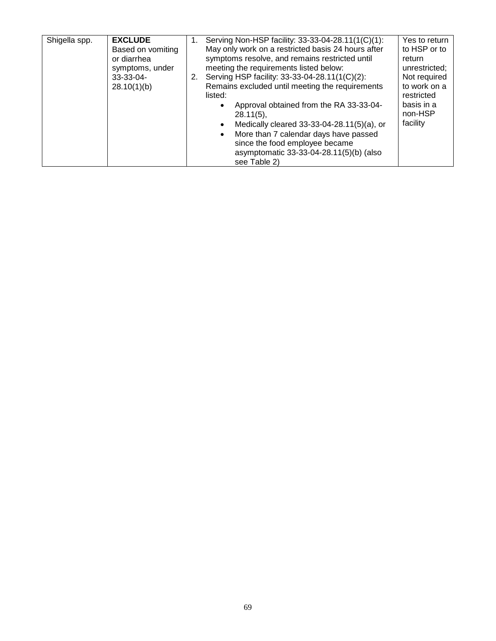| Shigella spp. | <b>EXCLUDE</b>    | Serving Non-HSP facility: 33-33-04-28.11(1(C)(1):       | Yes to return |
|---------------|-------------------|---------------------------------------------------------|---------------|
|               | Based on vomiting | May only work on a restricted basis 24 hours after      | to HSP or to  |
|               | or diarrhea       | symptoms resolve, and remains restricted until          | return        |
|               | symptoms, under   | meeting the requirements listed below:                  | unrestricted; |
|               | 33-33-04-         | 2. Serving HSP facility: 33-33-04-28.11(1(C)(2):        | Not required  |
|               | 28.10(1)(b)       | Remains excluded until meeting the requirements         | to work on a  |
|               |                   | listed:                                                 | restricted    |
|               |                   | Approval obtained from the RA 33-33-04-<br>$\bullet$    | basis in a    |
|               |                   | $28.11(5)$ ,                                            | non-HSP       |
|               |                   | Medically cleared 33-33-04-28.11(5)(a), or<br>$\bullet$ | facility      |
|               |                   | More than 7 calendar days have passed<br>$\bullet$      |               |
|               |                   | since the food employee became                          |               |
|               |                   | asymptomatic 33-33-04-28.11(5)(b) (also                 |               |
|               |                   | see Table 2)                                            |               |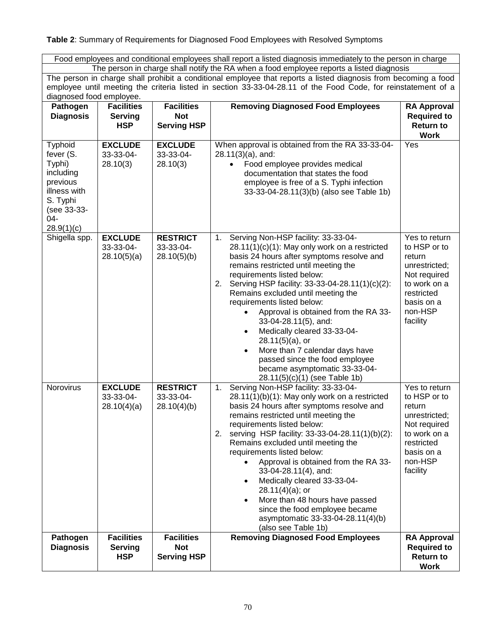## **Table 2**: Summary of Requirements for Diagnosed Food Employees with Resolved Symptoms

Food employees and conditional employees shall report a listed diagnosis immediately to the person in charge The person in charge shall notify the RA when a food employee reports a listed diagnosis

The person in charge shall prohibit a conditional employee that reports a listed diagnosis from becoming a food employee until meeting the criteria listed in section 33-33-04-28.11 of the Food Code, for reinstatement of a diagnosed food employee.

| .<br><b>Pathogen</b><br><b>Diagnosis</b>                                                                                       | $\cdot$ . $\sim$<br><b>Facilities</b><br><b>Serving</b> | <b>Facilities</b><br><b>Not</b>                       | <b>Removing Diagnosed Food Employees</b>                                                                                                                                                                                                                                                                                                                                                                                                                                                                                                                                                                                                       | <b>RA Approval</b><br><b>Required to</b>                                                                                                    |
|--------------------------------------------------------------------------------------------------------------------------------|---------------------------------------------------------|-------------------------------------------------------|------------------------------------------------------------------------------------------------------------------------------------------------------------------------------------------------------------------------------------------------------------------------------------------------------------------------------------------------------------------------------------------------------------------------------------------------------------------------------------------------------------------------------------------------------------------------------------------------------------------------------------------------|---------------------------------------------------------------------------------------------------------------------------------------------|
|                                                                                                                                | <b>HSP</b>                                              | <b>Serving HSP</b>                                    |                                                                                                                                                                                                                                                                                                                                                                                                                                                                                                                                                                                                                                                | <b>Return to</b><br><b>Work</b>                                                                                                             |
| <b>Typhoid</b><br>fever (S.<br>Typhi)<br>including<br>previous<br>illness with<br>S. Typhi<br>(see 33-33-<br>04-<br>28.9(1)(c) | <b>EXCLUDE</b><br>33-33-04-<br>28.10(3)                 | <b>EXCLUDE</b><br>33-33-04-<br>28.10(3)               | When approval is obtained from the RA 33-33-04-<br>$28.11(3)(a)$ , and:<br>Food employee provides medical<br>$\bullet$<br>documentation that states the food<br>employee is free of a S. Typhi infection<br>33-33-04-28.11(3)(b) (also see Table 1b)                                                                                                                                                                                                                                                                                                                                                                                           | Yes                                                                                                                                         |
| Shigella spp.                                                                                                                  | <b>EXCLUDE</b><br>33-33-04-<br>28.10(5)(a)              | <b>RESTRICT</b><br>33-33-04-<br>28.10(5)(b)           | Serving Non-HSP facility: 33-33-04-<br>1.<br>$28.11(1)(c)(1)$ : May only work on a restricted<br>basis 24 hours after symptoms resolve and<br>remains restricted until meeting the<br>requirements listed below:<br>Serving HSP facility: 33-33-04-28.11(1)(c)(2):<br>2.<br>Remains excluded until meeting the<br>requirements listed below:<br>Approval is obtained from the RA 33-<br>$\bullet$<br>33-04-28.11(5), and:<br>Medically cleared 33-33-04-<br>$\bullet$<br>$28.11(5)(a)$ , or<br>More than 7 calendar days have<br>$\bullet$<br>passed since the food employee<br>became asymptomatic 33-33-04-<br>28.11(5)(c)(1) (see Table 1b) | Yes to return<br>to HSP or to<br>return<br>unrestricted;<br>Not required<br>to work on a<br>restricted<br>basis on a<br>non-HSP<br>facility |
| Norovirus                                                                                                                      | <b>EXCLUDE</b><br>33-33-04-<br>28.10(4)(a)              | <b>RESTRICT</b><br>33-33-04-<br>28.10(4)(b)           | Serving Non-HSP facility: 33-33-04-<br>1.<br>$28.11(1)(b)(1)$ : May only work on a restricted<br>basis 24 hours after symptoms resolve and<br>remains restricted until meeting the<br>requirements listed below:<br>serving HSP facility: 33-33-04-28.11(1)(b)(2):<br>2.<br>Remains excluded until meeting the<br>requirements listed below:<br>Approval is obtained from the RA 33-<br>33-04-28.11(4), and:<br>Medically cleared 33-33-04-<br>$\bullet$<br>$28.11(4)(a)$ ; or<br>More than 48 hours have passed<br>$\bullet$<br>since the food employee became<br>asymptomatic 33-33-04-28.11(4)(b)<br>(also see Table 1b)                    | Yes to return<br>to HSP or to<br>return<br>unrestricted;<br>Not required<br>to work on a<br>restricted<br>basis on a<br>non-HSP<br>facility |
| Pathogen<br><b>Diagnosis</b>                                                                                                   | <b>Facilities</b><br><b>Serving</b><br><b>HSP</b>       | <b>Facilities</b><br><b>Not</b><br><b>Serving HSP</b> | <b>Removing Diagnosed Food Employees</b>                                                                                                                                                                                                                                                                                                                                                                                                                                                                                                                                                                                                       | <b>RA Approval</b><br><b>Required to</b><br><b>Return to</b><br><b>Work</b>                                                                 |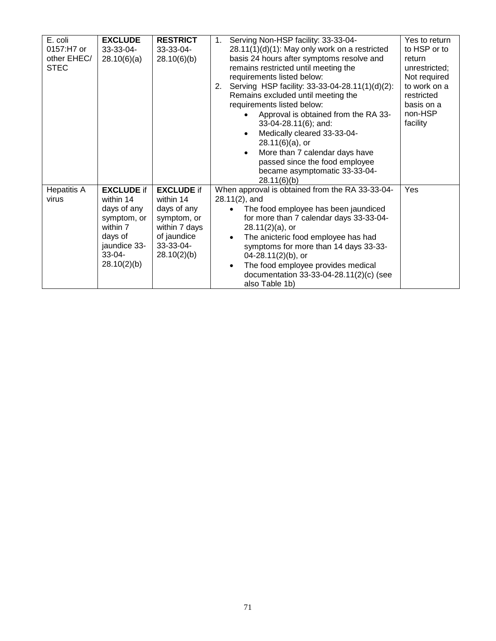|           |                                                                                                                                                            | Yes to return                                                                                                                                                                                                                                                                                                                                                                                                                                                                                                                                                                                                                                                                                                                                                                                                                                                                                                             |
|-----------|------------------------------------------------------------------------------------------------------------------------------------------------------------|---------------------------------------------------------------------------------------------------------------------------------------------------------------------------------------------------------------------------------------------------------------------------------------------------------------------------------------------------------------------------------------------------------------------------------------------------------------------------------------------------------------------------------------------------------------------------------------------------------------------------------------------------------------------------------------------------------------------------------------------------------------------------------------------------------------------------------------------------------------------------------------------------------------------------|
|           |                                                                                                                                                            | to HSP or to                                                                                                                                                                                                                                                                                                                                                                                                                                                                                                                                                                                                                                                                                                                                                                                                                                                                                                              |
|           |                                                                                                                                                            | return                                                                                                                                                                                                                                                                                                                                                                                                                                                                                                                                                                                                                                                                                                                                                                                                                                                                                                                    |
|           |                                                                                                                                                            | unrestricted;                                                                                                                                                                                                                                                                                                                                                                                                                                                                                                                                                                                                                                                                                                                                                                                                                                                                                                             |
|           |                                                                                                                                                            |                                                                                                                                                                                                                                                                                                                                                                                                                                                                                                                                                                                                                                                                                                                                                                                                                                                                                                                           |
|           |                                                                                                                                                            | Not required                                                                                                                                                                                                                                                                                                                                                                                                                                                                                                                                                                                                                                                                                                                                                                                                                                                                                                              |
|           |                                                                                                                                                            | to work on a                                                                                                                                                                                                                                                                                                                                                                                                                                                                                                                                                                                                                                                                                                                                                                                                                                                                                                              |
|           |                                                                                                                                                            | restricted                                                                                                                                                                                                                                                                                                                                                                                                                                                                                                                                                                                                                                                                                                                                                                                                                                                                                                                |
|           | requirements listed below:                                                                                                                                 | basis on a                                                                                                                                                                                                                                                                                                                                                                                                                                                                                                                                                                                                                                                                                                                                                                                                                                                                                                                |
|           |                                                                                                                                                            | non-HSP                                                                                                                                                                                                                                                                                                                                                                                                                                                                                                                                                                                                                                                                                                                                                                                                                                                                                                                   |
|           |                                                                                                                                                            | facility                                                                                                                                                                                                                                                                                                                                                                                                                                                                                                                                                                                                                                                                                                                                                                                                                                                                                                                  |
|           |                                                                                                                                                            |                                                                                                                                                                                                                                                                                                                                                                                                                                                                                                                                                                                                                                                                                                                                                                                                                                                                                                                           |
|           |                                                                                                                                                            |                                                                                                                                                                                                                                                                                                                                                                                                                                                                                                                                                                                                                                                                                                                                                                                                                                                                                                                           |
|           |                                                                                                                                                            |                                                                                                                                                                                                                                                                                                                                                                                                                                                                                                                                                                                                                                                                                                                                                                                                                                                                                                                           |
|           | $\bullet$                                                                                                                                                  |                                                                                                                                                                                                                                                                                                                                                                                                                                                                                                                                                                                                                                                                                                                                                                                                                                                                                                                           |
|           |                                                                                                                                                            |                                                                                                                                                                                                                                                                                                                                                                                                                                                                                                                                                                                                                                                                                                                                                                                                                                                                                                                           |
|           | became asymptomatic 33-33-04-                                                                                                                              |                                                                                                                                                                                                                                                                                                                                                                                                                                                                                                                                                                                                                                                                                                                                                                                                                                                                                                                           |
|           |                                                                                                                                                            |                                                                                                                                                                                                                                                                                                                                                                                                                                                                                                                                                                                                                                                                                                                                                                                                                                                                                                                           |
|           |                                                                                                                                                            | Yes                                                                                                                                                                                                                                                                                                                                                                                                                                                                                                                                                                                                                                                                                                                                                                                                                                                                                                                       |
| within 14 |                                                                                                                                                            |                                                                                                                                                                                                                                                                                                                                                                                                                                                                                                                                                                                                                                                                                                                                                                                                                                                                                                                           |
|           |                                                                                                                                                            |                                                                                                                                                                                                                                                                                                                                                                                                                                                                                                                                                                                                                                                                                                                                                                                                                                                                                                                           |
|           |                                                                                                                                                            |                                                                                                                                                                                                                                                                                                                                                                                                                                                                                                                                                                                                                                                                                                                                                                                                                                                                                                                           |
|           |                                                                                                                                                            |                                                                                                                                                                                                                                                                                                                                                                                                                                                                                                                                                                                                                                                                                                                                                                                                                                                                                                                           |
|           |                                                                                                                                                            |                                                                                                                                                                                                                                                                                                                                                                                                                                                                                                                                                                                                                                                                                                                                                                                                                                                                                                                           |
|           |                                                                                                                                                            |                                                                                                                                                                                                                                                                                                                                                                                                                                                                                                                                                                                                                                                                                                                                                                                                                                                                                                                           |
|           |                                                                                                                                                            |                                                                                                                                                                                                                                                                                                                                                                                                                                                                                                                                                                                                                                                                                                                                                                                                                                                                                                                           |
|           |                                                                                                                                                            |                                                                                                                                                                                                                                                                                                                                                                                                                                                                                                                                                                                                                                                                                                                                                                                                                                                                                                                           |
|           | $\bullet$                                                                                                                                                  |                                                                                                                                                                                                                                                                                                                                                                                                                                                                                                                                                                                                                                                                                                                                                                                                                                                                                                                           |
|           |                                                                                                                                                            |                                                                                                                                                                                                                                                                                                                                                                                                                                                                                                                                                                                                                                                                                                                                                                                                                                                                                                                           |
|           |                                                                                                                                                            |                                                                                                                                                                                                                                                                                                                                                                                                                                                                                                                                                                                                                                                                                                                                                                                                                                                                                                                           |
|           | <b>RESTRICT</b><br>33-33-04-<br>28.10(6)(b)<br><b>EXCLUDE if</b><br>days of any<br>symptom, or<br>within 7 days<br>of jaundice<br>33-33-04-<br>28.10(2)(b) | Serving Non-HSP facility: 33-33-04-<br>1.<br>28.11(1)(d)(1): May only work on a restricted<br>basis 24 hours after symptoms resolve and<br>remains restricted until meeting the<br>requirements listed below:<br>Serving HSP facility: 33-33-04-28.11(1)(d)(2):<br>2.<br>Remains excluded until meeting the<br>Approval is obtained from the RA 33-<br>33-04-28.11(6); and:<br>Medically cleared 33-33-04-<br>$\bullet$<br>$28.11(6)(a)$ , or<br>More than 7 calendar days have<br>passed since the food employee<br>28.11(6)(b)<br>When approval is obtained from the RA 33-33-04-<br>$28.11(2)$ , and<br>The food employee has been jaundiced<br>for more than 7 calendar days 33-33-04-<br>$28.11(2)(a)$ , or<br>The anicteric food employee has had<br>$\bullet$<br>symptoms for more than 14 days 33-33-<br>$04 - 28.11(2)(b)$ , or<br>The food employee provides medical<br>documentation 33-33-04-28.11(2)(c) (see |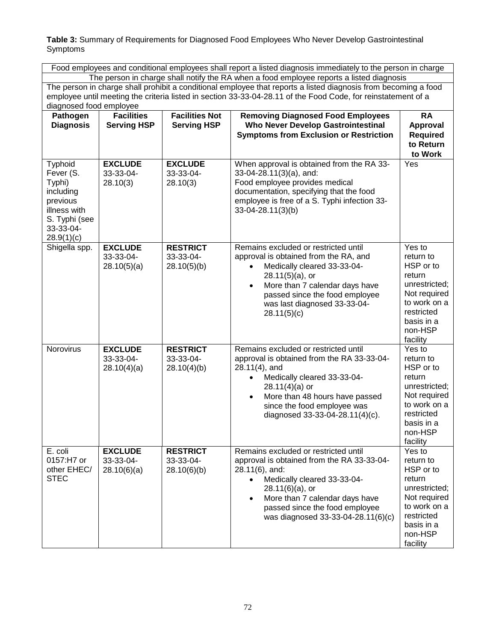**Table 3:** Summary of Requirements for Diagnosed Food Employees Who Never Develop Gastrointestinal Symptoms

Food employees and conditional employees shall report a listed diagnosis immediately to the person in charge The person in charge shall notify the RA when a food employee reports a listed diagnosis The person in charge shall prohibit a conditional employee that reports a listed diagnosis from becoming a food employee until meeting the criteria listed in section 33-33-04-28.11 of the Food Code, for reinstatement of a diagnosed food employee

| Pathogen<br><b>Diagnosis</b>                                                                                        | <b>Facilities</b><br><b>Serving HSP</b>    | <b>Facilities Not</b><br><b>Serving HSP</b> | <b>Removing Diagnosed Food Employees</b><br><b>Who Never Develop Gastrointestinal</b><br><b>Symptoms from Exclusion or Restriction</b>                                                                                                                                                  | <b>RA</b><br>Approval<br><b>Required</b><br>to Return<br>to Work                                                                               |
|---------------------------------------------------------------------------------------------------------------------|--------------------------------------------|---------------------------------------------|-----------------------------------------------------------------------------------------------------------------------------------------------------------------------------------------------------------------------------------------------------------------------------------------|------------------------------------------------------------------------------------------------------------------------------------------------|
| Typhoid<br>Fever (S.<br>Typhi)<br>including<br>previous<br>illness with<br>S. Typhi (see<br>33-33-04-<br>28.9(1)(c) | <b>EXCLUDE</b><br>33-33-04-<br>28.10(3)    | <b>EXCLUDE</b><br>33-33-04-<br>28.10(3)     | When approval is obtained from the RA 33-<br>33-04-28.11(3)(a), and:<br>Food employee provides medical<br>documentation, specifying that the food<br>employee is free of a S. Typhi infection 33-<br>33-04-28.11(3)(b)                                                                  | Yes                                                                                                                                            |
| Shigella spp.                                                                                                       | <b>EXCLUDE</b><br>33-33-04-<br>28.10(5)(a) | <b>RESTRICT</b><br>33-33-04-<br>28.10(5)(b) | Remains excluded or restricted until<br>approval is obtained from the RA, and<br>Medically cleared 33-33-04-<br>$28.11(5)(a)$ , or<br>More than 7 calendar days have<br>$\bullet$<br>passed since the food employee<br>was last diagnosed 33-33-04-<br>28.11(5)(c)                      | Yes to<br>return to<br>HSP or to<br>return<br>unrestricted;<br>Not required<br>to work on a<br>restricted<br>basis in a<br>non-HSP<br>facility |
| Norovirus                                                                                                           | <b>EXCLUDE</b><br>33-33-04-<br>28.10(4)(a) | <b>RESTRICT</b><br>33-33-04-<br>28.10(4)(b) | Remains excluded or restricted until<br>approval is obtained from the RA 33-33-04-<br>$28.11(4)$ , and<br>Medically cleared 33-33-04-<br>$\bullet$<br>$28.11(4)(a)$ or<br>More than 48 hours have passed<br>$\bullet$<br>since the food employee was<br>diagnosed 33-33-04-28.11(4)(c). | Yes to<br>return to<br>HSP or to<br>return<br>unrestricted;<br>Not required<br>to work on a<br>restricted<br>basis in a<br>non-HSP<br>facility |
| E. coli<br>0157:H7 or<br>other EHEC/<br><b>STEC</b>                                                                 | <b>EXCLUDE</b><br>33-33-04-<br>28.10(6)(a) | <b>RESTRICT</b><br>33-33-04-<br>28.10(6)(b) | Remains excluded or restricted until<br>approval is obtained from the RA 33-33-04-<br>$28.11(6)$ , and:<br>Medically cleared 33-33-04-<br>$28.11(6)(a)$ , or<br>More than 7 calendar days have<br>passed since the food employee<br>was diagnosed 33-33-04-28.11(6)(c)                  | Yes to<br>return to<br>HSP or to<br>return<br>unrestricted;<br>Not required<br>to work on a<br>restricted<br>basis in a<br>non-HSP<br>facility |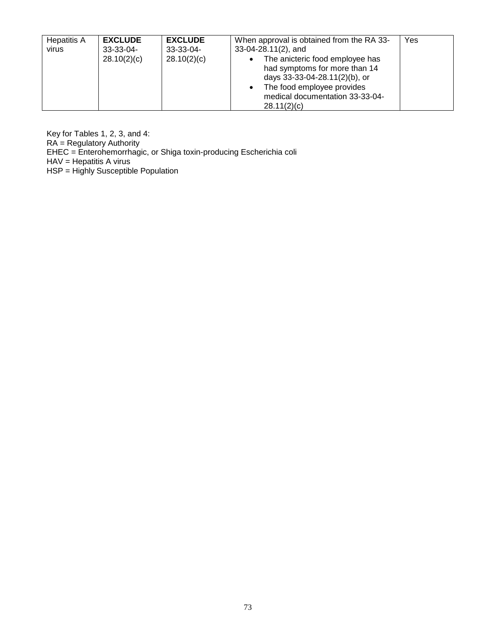| Hepatitis A | <b>EXCLUDE</b>             | <b>EXCLUDE</b>             | When approval is obtained from the RA 33-                                                                                                                                        | Yes |
|-------------|----------------------------|----------------------------|----------------------------------------------------------------------------------------------------------------------------------------------------------------------------------|-----|
| virus       | $33-33-04-$<br>28.10(2)(c) | $33-33-04-$<br>28.10(2)(c) | 33-04-28.11(2), and<br>The anicteric food employee has<br>$\bullet$<br>had symptoms for more than 14<br>days 33-33-04-28.11(2)(b), or<br>The food employee provides<br>$\bullet$ |     |
|             |                            |                            | medical documentation 33-33-04-<br>28.11(2)(c)                                                                                                                                   |     |

Key for Tables 1, 2, 3, and 4: RA = Regulatory Authority EHEC = Enterohemorrhagic, or Shiga toxin-producing Escherichia coli HAV = Hepatitis A virus HSP = Highly Susceptible Population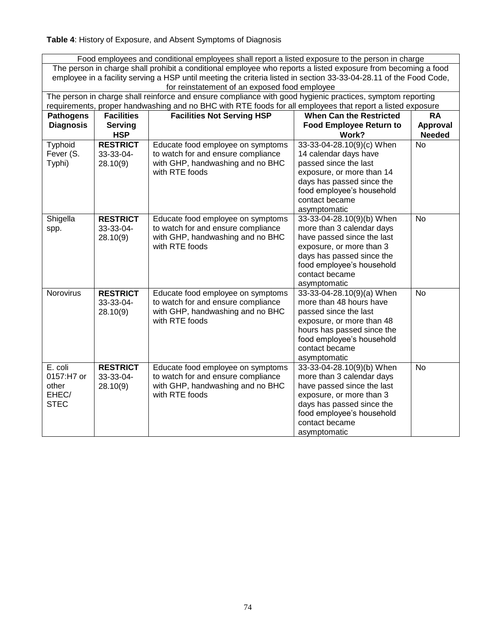**Table 4**: History of Exposure, and Absent Symptoms of Diagnosis

| Food employees and conditional employees shall report a listed exposure to the person in charge                    |                   |                                    |                                |                 |  |  |  |  |  |  |
|--------------------------------------------------------------------------------------------------------------------|-------------------|------------------------------------|--------------------------------|-----------------|--|--|--|--|--|--|
| The person in charge shall prohibit a conditional employee who reports a listed exposure from becoming a food      |                   |                                    |                                |                 |  |  |  |  |  |  |
| employee in a facility serving a HSP until meeting the criteria listed in section 33-33-04-28.11 of the Food Code, |                   |                                    |                                |                 |  |  |  |  |  |  |
| for reinstatement of an exposed food employee                                                                      |                   |                                    |                                |                 |  |  |  |  |  |  |
| The person in charge shall reinforce and ensure compliance with good hygienic practices, symptom reporting         |                   |                                    |                                |                 |  |  |  |  |  |  |
| requirements, proper handwashing and no BHC with RTE foods for all employees that report a listed exposure         |                   |                                    |                                |                 |  |  |  |  |  |  |
| <b>Pathogens</b>                                                                                                   | <b>Facilities</b> | <b>Facilities Not Serving HSP</b>  | <b>When Can the Restricted</b> | <b>RA</b>       |  |  |  |  |  |  |
| <b>Diagnosis</b>                                                                                                   | <b>Serving</b>    |                                    | <b>Food Employee Return to</b> | <b>Approval</b> |  |  |  |  |  |  |
|                                                                                                                    | <b>HSP</b>        |                                    | Work?                          | <b>Needed</b>   |  |  |  |  |  |  |
| Typhoid                                                                                                            | <b>RESTRICT</b>   | Educate food employee on symptoms  | 33-33-04-28.10(9)(c) When      | <b>No</b>       |  |  |  |  |  |  |
| Fever (S.                                                                                                          | 33-33-04-         | to watch for and ensure compliance | 14 calendar days have          |                 |  |  |  |  |  |  |
| Typhi)                                                                                                             | 28.10(9)          | with GHP, handwashing and no BHC   | passed since the last          |                 |  |  |  |  |  |  |
|                                                                                                                    |                   | with RTE foods                     | exposure, or more than 14      |                 |  |  |  |  |  |  |
|                                                                                                                    |                   |                                    | days has passed since the      |                 |  |  |  |  |  |  |
|                                                                                                                    |                   |                                    | food employee's household      |                 |  |  |  |  |  |  |
|                                                                                                                    |                   |                                    | contact became                 |                 |  |  |  |  |  |  |
|                                                                                                                    |                   |                                    | asymptomatic                   |                 |  |  |  |  |  |  |
| Shigella                                                                                                           | <b>RESTRICT</b>   | Educate food employee on symptoms  | 33-33-04-28.10(9)(b) When      | No              |  |  |  |  |  |  |
| spp.                                                                                                               | 33-33-04-         | to watch for and ensure compliance | more than 3 calendar days      |                 |  |  |  |  |  |  |
|                                                                                                                    | 28.10(9)          | with GHP, handwashing and no BHC   | have passed since the last     |                 |  |  |  |  |  |  |
|                                                                                                                    |                   | with RTE foods                     | exposure, or more than 3       |                 |  |  |  |  |  |  |
|                                                                                                                    |                   |                                    | days has passed since the      |                 |  |  |  |  |  |  |
|                                                                                                                    |                   |                                    | food employee's household      |                 |  |  |  |  |  |  |
|                                                                                                                    |                   |                                    | contact became                 |                 |  |  |  |  |  |  |
|                                                                                                                    |                   |                                    | asymptomatic                   |                 |  |  |  |  |  |  |
| Norovirus                                                                                                          | <b>RESTRICT</b>   | Educate food employee on symptoms  | 33-33-04-28.10(9)(a) When      | <b>No</b>       |  |  |  |  |  |  |
|                                                                                                                    | 33-33-04-         | to watch for and ensure compliance | more than 48 hours have        |                 |  |  |  |  |  |  |
|                                                                                                                    | 28.10(9)          | with GHP, handwashing and no BHC   | passed since the last          |                 |  |  |  |  |  |  |
|                                                                                                                    |                   | with RTE foods                     | exposure, or more than 48      |                 |  |  |  |  |  |  |
|                                                                                                                    |                   |                                    | hours has passed since the     |                 |  |  |  |  |  |  |
|                                                                                                                    |                   |                                    | food employee's household      |                 |  |  |  |  |  |  |
|                                                                                                                    |                   |                                    | contact became                 |                 |  |  |  |  |  |  |
|                                                                                                                    |                   |                                    | asymptomatic                   |                 |  |  |  |  |  |  |
| E. coli                                                                                                            | <b>RESTRICT</b>   | Educate food employee on symptoms  | 33-33-04-28.10(9)(b) When      | <b>No</b>       |  |  |  |  |  |  |
| 0157:H7 or                                                                                                         | 33-33-04-         | to watch for and ensure compliance | more than 3 calendar days      |                 |  |  |  |  |  |  |
| other                                                                                                              | 28.10(9)          | with GHP, handwashing and no BHC   | have passed since the last     |                 |  |  |  |  |  |  |
| EHEC/                                                                                                              |                   | with RTE foods                     | exposure, or more than 3       |                 |  |  |  |  |  |  |
| <b>STEC</b>                                                                                                        |                   |                                    | days has passed since the      |                 |  |  |  |  |  |  |
|                                                                                                                    |                   |                                    | food employee's household      |                 |  |  |  |  |  |  |
|                                                                                                                    |                   |                                    | contact became                 |                 |  |  |  |  |  |  |
|                                                                                                                    |                   |                                    | asymptomatic                   |                 |  |  |  |  |  |  |